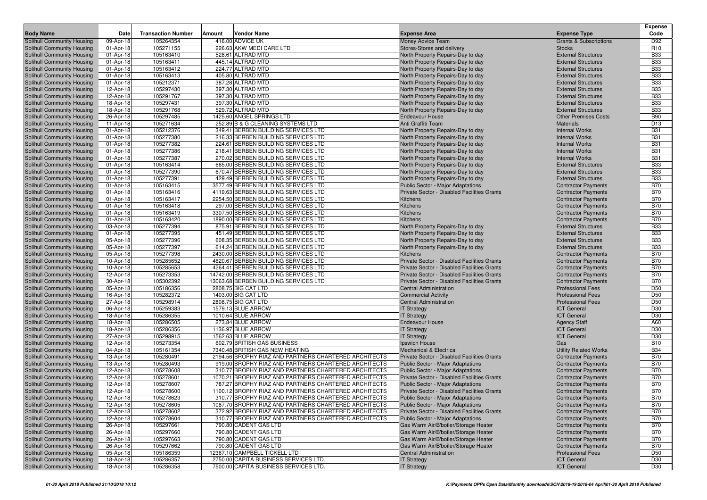| <b>Body Name</b>                                         | Date                   | <b>Transaction Number</b> | Amount | Vendor Name                                                                | <b>Expense Area</b>                                                    | <b>Expense Type</b>                                 | <b>Expense</b><br>Code   |
|----------------------------------------------------------|------------------------|---------------------------|--------|----------------------------------------------------------------------------|------------------------------------------------------------------------|-----------------------------------------------------|--------------------------|
| Solihull Community Housing                               | 09-Apr-18              | 105264354                 |        | 416.00 ADVICE UK                                                           | Money Advice Team                                                      | <b>Grants &amp; Subscriptions</b>                   | D92                      |
| Solihull Community Housing                               | 01-Apr-18              | 105271155                 |        | 226.63 AKW MEDI CARE LTD                                                   | Stores-Stores and delivery                                             | <b>Stocks</b>                                       | R <sub>10</sub>          |
| Solihull Community Housing                               | 01-Apr-18              | 105163410                 |        | 528.61 ALTRAD MTD                                                          | North Property Repairs-Day to day                                      | <b>External Structures</b>                          | <b>B33</b>               |
| Solihull Community Housing                               | 01-Apr-18              | 105163411                 |        | 445.14 ALTRAD MTD                                                          | North Property Repairs-Day to day                                      | <b>External Structures</b>                          | <b>B33</b>               |
| Solihull Community Housing                               | 01-Apr-18              | 105163412                 |        | 224.77 ALTRAD MTD                                                          | North Property Repairs-Day to day                                      | <b>External Structures</b>                          | <b>B33</b>               |
| Solihull Community Housing                               | 01-Apr-18              | 105163413                 |        | 405.80 ALTRAD MTD                                                          | North Property Repairs-Day to day                                      | <b>External Structures</b>                          | <b>B33</b>               |
| Solihull Community Housing                               | 01-Apr-18              | 105212371                 |        | 387.28 ALTRAD MTD                                                          | North Property Repairs-Day to day                                      | <b>External Structures</b>                          | <b>B33</b>               |
| Solihull Community Housing                               | 12-Apr-18              | 105297430                 |        | 397.30 ALTRAD MTD                                                          | North Property Repairs-Day to day                                      | <b>External Structures</b>                          | <b>B33</b>               |
| Solihull Community Housing                               | 12-Apr-18              | 105291767                 |        | 397.30 ALTRAD MTD                                                          | North Property Repairs-Day to day                                      | <b>External Structures</b>                          | <b>B33</b>               |
| Solihull Community Housing                               | 18-Apr-18              | 105297431                 |        | 397.30 ALTRAD MTD                                                          | North Property Repairs-Day to day                                      | <b>External Structures</b>                          | <b>B33</b>               |
| Solihull Community Housing                               | 18-Apr-18              | 105291768                 |        | 529.72 ALTRAD MTD                                                          | North Property Repairs-Day to day                                      | <b>External Structures</b>                          | <b>B33</b>               |
| Solihull Community Housing                               | 26-Apr-18              | 105297485                 |        | 1425.60 ANGEL SPRINGS LTD                                                  | <b>Endeavour House</b>                                                 | <b>Other Premises Costs</b>                         | <b>B90</b>               |
| Solihull Community Housing                               | 11-Apr-18              | 105271634                 |        | 252.89 B & G CLEANING SYSTEMS LTD                                          | Anti Graffiti Team                                                     | <b>Materials</b>                                    | D <sub>13</sub>          |
| <b>Solihull Community Housing</b>                        | 01-Apr-18              | 105212376                 |        | 349.41 BERBEN BUILDING SERVICES LTD                                        | North Property Repairs-Day to day                                      | <b>Internal Works</b>                               | <b>B31</b>               |
| Solihull Community Housing                               | 01-Apr-18              | 105277380                 |        | 216.33 BERBEN BUILDING SERVICES LTD                                        | North Property Repairs-Day to day                                      | <b>Internal Works</b>                               | <b>B31</b>               |
| Solihull Community Housing                               | 01-Apr-18              | 105277382                 |        | 224.61 BERBEN BUILDING SERVICES LTD                                        | North Property Repairs-Day to day                                      | <b>Internal Works</b>                               | <b>B31</b>               |
| Solihull Community Housing                               | 01-Apr-18              | 105277386                 |        | 218.41 BERBEN BUILDING SERVICES LTD                                        | North Property Repairs-Day to day                                      | <b>Internal Works</b>                               | <b>B31</b>               |
| Solihull Community Housing                               | 01-Apr-18<br>01-Apr-18 | 105277387<br>105163414    |        | 270.02 BERBEN BUILDING SERVICES LTD<br>665.00 BERBEN BUILDING SERVICES LTD | North Property Repairs-Day to day                                      | <b>Internal Works</b><br><b>External Structures</b> | <b>B31</b><br><b>B33</b> |
| Solihull Community Housing<br>Solihull Community Housing | 01-Apr-18              | 105277390                 |        | 670.47 BERBEN BUILDING SERVICES LTD                                        | North Property Repairs-Day to day<br>North Property Repairs-Day to day | <b>External Structures</b>                          | <b>B33</b>               |
| Solihull Community Housing                               | 01-Apr-18              | 105277391                 |        | 429.49 BERBEN BUILDING SERVICES LTD                                        | North Property Repairs-Day to day                                      | <b>External Structures</b>                          | <b>B33</b>               |
| Solihull Community Housing                               | 01-Apr-18              | 105163415                 |        | 3577.49 BERBEN BUILDING SERVICES LTD                                       | <b>Public Sector - Major Adaptations</b>                               | <b>Contractor Payments</b>                          | <b>B70</b>               |
| Solihull Community Housing                               | 01-Apr-18              | 105163416                 |        | 4119.63 BERBEN BUILDING SERVICES LTD                                       | Private Sector - Disabled Facilities Grants                            | <b>Contractor Payments</b>                          | <b>B70</b>               |
| Solihull Community Housing                               | 01-Apr-18              | 105163417                 |        | 2254.50 BERBEN BUILDING SERVICES LTD                                       | Kitchens                                                               | <b>Contractor Payments</b>                          | <b>B70</b>               |
| Solihull Community Housing                               | 01-Apr-18              | 105163418                 |        | 297.00 BERBEN BUILDING SERVICES LTD                                        | Kitchens                                                               | <b>Contractor Payments</b>                          | <b>B70</b>               |
| Solihull Community Housing                               | 01-Apr-18              | 105163419                 |        | 3307.50 BERBEN BUILDING SERVICES LTD                                       | Kitchens                                                               | <b>Contractor Payments</b>                          | <b>B70</b>               |
| Solihull Community Housing                               | 01-Apr-18              | 105163420                 |        | 1890.00 BERBEN BUILDING SERVICES LTD                                       | Kitchens                                                               | <b>Contractor Payments</b>                          | <b>B70</b>               |
| Solihull Community Housing                               | 03-Apr-18              | 105277394                 |        | 875.91 BERBEN BUILDING SERVICES LTD                                        | North Property Repairs-Day to day                                      | <b>External Structures</b>                          | <b>B33</b>               |
| Solihull Community Housing                               | 01-Apr-18              | 105277395                 |        | 451.49 BERBEN BUILDING SERVICES LTD                                        | North Property Repairs-Day to day                                      | <b>External Structures</b>                          | <b>B33</b>               |
| Solihull Community Housing                               | 05-Apr-18              | 105277396                 |        | 608.35 BERBEN BUILDING SERVICES LTD                                        | North Property Repairs-Day to day                                      | <b>External Structures</b>                          | <b>B33</b>               |
| Solihull Community Housing                               | 05-Apr-18              | 105277397                 |        | 614.24 BERBEN BUILDING SERVICES LTD                                        | North Property Repairs-Day to day                                      | <b>External Structures</b>                          | <b>B33</b>               |
| Solihull Community Housing                               | 05-Apr-18              | 105277398                 |        | 2430.00 BERBEN BUILDING SERVICES LTD                                       | Kitchens                                                               | <b>Contractor Payments</b>                          | <b>B70</b>               |
| Solihull Community Housing                               | 10-Apr-18              | 105285652                 |        | 4620.67 BERBEN BUILDING SERVICES LTD                                       | Private Sector - Disabled Facilities Grants                            | <b>Contractor Payments</b>                          | <b>B70</b>               |
| Solihull Community Housing                               | 10-Apr-18              | 105285653                 |        | 4264.41 BERBEN BUILDING SERVICES LTD                                       | Private Sector - Disabled Facilities Grants                            | <b>Contractor Payments</b>                          | <b>B70</b>               |
| Solihull Community Housing                               | 12-Apr-18              | 105273353                 |        | 14742.00 BERBEN BUILDING SERVICES LTD                                      | Private Sector - Disabled Facilities Grants                            | <b>Contractor Payments</b>                          | <b>B70</b>               |
| Solihull Community Housing                               | 30-Apr-18              | 105302392                 |        | 13063.68 BERBEN BUILDING SERVICES LTD                                      | Private Sector - Disabled Facilities Grants                            | <b>Contractor Payments</b>                          | <b>B70</b>               |
| Solihull Community Housing                               | 05-Apr-18              | 105186356                 |        | 2808.75 BIG CAT LTD                                                        | <b>Central Administration</b>                                          | <b>Professional Fees</b>                            | D <sub>50</sub>          |
| Solihull Community Housing                               | 16-Apr-18              | 105282372                 |        | 1403.00 BIG CAT LTD<br>2808.75 BIG CAT LTD                                 | <b>Commercial Activity</b>                                             | <b>Professional Fees</b>                            | D <sub>50</sub>          |
| Solihull Community Housing                               | 27-Apr-18<br>06-Apr-18 | 105298914<br>105259383    |        | 1579.13 BLUE ARROW                                                         | <b>Central Administration</b>                                          | <b>Professional Fees</b><br><b>ICT General</b>      | D <sub>50</sub><br>D30   |
| Solihull Community Housing<br>Solihull Community Housing | 18-Apr-18              | 105286355                 |        | 1010.64 BLUE ARROW                                                         | <b>IT Strategy</b><br><b>IT Strategy</b>                               | <b>ICT General</b>                                  | D30                      |
| Solihull Community Housing                               | 18-Apr-18              | 105286505                 |        | 273.84 BLUE ARROW                                                          | <b>Endeavour House</b>                                                 | <b>Agency Staff</b>                                 | A60                      |
| Solihull Community Housing                               | 18-Apr-18              | 105286356                 |        | 1136.97 BLUE ARROW                                                         | <b>IT Strategy</b>                                                     | <b>ICT General</b>                                  | D30                      |
| Solihull Community Housing                               | 27-Apr-18              | 105298915                 |        | 1562.63 BLUE ARROW                                                         | <b>IT Strategy</b>                                                     | <b>ICT</b> General                                  | D30                      |
| Solihull Community Housing                               | 12-Apr-18              | 105273354                 |        | 602.79 BRITISH GAS BUSINESS                                                | Ipswich House                                                          | Gas                                                 | <b>B10</b>               |
| Solihull Community Housing                               | 04-Apr-18              | 105161354                 |        | 7340.48 BRITISH GAS NEW HEATING                                            | <b>Mechanical &amp; Electrical</b>                                     | <b>Utility Related Works</b>                        | <b>B34</b>               |
| Solihull Community Housing                               | 13-Apr-18              | 105280491                 |        | 2194.56 BROPHY RIAZ AND PARTNERS CHARTERED ARCHITECTS                      | Private Sector - Disabled Facilities Grants                            | <b>Contractor Payments</b>                          | <b>B70</b>               |
| Solihull Community Housing                               | 13-Apr-18              | 105280493                 |        | 919.00 BROPHY RIAZ AND PARTNERS CHARTERED ARCHITECTS                       | <b>Public Sector - Major Adaptations</b>                               | <b>Contractor Payments</b>                          | <b>B70</b>               |
| Solihull Community Housing                               | 12-Apr-18              | 105278608                 |        | 310.77 BROPHY RIAZ AND PARTNERS CHARTERED ARCHITECTS                       | <b>Public Sector - Major Adaptations</b>                               | <b>Contractor Payments</b>                          | <b>B70</b>               |
| Solihull Community Housing                               | 12-Apr-18              | 105278601                 |        | 1070.21 BROPHY RIAZ AND PARTNERS CHARTERED ARCHITECTS                      | Private Sector - Disabled Facilities Grants                            | <b>Contractor Payments</b>                          | <b>B70</b>               |
| Solihull Community Housing                               | 12-Apr-18              | 105278607                 |        | 787.27 BROPHY RIAZ AND PARTNERS CHARTERED ARCHITECTS                       | <b>Public Sector - Major Adaptations</b>                               | <b>Contractor Payments</b>                          | <b>B70</b>               |
| Solihull Community Housing                               | 12-Apr-18              | 105278600                 |        | 1100.12 BROPHY RIAZ AND PARTNERS CHARTERED ARCHITECTS                      | Private Sector - Disabled Facilities Grants                            | <b>Contractor Payments</b>                          | <b>B70</b>               |
| <b>Solihull Community Housing</b>                        | 12-Apr-18              | 105278623                 |        | 310.77 BROPHY RIAZ AND PARTNERS CHARTERED ARCHITECTS                       | Public Sector - Major Adaptations                                      | <b>Contractor Payments</b>                          | <b>B70</b>               |
| Solihull Community Housing                               | 12-Apr-18              | 105278605                 |        | 1087.70 BROPHY RIAZ AND PARTNERS CHARTERED ARCHITECTS                      | <b>Public Sector - Major Adaptations</b>                               | <b>Contractor Payments</b>                          | <b>B70</b>               |
| Solihull Community Housing                               | 12-Apr-18              | 105278602                 |        | 372.92 BROPHY RIAZ AND PARTNERS CHARTERED ARCHITECTS                       | Private Sector - Disabled Facilities Grants                            | <b>Contractor Payments</b>                          | <b>B70</b>               |
| Solihull Community Housing                               | 12-Apr-18              | 105278604                 |        | 310.77 BROPHY RIAZ AND PARTNERS CHARTERED ARCHITECTS                       | <b>Public Sector - Major Adaptations</b>                               | <b>Contractor Payments</b>                          | <b>B70</b>               |
| Solihull Community Housing                               | 26-Apr-18              | 105297661                 |        | 790.80 CADENT GAS LTD                                                      | Gas Warm Air/B'boiler/Storage Heater                                   | <b>Contractor Payments</b>                          | <b>B70</b>               |
| Solihull Community Housing                               | 26-Apr-18              | 105297660                 |        | 790.80 CADENT GAS LTD                                                      | Gas Warm Air/B'boiler/Storage Heater                                   | <b>Contractor Payments</b>                          | <b>B70</b>               |
| Solihull Community Housing                               | 26-Apr-18              | 105297663                 |        | 790.80 CADENT GAS LTD                                                      | Gas Warm Air/B'boiler/Storage Heater                                   | <b>Contractor Payments</b>                          | <b>B70</b>               |
| Solihull Community Housing                               | 26-Apr-18              | 105297662                 |        | 790.80 CADENT GAS LTD                                                      | Gas Warm Air/B'boiler/Storage Heater                                   | <b>Contractor Payments</b>                          | <b>B70</b>               |
| Solihull Community Housing                               | 05-Apr-18              | 105186359                 |        | 12367.10 CAMPBELL TICKELL LTD                                              | <b>Central Administration</b>                                          | <b>Professional Fees</b>                            | D50                      |
| Solihull Community Housing                               | 18-Apr-18              | 105286357                 |        | 2750.00 CAPITA BUSINESS SERVICES LTD.                                      | <b>IT Strategy</b>                                                     | <b>ICT General</b>                                  | D30                      |
| Solihull Community Housing                               | 18-Apr-18              | 105286358                 |        | 7500.00 CAPITA BUSINESS SERVICES LTD.                                      | <b>IT Strategy</b>                                                     | <b>ICT General</b>                                  | D30                      |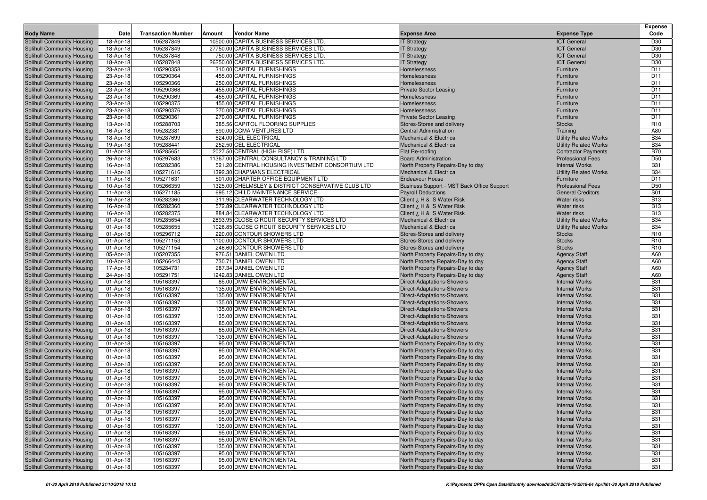| <b>Body Name</b>                                         | Date                   | <b>Transaction Number</b> | Vendor Name<br>Amount                                                                      | <b>Expense Area</b>                                                      | <b>Expense Type</b>                                          | <b>Expense</b><br>Code   |
|----------------------------------------------------------|------------------------|---------------------------|--------------------------------------------------------------------------------------------|--------------------------------------------------------------------------|--------------------------------------------------------------|--------------------------|
| Solihull Community Housing                               | 18-Apr-18              | 105287849                 | 10500.00 CAPITA BUSINESS SERVICES LTD.                                                     | <b>IT Strategy</b>                                                       | <b>ICT General</b>                                           | D30                      |
| Solihull Community Housing                               | 18-Apr-18              | 105287849                 | 27750.00 CAPITA BUSINESS SERVICES LTD.                                                     | <b>IT Strategy</b>                                                       | <b>ICT</b> General                                           | D30                      |
| Solihull Community Housing                               | 18-Apr-18              | 105287848                 | 750.00 CAPITA BUSINESS SERVICES LTD.                                                       | <b>IT Strategy</b>                                                       | <b>ICT General</b>                                           | D30                      |
| Solihull Community Housing                               | 18-Apr-18              | 105287848                 | 26250.00 CAPITA BUSINESS SERVICES LTD.                                                     | <b>IT Strategy</b>                                                       | <b>ICT General</b>                                           | D30                      |
| Solihull Community Housing                               | 23-Apr-18              | 105290358                 | 310.00 CAPITAL FURNISHINGS                                                                 | Homelessness                                                             | Furniture                                                    | D <sub>11</sub>          |
| Solihull Community Housing                               | 23-Apr-18              | 105290364                 | 455.00 CAPITAL FURNISHINGS                                                                 | Homelessness                                                             | Furniture                                                    | D <sub>11</sub>          |
| Solihull Community Housing                               | 23-Apr-18              | 105290366                 | 250.00 CAPITAL FURNISHINGS                                                                 | Homelessness                                                             | Furniture                                                    | D <sub>11</sub>          |
| Solihull Community Housing                               | 23-Apr-18              | 105290368                 | 455.00 CAPITAL FURNISHINGS                                                                 | <b>Private Sector Leasing</b>                                            | Furniture                                                    | D <sub>11</sub>          |
| Solihull Community Housing                               | 23-Apr-18              | 105290369                 | 455.00 CAPITAL FURNISHINGS                                                                 | Homelessness                                                             | Furniture                                                    | D11                      |
| Solihull Community Housing                               | 23-Apr-18              | 105290375                 | 455.00 CAPITAL FURNISHINGS                                                                 | Homelessness                                                             | Furniture                                                    | D <sub>11</sub>          |
| Solihull Community Housing                               | 23-Apr-18              | 105290376                 | 270.00 CAPITAL FURNISHINGS                                                                 | Homelessness                                                             | Furniture                                                    | D <sub>11</sub>          |
| Solihull Community Housing                               | 23-Apr-18              | 105290361                 | 270.00 CAPITAL FURNISHINGS                                                                 | <b>Private Sector Leasing</b>                                            | Furniture                                                    | D <sub>11</sub>          |
| Solihull Community Housing                               | 13-Apr-18              | 105288703                 | 385.56 CAPITOL FLOORING SUPPLIES                                                           | Stores-Stores and delivery                                               | <b>Stocks</b>                                                | R <sub>10</sub>          |
| Solihull Community Housing                               | 16-Apr-18              | 105282381                 | 690.00 CCMA VENTURES LTD                                                                   | <b>Central Administration</b>                                            | Training                                                     | A80                      |
| Solihull Community Housing                               | 18-Apr-18              | 105287699                 | 624.00 CEL ELECTRICAL                                                                      | <b>Mechanical &amp; Electrical</b>                                       | <b>Utility Related Works</b>                                 | <b>B34</b>               |
| Solihull Community Housing                               | 19-Apr-18              | 105288441                 | 252.50 CEL ELECTRICAL                                                                      | <b>Mechanical &amp; Electrical</b>                                       | <b>Utility Related Works</b>                                 | <b>B34</b>               |
| Solihull Community Housing                               | 01-Apr-18              | 105285651                 | 2027.50 CENTRAL (HIGH RISE) LTD                                                            | Flat Re-roofing                                                          | <b>Contractor Payments</b>                                   | <b>B70</b>               |
| Solihull Community Housing                               | 26-Apr-18              | 105297683                 | 11367.00 CENTRAL CONSULTANCY & TRAINING LTD                                                | <b>Board Administration</b>                                              | <b>Professional Fees</b>                                     | D <sub>50</sub>          |
| Solihull Community Housing                               | 16-Apr-18              | 105282386                 | 521.20 CENTRAL HOUSING INVESTMENT CONSORTIUM LTD                                           | North Property Repairs-Day to day                                        | <b>Internal Works</b>                                        | <b>B31</b>               |
| Solihull Community Housing                               | 11-Apr-18              | 105271616                 | 1392.30 CHAPMANS ELECTRICAL                                                                | <b>Mechanical &amp; Electrical</b>                                       | <b>Utility Related Works</b>                                 | <b>B34</b>               |
| Solihull Community Housing                               | 11-Apr-18              | 105271631                 | 501.00 CHARTER OFFICE EQUIPMENT LTD                                                        | <b>Endeavour House</b>                                                   | Furniture                                                    | D <sub>11</sub>          |
| Solihull Community Housing                               | 10-Apr-18              | 105266359                 | 1325.00 CHELMSLEY & DISTRICT CONSERVATIVE CLUB LTD                                         | Business Support - MST Back Office Support                               | <b>Professional Fees</b>                                     | D <sub>50</sub>          |
| Solihull Community Housing                               | 11-Apr-18              | 105271185                 | 695.12 CHILD MAINTENANCE SERVICE                                                           | <b>Payroll Deductions</b>                                                | <b>General Creditors</b>                                     | S01                      |
| Solihull Community Housing                               | 16-Apr-18              | 105282360                 | 311.95 CLEARWATER TECHNOLOGY LTD                                                           | Client ¿ H & S Water Risk                                                | <b>Water risks</b>                                           | <b>B13</b>               |
| Solihull Community Housing                               | 16-Apr-18              | 105282360                 | 572.89 CLEARWATER TECHNOLOGY LTD<br>884.84 CLEARWATER TECHNOLOGY LTD                       | Client ¿ H & S Water Risk                                                | <b>Water risks</b><br><b>Water risks</b>                     | <b>B13</b>               |
| Solihull Community Housing                               | 16-Apr-18              | 105282375                 |                                                                                            | Client ¿ H & S Water Risk                                                |                                                              | <b>B13</b><br><b>B34</b> |
| Solihull Community Housing                               | 01-Apr-18              | 105285654<br>105285655    | 2893.95 CLOSE CIRCUIT SECURITY SERVICES LTD<br>1026.85 CLOSE CIRCUIT SECURITY SERVICES LTD | <b>Mechanical &amp; Electrical</b><br><b>Mechanical &amp; Electrical</b> | <b>Utility Related Works</b><br><b>Utility Related Works</b> | <b>B34</b>               |
| Solihull Community Housing<br>Solihull Community Housing | 01-Apr-18<br>01-Apr-18 | 105296712                 | 220.00 CONTOUR SHOWERS LTD                                                                 | Stores-Stores and delivery                                               | <b>Stocks</b>                                                | R <sub>10</sub>          |
| Solihull Community Housing                               | 01-Apr-18              | 105271153                 | 1100.00 CONTOUR SHOWERS LTD                                                                | Stores-Stores and delivery                                               | <b>Stocks</b>                                                | R <sub>10</sub>          |
| Solihull Community Housing                               | 01-Apr-18              | 105271154                 | 246.60 CONTOUR SHOWERS LTD                                                                 | Stores-Stores and delivery                                               | <b>Stocks</b>                                                | R <sub>10</sub>          |
| Solihull Community Housing                               | 05-Apr-18              | 105207355                 | 976.51 DANIEL OWEN LTD                                                                     | North Property Repairs-Day to day                                        | <b>Agency Staff</b>                                          | A60                      |
| Solihull Community Housing                               | 10-Apr-18              | 105266443                 | 730.71 DANIEL OWEN LTD                                                                     | North Property Repairs-Day to day                                        | <b>Agency Staff</b>                                          | A60                      |
| Solihull Community Housing                               | 17-Apr-18              | 105284731                 | 987.34 DANIEL OWEN LTD                                                                     | North Property Repairs-Day to day                                        | <b>Agency Staff</b>                                          | A60                      |
| Solihull Community Housing                               | 24-Apr-18              | 105291751                 | 1242.83 DANIEL OWEN LTD                                                                    | North Property Repairs-Day to day                                        | <b>Agency Staff</b>                                          | A60                      |
| Solihull Community Housing                               | 01-Apr-18              | 105163397                 | 85.00 DMW ENVIRONMENTAL                                                                    | <b>Direct-Adaptations-Showers</b>                                        | <b>Internal Works</b>                                        | <b>B31</b>               |
| Solihull Community Housing                               | 01-Apr-18              | 105163397                 | 135.00 DMW ENVIRONMENTAL                                                                   | <b>Direct-Adaptations-Showers</b>                                        | <b>Internal Works</b>                                        | <b>B31</b>               |
| Solihull Community Housing                               | 01-Apr-18              | 105163397                 | 135.00 DMW ENVIRONMENTAL                                                                   | <b>Direct-Adaptations-Showers</b>                                        | <b>Internal Works</b>                                        | <b>B31</b>               |
| Solihull Community Housing                               | 01-Apr-18              | 105163397                 | 135.00 DMW ENVIRONMENTAL                                                                   | <b>Direct-Adaptations-Showers</b>                                        | <b>Internal Works</b>                                        | <b>B31</b>               |
| Solihull Community Housing                               | 01-Apr-18              | 105163397                 | 135.00 DMW ENVIRONMENTAL                                                                   | <b>Direct-Adaptations-Showers</b>                                        | <b>Internal Works</b>                                        | <b>B31</b>               |
| Solihull Community Housing                               | 01-Apr-18              | 105163397                 | 135.00 DMW ENVIRONMENTAL                                                                   | <b>Direct-Adaptations-Showers</b>                                        | <b>Internal Works</b>                                        | <b>B31</b>               |
| Solihull Community Housing                               | 01-Apr-18              | 105163397                 | 85.00 DMW ENVIRONMENTAL                                                                    | <b>Direct-Adaptations-Showers</b>                                        | <b>Internal Works</b>                                        | <b>B31</b>               |
| Solihull Community Housing                               | 01-Apr-18              | 105163397                 | 85.00 DMW ENVIRONMENTAL                                                                    | Direct-Adaptations-Showers                                               | <b>Internal Works</b>                                        | <b>B31</b>               |
| Solihull Community Housing                               | 01-Apr-18              | 105163397                 | 135.00 DMW ENVIRONMENTAL                                                                   | Direct-Adaptations-Showers                                               | <b>Internal Works</b>                                        | <b>B31</b>               |
| Solihull Community Housing                               | 01-Apr-18              | 105163397                 | 95.00 DMW ENVIRONMENTAL                                                                    | North Property Repairs-Day to day                                        | <b>Internal Works</b>                                        | <b>B31</b>               |
| Solihull Community Housing                               | 01-Apr-18              | 105163397                 | 95.00 DMW ENVIRONMENTAL                                                                    | North Property Repairs-Day to day                                        | <b>Internal Works</b>                                        | <b>B31</b>               |
| Solihull Community Housing                               | 01-Apr-18              | 105163397                 | 95.00 DMW ENVIRONMENTAL                                                                    | North Property Repairs-Day to day                                        | <b>Internal Works</b>                                        | <b>B31</b>               |
| Solihull Community Housing                               | 01-Apr-18              | 105163397                 | 95.00 DMW ENVIRONMENTAL                                                                    | North Property Repairs-Day to day                                        | <b>Internal Works</b>                                        | <b>B31</b>               |
| Solihull Community Housing                               | 01-Apr-18              | 105163397                 | 95.00 DMW ENVIRONMENTAL                                                                    | North Property Repairs-Day to day                                        | <b>Internal Works</b>                                        | <b>B31</b>               |
| Solihull Community Housing                               | 01-Apr-18              | 105163397                 | 95.00 DMW ENVIRONMENTAL                                                                    | North Property Repairs-Day to day                                        | <b>Internal Works</b>                                        | <b>B31</b>               |
| Solihull Community Housing                               | 01-Apr-18              | 105163397                 | 95.00 DMW ENVIRONMENTAL                                                                    | North Property Repairs-Day to day                                        | <b>Internal Works</b>                                        | <b>B31</b>               |
| Solihull Community Housing                               | 01-Apr-18              | 105163397                 | 95.00 DMW ENVIRONMENTAL                                                                    | North Property Repairs-Day to day                                        | <b>Internal Works</b>                                        | <b>B31</b>               |
| <b>Solihull Community Housing</b>                        | 01-Apr-18              | 105163397                 | 95.00 DMW ENVIRONMENTAL                                                                    | North Property Repairs-Day to day                                        | <b>Internal Works</b>                                        | <b>B31</b>               |
| Solihull Community Housing                               | 01-Apr-18              | 105163397                 | 95.00 DMW ENVIRONMENTAL                                                                    | North Property Repairs-Day to day                                        | <b>Internal Works</b>                                        | <b>B31</b>               |
| Solihull Community Housing                               | 01-Apr-18              | 105163397                 | 95.00 DMW ENVIRONMENTAL                                                                    | North Property Repairs-Day to day                                        | <b>Internal Works</b>                                        | <b>B31</b>               |
| Solihull Community Housing                               | 01-Apr-18              | 105163397                 | 95.00 DMW ENVIRONMENTAL                                                                    | North Property Repairs-Day to day                                        | <b>Internal Works</b>                                        | <b>B31</b>               |
| Solihull Community Housing                               | 01-Apr-18              | 105163397                 | 135.00 DMW ENVIRONMENTAL                                                                   | North Property Repairs-Day to day                                        | <b>Internal Works</b>                                        | <b>B31</b>               |
| Solihull Community Housing                               | 01-Apr-18              | 105163397                 | 95.00 DMW ENVIRONMENTAL                                                                    | North Property Repairs-Day to day                                        | <b>Internal Works</b>                                        | <b>B31</b>               |
| Solihull Community Housing                               | 01-Apr-18              | 105163397                 | 95.00 DMW ENVIRONMENTAL                                                                    | North Property Repairs-Day to day                                        | <b>Internal Works</b>                                        | <b>B31</b>               |
| Solihull Community Housing                               | 01-Apr-18              | 105163397                 | 135.00 DMW ENVIRONMENTAL<br>95.00 DMW ENVIRONMENTAL                                        | North Property Repairs-Day to day                                        | <b>Internal Works</b>                                        | <b>B31</b>               |
| Solihull Community Housing<br>Solihull Community Housing | 01-Apr-18              | 105163397<br>105163397    | 95.00 DMW ENVIRONMENTAL                                                                    | North Property Repairs-Day to day<br>North Property Repairs-Day to day   | <b>Internal Works</b><br><b>Internal Works</b>               | <b>B31</b><br><b>B31</b> |
| Solihull Community Housing                               | 01-Apr-18              |                           | 95.00 DMW ENVIRONMENTAL                                                                    | North Property Repairs-Day to day                                        |                                                              |                          |
|                                                          | 01-Apr-18              | 105163397                 |                                                                                            |                                                                          | <b>Internal Works</b>                                        | <b>B31</b>               |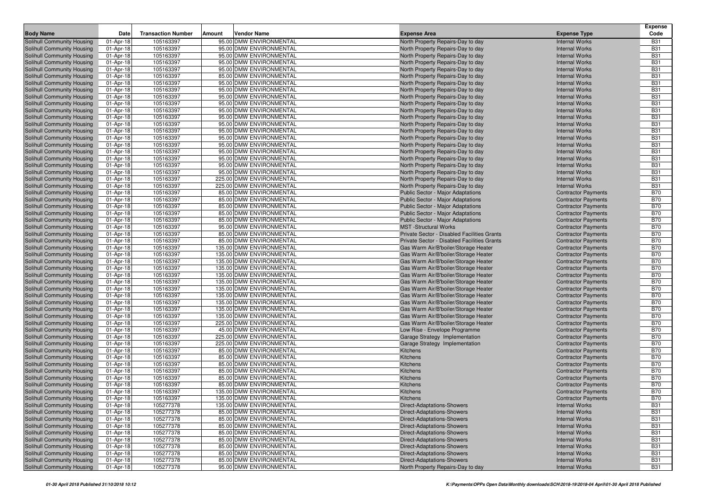|                                                                 |                        |                           |        |                                                    |                                                                               |                                                          | <b>Expense</b>           |
|-----------------------------------------------------------------|------------------------|---------------------------|--------|----------------------------------------------------|-------------------------------------------------------------------------------|----------------------------------------------------------|--------------------------|
| <b>Body Name</b>                                                | Date                   | <b>Transaction Number</b> | Amount | Vendor Name                                        | <b>Expense Area</b>                                                           | <b>Expense Type</b>                                      | Code                     |
| Solihull Community Housing                                      | 01-Apr-18              | 105163397                 |        | 95.00 DMW ENVIRONMENTAL                            | North Property Repairs-Day to day                                             | <b>Internal Works</b>                                    | <b>B31</b>               |
| Solihull Community Housing                                      | 01-Apr-18              | 105163397                 |        | 95.00 DMW ENVIRONMENTAL                            | North Property Repairs-Day to day                                             | <b>Internal Works</b>                                    | <b>B31</b>               |
| Solihull Community Housing                                      | 01-Apr-18              | 105163397                 |        | 95.00 DMW ENVIRONMENTAL                            | North Property Repairs-Day to day                                             | <b>Internal Works</b>                                    | <b>B31</b>               |
| Solihull Community Housing                                      | 01-Apr-18              | 105163397                 |        | 95.00 DMW ENVIRONMENTAL                            | North Property Repairs-Day to day                                             | <b>Internal Works</b>                                    | <b>B31</b>               |
| Solihull Community Housing                                      | 01-Apr-18              | 105163397                 |        | 95.00 DMW ENVIRONMENTAL                            | North Property Repairs-Day to day                                             | <b>Internal Works</b>                                    | <b>B31</b>               |
| Solihull Community Housing                                      | 01-Apr-18              | 105163397                 |        | 85.00 DMW ENVIRONMENTAL                            | North Property Repairs-Day to day                                             | <b>Internal Works</b>                                    | <b>B31</b>               |
| Solihull Community Housing                                      | 01-Apr-18              | 105163397                 |        | 95.00 DMW ENVIRONMENTAL                            | North Property Repairs-Day to day                                             | <b>Internal Works</b>                                    | <b>B31</b>               |
| Solihull Community Housing                                      | 01-Apr-18              | 105163397                 |        | 95.00 DMW ENVIRONMENTAL                            | North Property Repairs-Day to day                                             | <b>Internal Works</b>                                    | <b>B31</b>               |
| Solihull Community Housing                                      | 01-Apr-18              | 105163397                 |        | 95.00 DMW ENVIRONMENTAL                            | North Property Repairs-Day to day                                             | <b>Internal Works</b>                                    | <b>B31</b>               |
| Solihull Community Housing                                      | 01-Apr-18              | 105163397                 |        | 95.00 DMW ENVIRONMENTAL                            | North Property Repairs-Day to day                                             | <b>Internal Works</b>                                    | <b>B31</b>               |
| Solihull Community Housing                                      | 01-Apr-18              | 105163397                 |        | 95.00 DMW ENVIRONMENTAL<br>95.00 DMW ENVIRONMENTAL | North Property Repairs-Day to day                                             | <b>Internal Works</b>                                    | <b>B31</b>               |
| Solihull Community Housing                                      | 01-Apr-18              | 105163397                 |        |                                                    | North Property Repairs-Day to day                                             | <b>Internal Works</b><br><b>Internal Works</b>           | <b>B31</b><br><b>B31</b> |
| Solihull Community Housing<br>Solihull Community Housing        | 01-Apr-18              | 105163397                 |        | 95.00 DMW ENVIRONMENTAL<br>95.00 DMW ENVIRONMENTAL | North Property Repairs-Day to day                                             |                                                          | <b>B31</b>               |
|                                                                 | 01-Apr-18              | 105163397                 |        | 95.00 DMW ENVIRONMENTAL                            | North Property Repairs-Day to day                                             | <b>Internal Works</b><br><b>Internal Works</b>           |                          |
| Solihull Community Housing<br><b>Solihull Community Housing</b> | 01-Apr-18              | 105163397<br>105163397    |        | 95.00 DMW ENVIRONMENTAL                            | North Property Repairs-Day to day                                             |                                                          | <b>B31</b><br><b>B31</b> |
| Solihull Community Housing                                      | 01-Apr-18<br>01-Apr-18 | 105163397                 |        | 95.00 DMW ENVIRONMENTAL                            | North Property Repairs-Day to day                                             | <b>Internal Works</b><br><b>Internal Works</b>           | <b>B31</b>               |
|                                                                 |                        | 105163397                 |        | 95.00 DMW ENVIRONMENTAL                            | North Property Repairs-Day to day                                             |                                                          | <b>B31</b>               |
| Solihull Community Housing                                      | 01-Apr-18              | 105163397                 |        | 95.00 DMW ENVIRONMENTAL                            | North Property Repairs-Day to day                                             | <b>Internal Works</b><br><b>Internal Works</b>           | <b>B31</b>               |
| Solihull Community Housing                                      | 01-Apr-18              | 105163397                 |        | 95.00 DMW ENVIRONMENTAL                            | North Property Repairs-Day to day                                             | <b>Internal Works</b>                                    | <b>B31</b>               |
| Solihull Community Housing                                      | 01-Apr-18              | 105163397                 |        | 225.00 DMW ENVIRONMENTAL                           | North Property Repairs-Day to day                                             |                                                          | <b>B31</b>               |
| Solihull Community Housing                                      | 01-Apr-18<br>01-Apr-18 | 105163397                 |        | 225.00 DMW ENVIRONMENTAL                           | North Property Repairs-Day to day                                             | <b>Internal Works</b><br><b>Internal Works</b>           | <b>B31</b>               |
| Solihull Community Housing<br>Solihull Community Housing        | 01-Apr-18              | 105163397                 |        | 85.00 DMW ENVIRONMENTAL                            | North Property Repairs-Day to day<br><b>Public Sector - Major Adaptations</b> |                                                          | <b>B70</b>               |
| Solihull Community Housing                                      | 01-Apr-18              | 105163397                 |        | 85.00 DMW ENVIRONMENTAL                            | Public Sector - Major Adaptations                                             | <b>Contractor Payments</b><br><b>Contractor Payments</b> | <b>B70</b>               |
| Solihull Community Housing                                      | 01-Apr-18              | 105163397                 |        | 85.00 DMW ENVIRONMENTAL                            | <b>Public Sector - Major Adaptations</b>                                      | <b>Contractor Payments</b>                               | <b>B70</b>               |
| Solihull Community Housing                                      | 01-Apr-18              | 105163397                 |        | 85.00 DMW ENVIRONMENTAL                            | Public Sector - Major Adaptations                                             | <b>Contractor Payments</b>                               | <b>B70</b>               |
| Solihull Community Housing                                      | 01-Apr-18              | 105163397                 |        | 85.00 DMW ENVIRONMENTAL                            | <b>Public Sector - Major Adaptations</b>                                      | <b>Contractor Payments</b>                               | <b>B70</b>               |
| Solihull Community Housing                                      | 01-Apr-18              | 105163397                 |        | 95.00 DMW ENVIRONMENTAL                            | <b>MST</b> -Structural Works                                                  | <b>Contractor Payments</b>                               | <b>B70</b>               |
| Solihull Community Housing                                      | 01-Apr-18              | 105163397                 |        | 85.00 DMW ENVIRONMENTAL                            | Private Sector - Disabled Facilities Grants                                   | <b>Contractor Payments</b>                               | <b>B70</b>               |
| Solihull Community Housing                                      | 01-Apr-18              | 105163397                 |        | 85.00 DMW ENVIRONMENTAL                            | Private Sector - Disabled Facilities Grants                                   | <b>Contractor Payments</b>                               | <b>B70</b>               |
| Solihull Community Housing                                      | 01-Apr-18              | 105163397                 |        | 135.00 DMW ENVIRONMENTAL                           | Gas Warm Air/B'boiler/Storage Heater                                          | <b>Contractor Payments</b>                               | <b>B70</b>               |
| Solihull Community Housing                                      | 01-Apr-18              | 105163397                 |        | 135.00 DMW ENVIRONMENTAL                           | Gas Warm Air/B'boiler/Storage Heater                                          | <b>Contractor Payments</b>                               | <b>B70</b>               |
| Solihull Community Housing                                      | 01-Apr-18              | 105163397                 |        | 135.00 DMW ENVIRONMENTAL                           | Gas Warm Air/B'boiler/Storage Heater                                          | <b>Contractor Payments</b>                               | <b>B70</b>               |
| Solihull Community Housing                                      | 01-Apr-18              | 105163397                 |        | 135.00 DMW ENVIRONMENTAL                           | Gas Warm Air/B'boiler/Storage Heater                                          | <b>Contractor Payments</b>                               | <b>B70</b>               |
| Solihull Community Housing                                      | 01-Apr-18              | 105163397                 |        | 135.00 DMW ENVIRONMENTAL                           | Gas Warm Air/B'boiler/Storage Heater                                          | <b>Contractor Payments</b>                               | <b>B70</b>               |
| Solihull Community Housing                                      | 01-Apr-18              | 105163397                 |        | 135.00 DMW ENVIRONMENTAL                           | Gas Warm Air/B'boiler/Storage Heater                                          | <b>Contractor Payments</b>                               | <b>B70</b>               |
| Solihull Community Housing                                      | 01-Apr-18              | 105163397                 |        | 135.00 DMW ENVIRONMENTAL                           | Gas Warm Air/B'boiler/Storage Heater                                          | <b>Contractor Payments</b>                               | <b>B70</b>               |
| Solihull Community Housing                                      | 01-Apr-18              | 105163397                 |        | 135.00 DMW ENVIRONMENTAL                           | Gas Warm Air/B'boiler/Storage Heater                                          | <b>Contractor Payments</b>                               | <b>B70</b>               |
| Solihull Community Housing                                      | 01-Apr-18              | 105163397                 |        | 135.00 DMW ENVIRONMENTAL                           | Gas Warm Air/B'boiler/Storage Heater                                          | <b>Contractor Payments</b>                               | <b>B70</b>               |
| Solihull Community Housing                                      | 01-Apr-18              | 105163397                 |        | 135.00 DMW ENVIRONMENTAL                           | Gas Warm Air/B'boiler/Storage Heater                                          | <b>Contractor Payments</b>                               | <b>B70</b>               |
| Solihull Community Housing                                      | 01-Apr-18              | 105163397                 |        | 135.00 DMW ENVIRONMENTAL                           | Gas Warm Air/B'boiler/Storage Heater                                          | <b>Contractor Payments</b>                               | <b>B70</b>               |
| Solihull Community Housing                                      | 01-Apr-18              | 105163397                 |        | 225.00 DMW ENVIRONMENTAL                           | Gas Warm Air/B'boiler/Storage Heater                                          | <b>Contractor Payments</b>                               | <b>B70</b>               |
| Solihull Community Housing                                      | 01-Apr-18              | 105163397                 |        | 45.00 DMW ENVIRONMENTAL                            | Low Rise - Envelope Programme                                                 | <b>Contractor Payments</b>                               | <b>B70</b>               |
| Solihull Community Housing                                      | 01-Apr-18              | 105163397                 |        | 225.00 DMW ENVIRONMENTAL                           | Garage Strategy Implementation                                                | <b>Contractor Payments</b>                               | <b>B70</b>               |
| Solihull Community Housing                                      | 01-Apr-18              | 105163397                 |        | 225.00 DMW ENVIRONMENTAL                           | Garage Strategy Implementation                                                | <b>Contractor Payments</b>                               | <b>B70</b>               |
| Solihull Community Housing                                      | 01-Apr-18              | 105163397                 |        | 85.00 DMW ENVIRONMENTAL                            | Kitchens                                                                      | <b>Contractor Payments</b>                               | <b>B70</b>               |
| Solihull Community Housing                                      | 01-Apr-18              | 105163397                 |        | 85.00 DMW ENVIRONMENTAL                            | Kitchens                                                                      | <b>Contractor Payments</b>                               | <b>B70</b>               |
| Solihull Community Housing                                      | 01-Apr-18              | 105163397                 |        | 85.00 DMW ENVIRONMENTAL                            | Kitchens                                                                      | <b>Contractor Payments</b>                               | <b>B70</b>               |
| Solihull Community Housing                                      | 01-Apr-18              | 105163397                 |        | 85.00 DMW ENVIRONMENTAL                            | Kitchens                                                                      | <b>Contractor Payments</b>                               | <b>B70</b>               |
| Solihull Community Housing                                      | 01-Apr-18              | 105163397                 |        | 85.00 DMW ENVIRONMENTAL                            | Kitchens                                                                      | <b>Contractor Payments</b>                               | <b>B70</b>               |
| Solihull Community Housing                                      | 01-Apr-18              | 105163397                 |        | 85.00 DMW ENVIRONMENTAL                            | Kitchens                                                                      | <b>Contractor Payments</b>                               | <b>B70</b>               |
| Solihull Community Housing                                      | 01-Apr-18              | 105163397                 |        | 135.00 DMW ENVIRONMENTAL                           | Kitchens                                                                      | <b>Contractor Payments</b>                               | <b>B70</b>               |
| Solihull Community Housing                                      | 01-Apr-18              | 105163397                 |        | 135.00 DMW ENVIRONMENTAL                           | Kitchens                                                                      | <b>Contractor Payments</b>                               | <b>B70</b>               |
| Solihull Community Housing                                      | 01-Apr-18              | 105277378                 |        | 135.00 DMW ENVIRONMENTAL                           | <b>Direct-Adaptations-Showers</b>                                             | <b>Internal Works</b>                                    | <b>B31</b>               |
| Solihull Community Housing                                      | 01-Apr-18              | 105277378                 |        | 85.00 DMW ENVIRONMENTAL                            | Direct-Adaptations-Showers                                                    | <b>Internal Works</b>                                    | <b>B31</b>               |
| Solihull Community Housing                                      | 01-Apr-18              | 105277378                 |        | 85.00 DMW ENVIRONMENTAL                            | Direct-Adaptations-Showers                                                    | <b>Internal Works</b>                                    | <b>B31</b>               |
| Solihull Community Housing                                      | 01-Apr-18              | 105277378                 |        | 85.00 DMW ENVIRONMENTAL                            | Direct-Adaptations-Showers                                                    | <b>Internal Works</b>                                    | <b>B31</b>               |
| Solihull Community Housing                                      | 01-Apr-18              | 105277378                 |        | 85.00 DMW ENVIRONMENTAL                            | <b>Direct-Adaptations-Showers</b>                                             | <b>Internal Works</b>                                    | <b>B31</b>               |
| Solihull Community Housing                                      | 01-Apr-18              | 105277378                 |        | 85.00 DMW ENVIRONMENTAL                            | Direct-Adaptations-Showers                                                    | <b>Internal Works</b>                                    | <b>B31</b>               |
| Solihull Community Housing                                      | 01-Apr-18              | 105277378                 |        | 85.00 DMW ENVIRONMENTAL                            | Direct-Adaptations-Showers                                                    | <b>Internal Works</b>                                    | <b>B31</b>               |
| Solihull Community Housing                                      | 01-Apr-18              | 105277378                 |        | 85.00 DMW ENVIRONMENTAL                            | <b>Direct-Adaptations-Showers</b>                                             | <b>Internal Works</b>                                    | <b>B31</b>               |
| Solihull Community Housing                                      | 01-Apr-18              | 105277378                 |        | 85.00 DMW ENVIRONMENTAL                            | <b>Direct-Adaptations-Showers</b>                                             | <b>Internal Works</b>                                    | <b>B31</b>               |
| Solihull Community Housing                                      | 01-Apr-18              | 105277378                 |        | 95.00 DMW ENVIRONMENTAL                            | North Property Repairs-Day to day                                             | <b>Internal Works</b>                                    | <b>B31</b>               |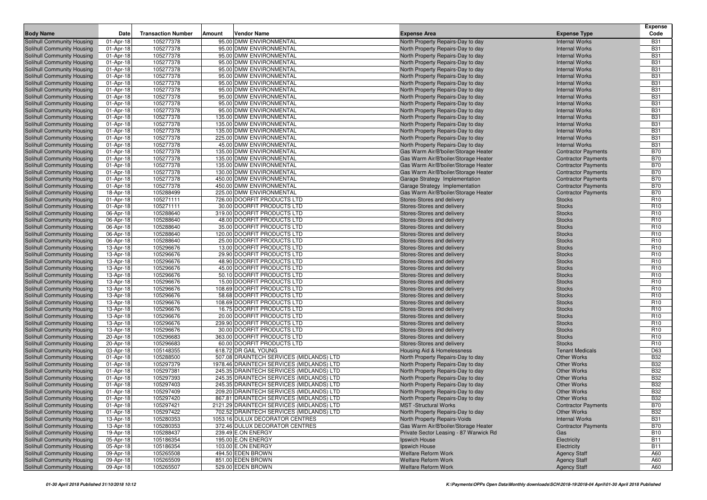| <b>Body Name</b>                                         | Date                   | <b>Transaction Number</b> | Vendor Name<br>Amount                                     | <b>Expense Area</b>                                      | <b>Expense Type</b>            | <b>Expense</b><br>Code             |
|----------------------------------------------------------|------------------------|---------------------------|-----------------------------------------------------------|----------------------------------------------------------|--------------------------------|------------------------------------|
| Solihull Community Housing                               | 01-Apr-18              | 105277378                 | 95.00 DMW ENVIRONMENTAL                                   | North Property Repairs-Day to day                        | <b>Internal Works</b>          | <b>B31</b>                         |
| Solihull Community Housing                               | 01-Apr-18              | 105277378                 | 95.00 DMW ENVIRONMENTAL                                   | North Property Repairs-Day to day                        | <b>Internal Works</b>          | <b>B31</b>                         |
| Solihull Community Housing                               | 01-Apr-18              | 105277378                 | 95.00 DMW ENVIRONMENTAL                                   | North Property Repairs-Day to day                        | <b>Internal Works</b>          | <b>B31</b>                         |
| Solihull Community Housing                               | 01-Apr-18              | 105277378                 | 95.00 DMW ENVIRONMENTAL                                   | North Property Repairs-Day to day                        | <b>Internal Works</b>          | <b>B31</b>                         |
| Solihull Community Housing                               | 01-Apr-18              | 105277378                 | 95.00 DMW ENVIRONMENTAL                                   | North Property Repairs-Day to day                        | <b>Internal Works</b>          | <b>B31</b>                         |
| Solihull Community Housing                               | 01-Apr-18              | 105277378                 | 95.00 DMW ENVIRONMENTAL                                   | North Property Repairs-Day to day                        | <b>Internal Works</b>          | <b>B31</b>                         |
| Solihull Community Housing                               | 01-Apr-18              | 105277378                 | 95.00 DMW ENVIRONMENTAL                                   | North Property Repairs-Day to day                        | <b>Internal Works</b>          | <b>B31</b>                         |
| Solihull Community Housing                               | 01-Apr-18              | 105277378                 | 95.00 DMW ENVIRONMENTAL                                   | North Property Repairs-Day to day                        | <b>Internal Works</b>          | <b>B31</b>                         |
| Solihull Community Housing                               | 01-Apr-18              | 105277378                 | 95.00 DMW ENVIRONMENTAL                                   | North Property Repairs-Day to day                        | <b>Internal Works</b>          | <b>B31</b>                         |
| Solihull Community Housing                               | 01-Apr-18              | 105277378                 | 95.00 DMW ENVIRONMENTAL                                   | North Property Repairs-Day to day                        | <b>Internal Works</b>          | <b>B31</b>                         |
| Solihull Community Housing                               | 01-Apr-18              | 105277378                 | 95.00 DMW ENVIRONMENTAL                                   | North Property Repairs-Day to day                        | <b>Internal Works</b>          | <b>B31</b>                         |
| Solihull Community Housing                               | 01-Apr-18              | 105277378                 | 135.00 DMW ENVIRONMENTAL                                  | North Property Repairs-Day to day                        | <b>Internal Works</b>          | <b>B31</b>                         |
| Solihull Community Housing                               | 01-Apr-18              | 105277378                 | 135.00 DMW ENVIRONMENTAL                                  | North Property Repairs-Day to day                        | <b>Internal Works</b>          | <b>B31</b>                         |
| Solihull Community Housing                               | 01-Apr-18              | 105277378                 | 135.00 DMW ENVIRONMENTAL                                  | North Property Repairs-Day to day                        | <b>Internal Works</b>          | <b>B31</b>                         |
| Solihull Community Housing                               | 01-Apr-18              | 105277378                 | 225.00 DMW ENVIRONMENTAL                                  | North Property Repairs-Day to day                        | <b>Internal Works</b>          | <b>B31</b>                         |
| Solihull Community Housing                               | 01-Apr-18              | 105277378                 | 45.00 DMW ENVIRONMENTAL                                   | North Property Repairs-Day to day                        | <b>Internal Works</b>          | <b>B31</b>                         |
| Solihull Community Housing                               | 01-Apr-18              | 105277378                 | 135.00 DMW ENVIRONMENTAL                                  | Gas Warm Air/B'boiler/Storage Heater                     | <b>Contractor Payments</b>     | <b>B70</b>                         |
| Solihull Community Housing                               | 01-Apr-18              | 105277378                 | 135.00 DMW ENVIRONMENTAL                                  | Gas Warm Air/B'boiler/Storage Heater                     | <b>Contractor Payments</b>     | <b>B70</b>                         |
| Solihull Community Housing                               | 01-Apr-18              | 105277378                 | 135.00 DMW ENVIRONMENTAL                                  | Gas Warm Air/B'boiler/Storage Heater                     | <b>Contractor Payments</b>     | <b>B70</b>                         |
| Solihull Community Housing                               | 01-Apr-18              | 105277378                 | 130.00 DMW ENVIRONMENTAL                                  | Gas Warm Air/B'boiler/Storage Heater                     | <b>Contractor Payments</b>     | <b>B70</b>                         |
| Solihull Community Housing                               | 01-Apr-18              | 105277378                 | 450.00 DMW ENVIRONMENTAL                                  | Garage Strategy Implementation                           | <b>Contractor Payments</b>     | <b>B70</b>                         |
| Solihull Community Housing                               | 01-Apr-18              | 105277378                 | 450.00 DMW ENVIRONMENTAL                                  | Garage Strategy Implementation                           | <b>Contractor Payments</b>     | <b>B70</b>                         |
| Solihull Community Housing<br>Solihull Community Housing | 18-Apr-18              | 105288499                 | 225.00 DMW ENVIRONMENTAL                                  | Gas Warm Air/B'boiler/Storage Heater                     | <b>Contractor Payments</b>     | <b>B70</b>                         |
|                                                          | 01-Apr-18              | 105271111<br>105271111    | 726.00 DOORFIT PRODUCTS LTD<br>30.00 DOORFIT PRODUCTS LTD | Stores-Stores and delivery<br>Stores-Stores and delivery | <b>Stocks</b><br><b>Stocks</b> | R <sub>10</sub><br>R <sub>10</sub> |
| Solihull Community Housing<br>Solihull Community Housing | 01-Apr-18<br>06-Apr-18 | 105288640                 | 319.00 DOORFIT PRODUCTS LTD                               | Stores-Stores and delivery                               | <b>Stocks</b>                  | R <sub>10</sub>                    |
| Solihull Community Housing                               | 06-Apr-18              | 105288640                 | 48.00 DOORFIT PRODUCTS LTD                                | Stores-Stores and delivery                               | <b>Stocks</b>                  | R <sub>10</sub>                    |
| Solihull Community Housing                               | 06-Apr-18              | 105288640                 | 35.00 DOORFIT PRODUCTS LTD                                | Stores-Stores and delivery                               | <b>Stocks</b>                  | R <sub>10</sub>                    |
| Solihull Community Housing                               | 06-Apr-18              | 105288640                 | 120.00 DOORFIT PRODUCTS LTD                               | Stores-Stores and delivery                               | <b>Stocks</b>                  | R <sub>10</sub>                    |
| Solihull Community Housing                               | 06-Apr-18              | 105288640                 | 25.00 DOORFIT PRODUCTS LTD                                | Stores-Stores and delivery                               | <b>Stocks</b>                  | R <sub>10</sub>                    |
| Solihull Community Housing                               | 13-Apr-18              | 105296676                 | 13.00 DOORFIT PRODUCTS LTD                                | Stores-Stores and delivery                               | <b>Stocks</b>                  | R <sub>10</sub>                    |
| Solihull Community Housing                               | 13-Apr-18              | 105296676                 | 29.90 DOORFIT PRODUCTS LTD                                | Stores-Stores and delivery                               | <b>Stocks</b>                  | R <sub>10</sub>                    |
| Solihull Community Housing                               | 13-Apr-18              | 105296676                 | 48.90 DOORFIT PRODUCTS LTD                                | Stores-Stores and delivery                               | <b>Stocks</b>                  | R <sub>10</sub>                    |
| Solihull Community Housing                               | 13-Apr-18              | 105296676                 | 45.00 DOORFIT PRODUCTS LTD                                | Stores-Stores and delivery                               | <b>Stocks</b>                  | R <sub>10</sub>                    |
| Solihull Community Housing                               | 13-Apr-18              | 105296676                 | 50.10 DOORFIT PRODUCTS LTD                                | Stores-Stores and delivery                               | <b>Stocks</b>                  | R <sub>10</sub>                    |
| Solihull Community Housing                               | 13-Apr-18              | 105296676                 | 15.00 DOORFIT PRODUCTS LTD                                | Stores-Stores and delivery                               | <b>Stocks</b>                  | R <sub>10</sub>                    |
| Solihull Community Housing                               | 13-Apr-18              | 105296676                 | 108.69 DOORFIT PRODUCTS LTD                               | Stores-Stores and delivery                               | <b>Stocks</b>                  | R <sub>10</sub>                    |
| Solihull Community Housing                               | 13-Apr-18              | 105296676                 | 58.68 DOORFIT PRODUCTS LTD                                | Stores-Stores and delivery                               | <b>Stocks</b>                  | R <sub>10</sub>                    |
| <b>Solihull Community Housing</b>                        | 13-Apr-18              | 105296676                 | 108.69 DOORFIT PRODUCTS LTD                               | Stores-Stores and delivery                               | <b>Stocks</b>                  | R <sub>10</sub>                    |
| Solihull Community Housing                               | 13-Apr-18              | 105296676                 | 16.75 DOORFIT PRODUCTS LTD                                | Stores-Stores and delivery                               | <b>Stocks</b>                  | R <sub>10</sub>                    |
| Solihull Community Housing                               | 13-Apr-18              | 105296676                 | 20.00 DOORFIT PRODUCTS LTD                                | Stores-Stores and delivery                               | <b>Stocks</b>                  | R <sub>10</sub>                    |
| Solihull Community Housing                               | 13-Apr-18              | 105296676                 | 239.90 DOORFIT PRODUCTS LTD                               | Stores-Stores and delivery                               | <b>Stocks</b>                  | R <sub>10</sub>                    |
| Solihull Community Housing                               | 13-Apr-18              | 105296676                 | 30.00 DOORFIT PRODUCTS LTD                                | Stores-Stores and delivery                               | <b>Stocks</b>                  | R <sub>10</sub>                    |
| Solihull Community Housing                               | 20-Apr-18              | 105296683                 | 363.00 DOORFIT PRODUCTS LTD                               | Stores-Stores and delivery                               | <b>Stocks</b>                  | R <sub>10</sub>                    |
| Solihull Community Housing                               | 20-Apr-18              | 105296683                 | 60.00 DOORFIT PRODUCTS LTD                                | Stores-Stores and delivery                               | <b>Stocks</b>                  | R <sub>10</sub>                    |
| Solihull Community Housing                               | 03-Apr-18              | 105148355                 | 618.72 DR GAIL YOUNG                                      | Housing Aid & Homelessness                               | <b>Tenant Medicals</b>         | D63                                |
| Solihull Community Housing                               | 01-Apr-18              | 105288500                 | 507.08 DRAINTECH SERVICES (MIDLANDS) LTD                  | North Property Repairs-Day to day                        | <b>Other Works</b>             | <b>B32</b>                         |
| Solihull Community Housing                               | 01-Apr-18              | 105297379                 | 1978.46 DRAINTECH SERVICES (MIDLANDS) LTD                 | North Property Repairs-Day to day                        | <b>Other Works</b>             | <b>B32</b>                         |
| Solihull Community Housing                               | 01-Apr-18              | 105297381                 | 245.35 DRAINTECH SERVICES (MIDLANDS) LTD                  | North Property Repairs-Day to day                        | <b>Other Works</b>             | <b>B32</b>                         |
| Solihull Community Housing                               | 01-Apr-18              | 105297393                 | 245.35 DRAINTECH SERVICES (MIDLANDS) LTD                  | North Property Repairs-Day to day                        | <b>Other Works</b>             | <b>B32</b>                         |
| Solihull Community Housing                               | 01-Apr-18              | 105297403                 | 245.35 DRAINTECH SERVICES (MIDLANDS) LTD                  | North Property Repairs-Day to day                        | <b>Other Works</b>             | <b>B32</b>                         |
| Solihull Community Housing                               | 01-Apr-18              | 105297409                 | 209.20 DRAINTECH SERVICES (MIDLANDS) LTD                  | North Property Repairs-Day to day                        | <b>Other Works</b>             | <b>B32</b>                         |
| Solihull Community Housing                               | 01-Apr-18              | 105297420                 | 867.81 DRAINTECH SERVICES (MIDLANDS) LTD                  | North Property Repairs-Day to day                        | Other Works                    | <b>B32</b>                         |
| Solihull Community Housing                               | 01-Apr-18              | 105297421                 | 2121.29 DRAINTECH SERVICES (MIDLANDS) LTD                 | <b>MST</b> -Structural Works                             | <b>Contractor Payments</b>     | <b>B70</b>                         |
| Solihull Community Housing                               | 01-Apr-18              | 105297422                 | 702.52 DRAINTECH SERVICES (MIDLANDS) LTD                  | North Property Repairs-Day to day                        | Other Works                    | <b>B32</b>                         |
| Solihull Community Housing                               | 13-Apr-18              | 105280353                 | 1053.16 DULUX DECORATOR CENTRES                           | North Property Repairs-Voids                             | <b>Internal Works</b>          | <b>B31</b>                         |
| Solihull Community Housing                               | 13-Apr-18              | 105280353                 | 372.46 DULUX DECORATOR CENTRES                            | Gas Warm Air/B'boiler/Storage Heater                     | <b>Contractor Payments</b>     | <b>B70</b>                         |
| Solihull Community Housing                               | 19-Apr-18              | 105288437                 | 239.49 E.ON ENERGY<br>195.00 E.ON ENERGY                  | Private Sector Leasing - 87 Warwick Rd                   | Gas                            | <b>B10</b>                         |
| Solihull Community Housing<br>Solihull Community Housing | 05-Apr-18<br>05-Apr-18 | 105186354<br>105186354    | 103.00 E.ON ENERGY                                        | Ipswich House<br>Ipswich House                           | Electricity<br>Electricity     | <b>B11</b><br><b>B11</b>           |
| Solihull Community Housing                               | 09-Apr-18              | 105265508                 | 494.50 EDEN BROWN                                         | <b>Welfare Reform Work</b>                               | <b>Agency Staff</b>            | A60                                |
| Solihull Community Housing                               | 09-Apr-18              | 105265509                 | 851.00 EDEN BROWN                                         | <b>Welfare Reform Work</b>                               | <b>Agency Staff</b>            | A60                                |
| Solihull Community Housing                               | 09-Apr-18              | 105265507                 | 529.00 EDEN BROWN                                         | <b>Welfare Reform Work</b>                               | <b>Agency Staff</b>            | A60                                |
|                                                          |                        |                           |                                                           |                                                          |                                |                                    |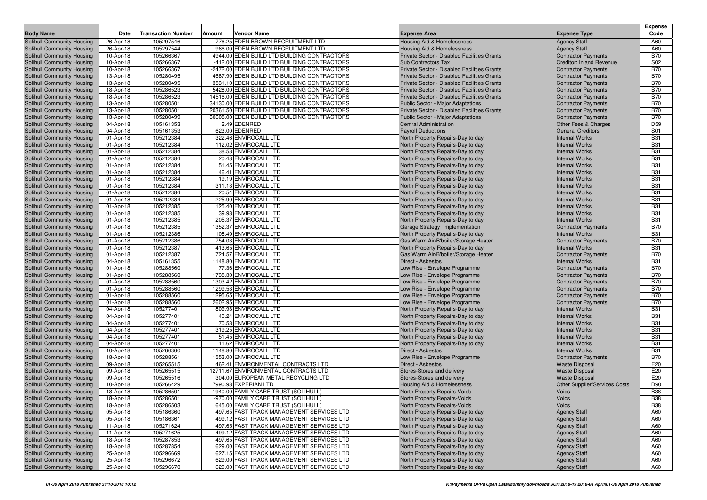| <b>Body Name</b>                                         | Date                   | <b>Transaction Number</b> | Amount | Vendor Name                                    | <b>Expense Area</b>                                            | <b>Expense Type</b>                                 | <b>Expense</b><br>Code   |
|----------------------------------------------------------|------------------------|---------------------------|--------|------------------------------------------------|----------------------------------------------------------------|-----------------------------------------------------|--------------------------|
| Solihull Community Housing                               | 26-Apr-18              | 105297546                 |        | 776.25 EDEN BROWN RECRUITMENT LTD              | <b>Housing Aid &amp; Homelessness</b>                          | <b>Agency Staff</b>                                 | A60                      |
| Solihull Community Housing                               | 26-Apr-18              | 105297544                 |        | 966.00 EDEN BROWN RECRUITMENT LTD              | Housing Aid & Homelessness                                     | <b>Agency Staff</b>                                 | A60                      |
| Solihull Community Housing                               | 10-Apr-18              | 105266367                 |        | 4944.00 EDEN BUILD LTD BUILDING CONTRACTORS    | Private Sector - Disabled Facilities Grants                    | <b>Contractor Payments</b>                          | <b>B70</b>               |
| Solihull Community Housing                               | 10-Apr-18              | 105266367                 |        | -412.00 EDEN BUILD LTD BUILDING CONTRACTORS    | <b>Sub Contractors Tax</b>                                     | <b>Creditor: Inland Revenue</b>                     | S02                      |
| Solihull Community Housing                               | 10-Apr-18              | 105266367                 |        | -2472.00 EDEN BUILD LTD BUILDING CONTRACTORS   | Private Sector - Disabled Facilities Grants                    | <b>Contractor Payments</b>                          | <b>B70</b>               |
| Solihull Community Housing                               | 13-Apr-18              | 105280495                 |        | 4687.90 EDEN BUILD LTD BUILDING CONTRACTORS    | Private Sector - Disabled Facilities Grants                    | <b>Contractor Payments</b>                          | <b>B70</b>               |
| Solihull Community Housing                               | 13-Apr-18              | 105280495                 |        | 3531.10 EDEN BUILD LTD BUILDING CONTRACTORS    | Private Sector - Disabled Facilities Grants                    | <b>Contractor Payments</b>                          | <b>B70</b>               |
| Solihull Community Housing                               | 18-Apr-18              | 105286523                 |        | 5428.00 EDEN BUILD LTD BUILDING CONTRACTORS    | Private Sector - Disabled Facilities Grants                    | <b>Contractor Payments</b>                          | <b>B70</b>               |
| Solihull Community Housing                               | 18-Apr-18              | 105286523                 |        | 14516.00 EDEN BUILD LTD BUILDING CONTRACTORS   | Private Sector - Disabled Facilities Grants                    | <b>Contractor Payments</b>                          | <b>B70</b>               |
| Solihull Community Housing                               | 13-Apr-18              | 105280501                 |        | 34130.00 EDEN BUILD LTD BUILDING CONTRACTORS   | Public Sector - Major Adaptations                              | <b>Contractor Payments</b>                          | <b>B70</b>               |
| Solihull Community Housing                               | 13-Apr-18              | 105280501                 |        | 20361.50 EDEN BUILD LTD BUILDING CONTRACTORS   | Private Sector - Disabled Facilities Grants                    | <b>Contractor Payments</b>                          | <b>B70</b>               |
| Solihull Community Housing                               | 13-Apr-18              | 105280499                 |        | 30605.00 EDEN BUILD LTD BUILDING CONTRACTORS   | Public Sector - Major Adaptations                              | <b>Contractor Payments</b>                          | <b>B70</b>               |
| Solihull Community Housing                               | 04-Apr-18              | 105161353                 |        | 2.49 EDENRED                                   | <b>Central Administration</b>                                  | Other Fees & Charges                                | D <sub>59</sub>          |
| Solihull Community Housing                               | 04-Apr-18              | 105161353                 |        | 623.00 EDENRED                                 | <b>Payroll Deductions</b>                                      | <b>General Creditors</b>                            | S01                      |
| Solihull Community Housing                               | 01-Apr-18              | 105212384                 |        | 322.46 ENVIROCALL LTD                          | North Property Repairs-Day to day                              | <b>Internal Works</b>                               | <b>B31</b>               |
| Solihull Community Housing                               | 01-Apr-18              | 105212384                 |        | 112.02 ENVIROCALL LTD                          | North Property Repairs-Day to day                              | <b>Internal Works</b>                               | <b>B31</b>               |
| Solihull Community Housing                               | 01-Apr-18              | 105212384                 |        | 38.58 ENVIROCALL LTD                           | North Property Repairs-Day to day                              | <b>Internal Works</b>                               | <b>B31</b>               |
| Solihull Community Housing                               | 01-Apr-18              | 105212384                 |        | 20.48 ENVIROCALL LTD                           | North Property Repairs-Day to day                              | <b>Internal Works</b>                               | <b>B31</b>               |
| Solihull Community Housing                               | 01-Apr-18              | 105212384                 |        | 51.45 ENVIROCALL LTD                           | North Property Repairs-Day to day                              | <b>Internal Works</b>                               | <b>B31</b>               |
| Solihull Community Housing                               | 01-Apr-18              | 105212384                 |        | 46.41 ENVIROCALL LTD                           | North Property Repairs-Day to day                              | <b>Internal Works</b>                               | <b>B31</b>               |
| Solihull Community Housing                               | 01-Apr-18              | 105212384                 |        | 19.19 ENVIROCALL LTD                           | North Property Repairs-Day to day                              | <b>Internal Works</b>                               | <b>B31</b>               |
| Solihull Community Housing                               | 01-Apr-18              | 105212384                 |        | 311.13 ENVIROCALL LTD                          | North Property Repairs-Day to day                              | <b>Internal Works</b>                               | <b>B31</b>               |
| Solihull Community Housing                               | 01-Apr-18              | 105212384                 |        | 20.54 ENVIROCALL LTD                           | North Property Repairs-Day to day                              | <b>Internal Works</b>                               | <b>B31</b>               |
| Solihull Community Housing                               | 01-Apr-18              | 105212384                 |        | 225.90 ENVIROCALL LTD                          | North Property Repairs-Day to day                              | <b>Internal Works</b>                               | <b>B31</b>               |
| Solihull Community Housing                               | 01-Apr-18              | 105212385                 |        | 125.40 ENVIROCALL LTD                          | North Property Repairs-Day to day                              | <b>Internal Works</b>                               | <b>B31</b>               |
| Solihull Community Housing                               | 01-Apr-18              | 105212385                 |        | 39.93 ENVIROCALL LTD                           | North Property Repairs-Day to day                              | <b>Internal Works</b>                               | <b>B31</b>               |
| Solihull Community Housing                               | 01-Apr-18              | 105212385                 |        | 205.37 ENVIROCALL LTD                          | North Property Repairs-Day to day                              | <b>Internal Works</b>                               | <b>B31</b>               |
| Solihull Community Housing                               | 01-Apr-18              | 105212385                 |        | 1352.37 ENVIROCALL LTD                         | Garage Strategy Implementation                                 | <b>Contractor Payments</b>                          | <b>B70</b>               |
| <b>Solihull Community Housing</b>                        | 01-Apr-18              | 105212386                 |        | 108.49 ENVIROCALL LTD                          | North Property Repairs-Day to day                              | <b>Internal Works</b>                               | <b>B31</b>               |
| Solihull Community Housing                               | 01-Apr-18              | 105212386                 |        | 754.03 ENVIROCALL LTD                          | Gas Warm Air/B'boiler/Storage Heater                           | <b>Contractor Payments</b>                          | <b>B70</b>               |
| Solihull Community Housing                               | 01-Apr-18              | 105212387                 |        | 413.65 ENVIROCALL LTD                          | North Property Repairs-Day to day                              | <b>Internal Works</b>                               | <b>B31</b>               |
| Solihull Community Housing                               | 01-Apr-18              | 105212387                 |        | 724.57 ENVIROCALL LTD                          | Gas Warm Air/B'boiler/Storage Heater                           | <b>Contractor Payments</b>                          | <b>B70</b>               |
| Solihull Community Housing<br>Solihull Community Housing | 04-Apr-18<br>01-Apr-18 | 105161355<br>105288560    |        | 1148.80 ENVIROCALL LTD<br>77.36 ENVIROCALL LTD | Direct - Asbestos                                              | <b>Internal Works</b><br><b>Contractor Payments</b> | <b>B31</b><br><b>B70</b> |
| Solihull Community Housing                               | 01-Apr-18              | 105288560                 |        | 1735.30 ENVIROCALL LTD                         | Low Rise - Envelope Programme<br>Low Rise - Envelope Programme | <b>Contractor Payments</b>                          | <b>B70</b>               |
| Solihull Community Housing                               | 01-Apr-18              | 105288560                 |        | 1303.42 ENVIROCALL LTD                         | Low Rise - Envelope Programme                                  | <b>Contractor Payments</b>                          | <b>B70</b>               |
| Solihull Community Housing                               | 01-Apr-18              | 105288560                 |        | 1299.53 ENVIROCALL LTD                         | Low Rise - Envelope Programme                                  | <b>Contractor Payments</b>                          | B70                      |
| <b>Solihull Community Housing</b>                        | 01-Apr-18              | 105288560                 |        | 1295.65 ENVIROCALL LTD                         | Low Rise - Envelope Programme                                  | <b>Contractor Payments</b>                          | <b>B70</b>               |
| Solihull Community Housing                               | 01-Apr-18              | 105288560                 |        | 2602.95 ENVIROCALL LTD                         | Low Rise - Envelope Programme                                  | <b>Contractor Payments</b>                          | <b>B70</b>               |
| Solihull Community Housing                               | 04-Apr-18              | 105277401                 |        | 809.93 ENVIROCALL LTD                          | North Property Repairs-Day to day                              | <b>Internal Works</b>                               | <b>B31</b>               |
| Solihull Community Housing                               | 04-Apr-18              | 105277401                 |        | 40.24 ENVIROCALL LTD                           | North Property Repairs-Day to day                              | <b>Internal Works</b>                               | <b>B31</b>               |
| Solihull Community Housing                               | 04-Apr-18              | 105277401                 |        | 70.53 ENVIROCALL LTD                           | North Property Repairs-Day to day                              | <b>Internal Works</b>                               | <b>B31</b>               |
| Solihull Community Housing                               | 04-Apr-18              | 105277401                 |        | 319.25 ENVIROCALL LTD                          | North Property Repairs-Day to day                              | <b>Internal Works</b>                               | <b>B31</b>               |
| Solihull Community Housing                               | 04-Apr-18              | 105277401                 |        | 51.45 ENVIROCALL LTD                           | North Property Repairs-Day to day                              | <b>Internal Works</b>                               | <b>B31</b>               |
| Solihull Community Housing                               | 04-Apr-18              | 105277401                 |        | 11.62 ENVIROCALL LTD                           | North Property Repairs-Day to day                              | <b>Internal Works</b>                               | <b>B31</b>               |
| Solihull Community Housing                               | 10-Apr-18              | 105266360                 |        | 1148.80 ENVIROCALL LTD                         | Direct - Asbestos                                              | <b>Internal Works</b>                               | <b>B31</b>               |
| Solihull Community Housing                               | 18-Apr-18              | 105288561                 |        | 1553.00 ENVIROCALL LTD                         | Low Rise - Envelope Programme                                  | <b>Contractor Payments</b>                          | <b>B70</b>               |
| Solihull Community Housing                               | 09-Apr-18              | 105265515                 |        | 462.41 ENVIRONMENTAL CONTRACTS LTD             | Direct - Asbestos                                              | <b>Waste Disposal</b>                               | E20                      |
| Solihull Community Housing                               | 09-Apr-18              | 105265515                 |        | 12711.67 ENVIRONMENTAL CONTRACTS LTD           | Stores-Stores and delivery                                     | <b>Waste Disposal</b>                               | E20                      |
| Solihull Community Housing                               | 09-Apr-18              | 105265516                 |        | 304.00 EUROPEAN METAL RECYCLING LTD            | Stores-Stores and delivery                                     | <b>Waste Disposal</b>                               | E20                      |
| Solihull Community Housing                               | 10-Apr-18              | 105266429                 |        | 7990.93 EXPERIAN LTD                           | Housing Aid & Homelessness                                     | Other Supplier/Services Costs                       | D90                      |
| Solihull Community Housing                               | 18-Apr-18              | 105286501                 |        | 1940.00 FAMILY CARE TRUST (SOLIHULL)           | <b>North Property Repairs-Voids</b>                            | Voids                                               | <b>B38</b>               |
| Solihull Community Housing                               | 18-Apr-18              | 105286501                 |        | -970.00 FAMILY CARE TRUST (SOLIHULL)           | North Property Repairs-Voids                                   | Voids                                               | <b>B38</b>               |
| Solihull Community Housing                               | 18-Apr-18              | 105286503                 |        | 645.00 FAMILY CARE TRUST (SOLIHULL)            | North Property Repairs-Voids                                   | Voids                                               | <b>B38</b>               |
| Solihull Community Housing                               | 05-Apr-18              | 105186360                 |        | 497.65 FAST TRACK MANAGEMENT SERVICES LTD      | North Property Repairs-Day to day                              | <b>Agency Staff</b>                                 | A60                      |
| Solihull Community Housing                               | 05-Apr-18              | 105186361                 |        | 499.12 FAST TRACK MANAGEMENT SERVICES LTD      | North Property Repairs-Day to day                              | <b>Agency Staff</b>                                 | A60                      |
| Solihull Community Housing                               | 11-Apr-18              | 105271624                 |        | 497.65 FAST TRACK MANAGEMENT SERVICES LTD      | North Property Repairs-Day to day                              | <b>Agency Staff</b>                                 | A60                      |
| Solihull Community Housing                               | 11-Apr-18              | 105271625                 |        | 499.12 FAST TRACK MANAGEMENT SERVICES LTD      | North Property Repairs-Day to day                              | <b>Agency Staff</b>                                 | A60                      |
| Solihull Community Housing                               | 18-Apr-18              | 105287853                 |        | 497.65 FAST TRACK MANAGEMENT SERVICES LTD      | North Property Repairs-Day to day                              | <b>Agency Staff</b>                                 | A60                      |
| Solihull Community Housing                               | 18-Apr-18              | 105287854                 |        | 629.00 FAST TRACK MANAGEMENT SERVICES LTD      | North Property Repairs-Day to day                              | <b>Agency Staff</b>                                 | A60                      |
| Solihull Community Housing                               | 25-Apr-18              | 105296669                 |        | 627.15 FAST TRACK MANAGEMENT SERVICES LTD      | North Property Repairs-Day to day                              | <b>Agency Staff</b>                                 | A60                      |
| Solihull Community Housing                               | 25-Apr-18              | 105296672                 |        | 629.00 FAST TRACK MANAGEMENT SERVICES LTD      | North Property Repairs-Day to day                              | <b>Agency Staff</b>                                 | A60                      |
| Solihull Community Housing                               | 25-Apr-18              | 105296670                 |        | 629.00 FAST TRACK MANAGEMENT SERVICES LTD      | North Property Repairs-Day to day                              | <b>Agency Staff</b>                                 | A60                      |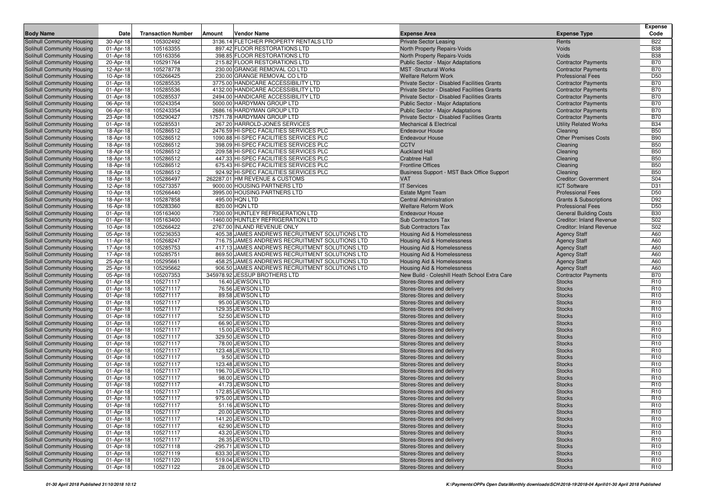| <b>Body Name</b>                                                | Date                   | <b>Transaction Number</b> | Amount | Vendor Name                                                                                      | <b>Expense Area</b>                                      | <b>Expense Type</b>                        | <b>Expense</b><br>Code             |
|-----------------------------------------------------------------|------------------------|---------------------------|--------|--------------------------------------------------------------------------------------------------|----------------------------------------------------------|--------------------------------------------|------------------------------------|
| Solihull Community Housing                                      | 30-Apr-18              | 105302492                 |        | 3136.14 FLETCHER PROPERTY RENTALS LTD                                                            | <b>Private Sector Leasing</b>                            | Rents                                      | <b>B22</b>                         |
| Solihull Community Housing                                      | 01-Apr-18              | 105163355                 |        | 897.42 FLOOR RESTORATIONS LTD                                                                    | North Property Repairs-Voids                             | Voids                                      | <b>B38</b>                         |
| Solihull Community Housing                                      | 01-Apr-18              | 105163356                 |        | 398.85 FLOOR RESTORATIONS LTD                                                                    | North Property Repairs-Voids                             | Voids                                      | <b>B38</b>                         |
| Solihull Community Housing                                      | 20-Apr-18              | 105291764                 |        | 215.82 FLOOR RESTORATIONS LTD                                                                    | Public Sector - Major Adaptations                        | <b>Contractor Payments</b>                 | <b>B70</b>                         |
| Solihull Community Housing                                      | 12-Apr-18              | 105278778                 |        | 230.00 GRANGE REMOVAL CO LTD                                                                     | <b>MST</b> -Structural Works                             | <b>Contractor Payments</b>                 | <b>B70</b>                         |
| Solihull Community Housing                                      | 10-Apr-18              | 105266425                 |        | 230.00 GRANGE REMOVAL CO LTD                                                                     | <b>Welfare Reform Work</b>                               | <b>Professional Fees</b>                   | D <sub>50</sub>                    |
| Solihull Community Housing                                      | 01-Apr-18              | 105285535                 |        | 3775.00 HANDICARE ACCESSIBILITY LTD                                                              | Private Sector - Disabled Facilities Grants              | <b>Contractor Payments</b>                 | <b>B70</b>                         |
| Solihull Community Housing                                      | 01-Apr-18              | 105285536                 |        | 4132.00 HANDICARE ACCESSIBILITY LTD                                                              | Private Sector - Disabled Facilities Grants              | <b>Contractor Payments</b>                 | <b>B70</b>                         |
| Solihull Community Housing                                      | 01-Apr-18              | 105285537                 |        | 2494.00 HANDICARE ACCESSIBILITY LTD                                                              | Private Sector - Disabled Facilities Grants              | <b>Contractor Payments</b>                 | <b>B70</b>                         |
| Solihull Community Housing                                      | 06-Apr-18              | 105243354                 |        | 5000.00 HARDYMAN GROUP LTD                                                                       | Public Sector - Major Adaptations                        | <b>Contractor Payments</b>                 | <b>B70</b>                         |
| Solihull Community Housing                                      | 06-Apr-18              | 105243354                 |        | 2686.16 HARDYMAN GROUP LTD                                                                       | Public Sector - Major Adaptations                        | <b>Contractor Payments</b>                 | <b>B70</b>                         |
| Solihull Community Housing                                      | 23-Apr-18              | 105290427                 |        | 17571.78 HARDYMAN GROUP LTD                                                                      | Private Sector - Disabled Facilities Grants              | <b>Contractor Payments</b>                 | <b>B70</b>                         |
| Solihull Community Housing                                      | 01-Apr-18              | 105285531                 |        | 267.20 HARROLD-JONES SERVICES                                                                    | <b>Mechanical &amp; Electrical</b>                       | <b>Utility Related Works</b>               | <b>B34</b>                         |
| Solihull Community Housing<br>Solihull Community Housing        | 18-Apr-18              | 105286512                 |        | 2476.59 HI-SPEC FACILITIES SERVICES PLC<br>1090.88 HI-SPEC FACILITIES SERVICES PLC               | <b>Endeavour House</b>                                   | Cleaning                                   | <b>B50</b>                         |
| Solihull Community Housing                                      | 18-Apr-18              | 105286512<br>105286512    |        | 398.09 HI-SPEC FACILITIES SERVICES PLC                                                           | <b>Endeavour House</b><br><b>CCTV</b>                    | <b>Other Premises Costs</b>                | <b>B90</b><br><b>B50</b>           |
| Solihull Community Housing                                      | 18-Apr-18<br>18-Apr-18 | 105286512                 |        | 209.58 HI-SPEC FACILITIES SERVICES PLC                                                           | <b>Auckland Hall</b>                                     | Cleaning<br>Cleaning                       | <b>B50</b>                         |
| Solihull Community Housing                                      | 18-Apr-18              | 105286512                 |        | 447.33 HI-SPEC FACILITIES SERVICES PLC                                                           | <b>Crabtree Hall</b>                                     | Cleaning                                   | <b>B50</b>                         |
| Solihull Community Housing                                      | 18-Apr-18              | 105286512                 |        | 675.43 HI-SPEC FACILITIES SERVICES PLC                                                           | <b>Frontline Offices</b>                                 | Cleaning                                   | <b>B50</b>                         |
| Solihull Community Housing                                      | 18-Apr-18              | 105286512                 |        | 924.92 HI-SPEC FACILITIES SERVICES PLC                                                           | Business Support - MST Back Office Support               | Cleaning                                   | <b>B50</b>                         |
| Solihull Community Housing                                      | 18-Apr-18              | 105286497                 |        | 262287.01 HM REVENUE & CUSTOMS                                                                   | <b>VAT</b>                                               | <b>Creditor: Government</b>                | S04                                |
| Solihull Community Housing                                      | 12-Apr-18              | 105273357                 |        | 9000.00 HOUSING PARTNERS LTD                                                                     | <b>IT Services</b>                                       | <b>ICT Software</b>                        | D31                                |
| Solihull Community Housing                                      | 10-Apr-18              | 105266440                 |        | 3995.00 HOUSING PARTNERS LTD                                                                     | <b>Estate Mgmt Team</b>                                  | <b>Professional Fees</b>                   | D <sub>50</sub>                    |
| Solihull Community Housing                                      | 18-Apr-18              | 105287858                 |        | 495.00 HQN LTD                                                                                   | <b>Central Administration</b>                            | <b>Grants &amp; Subscriptions</b>          | D92                                |
| Solihull Community Housing                                      | 16-Apr-18              | 105283360                 |        | 820.00 HQN LTD                                                                                   | <b>Welfare Reform Work</b>                               | <b>Professional Fees</b>                   | D <sub>50</sub>                    |
| Solihull Community Housing                                      | 01-Apr-18              | 105163400                 |        | 7300.00 HUNTLEY REFRIGERATION LTD                                                                | <b>Endeavour House</b>                                   | <b>General Building Costs</b>              | <b>B30</b>                         |
| Solihull Community Housing                                      | 01-Apr-18              | 105163400                 |        | -1460.00 HUNTLEY REFRIGERATION LTD                                                               | <b>Sub Contractors Tax</b>                               | <b>Creditor: Inland Revenue</b>            | S02                                |
| Solihull Community Housing                                      | 10-Apr-18              | 105266422                 |        | 2767.00 INLAND REVENUE ONLY                                                                      | <b>Sub Contractors Tax</b>                               | <b>Creditor: Inland Revenue</b>            | S <sub>02</sub>                    |
| Solihull Community Housing                                      | 05-Apr-18              | 105236353                 |        | 405.38 JAMES ANDREWS RECRUITMENT SOLUTIONS LTD                                                   | Housing Aid & Homelessness                               | <b>Agency Staff</b>                        | A60                                |
| Solihull Community Housing                                      | 11-Apr-18              | 105268247                 |        | 716.75 JAMES ANDREWS RECRUITMENT SOLUTIONS LTD                                                   | Housing Aid & Homelessness                               | <b>Agency Staff</b>                        | A60                                |
| Solihull Community Housing                                      | 17-Apr-18              | 105285753                 |        | 417.13 JAMES ANDREWS RECRUITMENT SOLUTIONS LTD                                                   | Housing Aid & Homelessness                               | <b>Agency Staff</b>                        | A60                                |
| Solihull Community Housing                                      | 17-Apr-18              | 105285751                 |        | 869.50 JAMES ANDREWS RECRUITMENT SOLUTIONS LTD                                                   | <b>Housing Aid &amp; Homelessness</b>                    | <b>Agency Staff</b>                        | A60                                |
| <b>Solihull Community Housing</b><br>Solihull Community Housing | 25-Apr-18<br>25-Apr-18 | 105295661<br>105295662    |        | 458.25 JAMES ANDREWS RECRUITMENT SOLUTIONS LTD<br>906.50 JAMES ANDREWS RECRUITMENT SOLUTIONS LTD | Housing Aid & Homelessness<br>Housing Aid & Homelessness | <b>Agency Staff</b><br><b>Agency Staff</b> | A60<br>A60                         |
| Solihull Community Housing                                      | 05-Apr-18              | 105207353                 |        | 345978.92 JESSUP BROTHERS LTD                                                                    | New Build - Coleshill Heath School Extra Care            | <b>Contractor Payments</b>                 | <b>B70</b>                         |
| Solihull Community Housing                                      | 01-Apr-18              | 105271117                 |        | 16.40 JEWSON LTD                                                                                 | Stores-Stores and delivery                               | <b>Stocks</b>                              | R <sub>10</sub>                    |
| Solihull Community Housing                                      | 01-Apr-18              | 105271117                 |        | 76.56 JEWSON LTD                                                                                 | Stores-Stores and delivery                               | <b>Stocks</b>                              | R <sub>10</sub>                    |
| Solihull Community Housing                                      | 01-Apr-18              | 105271117                 |        | 89.58 JEWSON LTD                                                                                 | Stores-Stores and delivery                               | <b>Stocks</b>                              | R <sub>10</sub>                    |
| Solihull Community Housing                                      | 01-Apr-18              | 105271117                 |        | 95.00 JEWSON LTD                                                                                 | Stores-Stores and delivery                               | <b>Stocks</b>                              | R <sub>10</sub>                    |
| Solihull Community Housing                                      | 01-Apr-18              | 105271117                 |        | 129.35 JEWSON LTD                                                                                | Stores-Stores and delivery                               | <b>Stocks</b>                              | R <sub>10</sub>                    |
| <b>Solihull Community Housing</b>                               | 01-Apr-18              | 105271117                 |        | 52.50 JEWSON LTD                                                                                 | Stores-Stores and delivery                               | <b>Stocks</b>                              | R <sub>10</sub>                    |
| Solihull Community Housing                                      | 01-Apr-18              | 105271117                 |        | 66.90 JEWSON LTD                                                                                 | Stores-Stores and delivery                               | <b>Stocks</b>                              | R <sub>10</sub>                    |
| Solihull Community Housing                                      | 01-Apr-18              | 105271117                 |        | 15.00 JEWSON LTD                                                                                 | Stores-Stores and delivery                               | <b>Stocks</b>                              | R <sub>10</sub>                    |
| Solihull Community Housing                                      | 01-Apr-18              | 105271117                 |        | 329.50 JEWSON LTD                                                                                | Stores-Stores and delivery                               | <b>Stocks</b>                              | R <sub>10</sub>                    |
| Solihull Community Housing                                      | 01-Apr-18              | 105271117                 |        | 78.00 JEWSON LTD                                                                                 | Stores-Stores and delivery                               | <b>Stocks</b>                              | R <sub>10</sub>                    |
| Solihull Community Housing                                      | 01-Apr-18              | 105271117                 |        | 123.48 JEWSON LTD                                                                                | Stores-Stores and delivery                               | <b>Stocks</b>                              | R <sub>10</sub>                    |
| Solihull Community Housing                                      | 01-Apr-18              | 105271117                 |        | 9.50 JEWSON LTD                                                                                  | Stores-Stores and delivery                               | <b>Stocks</b>                              | R <sub>10</sub>                    |
| Solihull Community Housing                                      | 01-Apr-18              | 105271117                 |        | 123.48 JEWSON LTD                                                                                | Stores-Stores and delivery                               | <b>Stocks</b>                              | R <sub>10</sub>                    |
| Solihull Community Housing                                      | 01-Apr-18              | 105271117                 |        | 196.70 JEWSON LTD<br>98.00 JEWSON LTD                                                            | Stores-Stores and delivery                               | <b>Stocks</b>                              | R <sub>10</sub>                    |
| Solihull Community Housing<br>Solihull Community Housing        | 01-Apr-18<br>01-Apr-18 | 105271117<br>105271117    |        | 41.73 JEWSON LTD                                                                                 | Stores-Stores and delivery<br>Stores-Stores and delivery | <b>Stocks</b><br><b>Stocks</b>             | R <sub>10</sub><br>R <sub>10</sub> |
| Solihull Community Housing                                      | 01-Apr-18              | 105271117                 |        | 172.85 JEWSON LTD                                                                                | Stores-Stores and delivery                               | <b>Stocks</b>                              | R <sub>10</sub>                    |
| Solihull Community Housing                                      | 01-Apr-18              | 105271117                 |        | 975.00 JEWSON LTD                                                                                | Stores-Stores and delivery                               | <b>Stocks</b>                              | R <sub>10</sub>                    |
| Solihull Community Housing                                      | 01-Apr-18              | 105271117                 |        | 51.16 JEWSON LTD                                                                                 | Stores-Stores and delivery                               | <b>Stocks</b>                              | R <sub>10</sub>                    |
| Solihull Community Housing                                      | 01-Apr-18              | 105271117                 |        | 20.00 JEWSON LTD                                                                                 | Stores-Stores and delivery                               | <b>Stocks</b>                              | <b>R10</b>                         |
| Solihull Community Housing                                      | 01-Apr-18              | 105271117                 |        | 141.20 JEWSON LTD                                                                                | Stores-Stores and delivery                               | <b>Stocks</b>                              | R <sub>10</sub>                    |
| Solihull Community Housing                                      | 01-Apr-18              | 105271117                 |        | 62.90 JEWSON LTD                                                                                 | Stores-Stores and delivery                               | <b>Stocks</b>                              | R <sub>10</sub>                    |
| Solihull Community Housing                                      | 01-Apr-18              | 105271117                 |        | 43.20 JEWSON LTD                                                                                 | Stores-Stores and delivery                               | <b>Stocks</b>                              | R <sub>10</sub>                    |
| Solihull Community Housing                                      | 01-Apr-18              | 105271117                 |        | 26.35 JEWSON LTD                                                                                 | Stores-Stores and delivery                               | <b>Stocks</b>                              | R <sub>10</sub>                    |
| Solihull Community Housing                                      | 01-Apr-18              | 105271118                 |        | -295.71 JEWSON LTD                                                                               | Stores-Stores and delivery                               | <b>Stocks</b>                              | R <sub>10</sub>                    |
| Solihull Community Housing                                      | 01-Apr-18              | 105271119                 |        | 633.30 JEWSON LTD                                                                                | Stores-Stores and delivery                               | <b>Stocks</b>                              | R <sub>10</sub>                    |
| Solihull Community Housing                                      | 01-Apr-18              | 105271120                 |        | 519.04 JEWSON LTD                                                                                | Stores-Stores and delivery                               | <b>Stocks</b>                              | R10                                |
| Solihull Community Housing                                      | 01-Apr-18              | 105271122                 |        | 28.00 JEWSON LTD                                                                                 | Stores-Stores and delivery                               | <b>Stocks</b>                              | R <sub>10</sub>                    |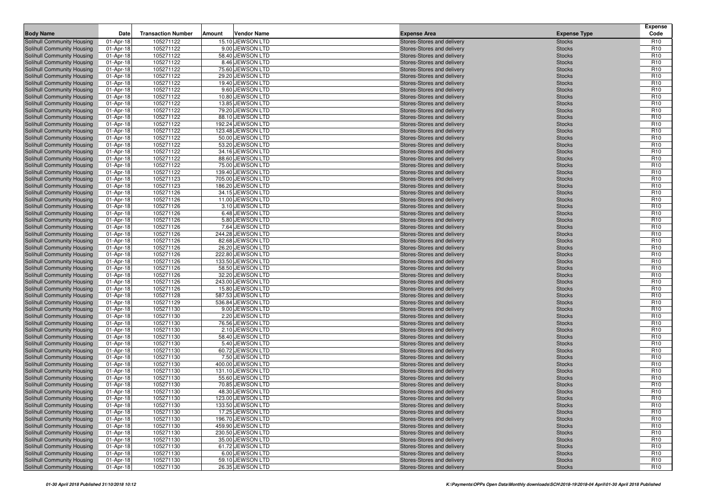| <b>Body Name</b>                                         | Date                   | <b>Transaction Number</b> | Amount | <b>Vendor Name</b>                   | <b>Expense Area</b>                                      | <b>Expense Type</b>            | <b>Expense</b><br>Code             |
|----------------------------------------------------------|------------------------|---------------------------|--------|--------------------------------------|----------------------------------------------------------|--------------------------------|------------------------------------|
| Solihull Community Housing                               | 01-Apr-18              | 105271122                 |        | 15.10 JEWSON LTD                     | Stores-Stores and delivery                               | <b>Stocks</b>                  | R <sub>10</sub>                    |
| Solihull Community Housing                               | 01-Apr-18              | 105271122                 |        | 9.00 JEWSON LTD                      | Stores-Stores and delivery                               | <b>Stocks</b>                  | R <sub>10</sub>                    |
| Solihull Community Housing                               | 01-Apr-18              | 105271122                 |        | 58.40 JEWSON LTD                     | Stores-Stores and delivery                               | <b>Stocks</b>                  | R <sub>10</sub>                    |
| Solihull Community Housing                               | 01-Apr-18              | 105271122                 |        | 8.46 JEWSON LTD                      | Stores-Stores and delivery                               | <b>Stocks</b>                  | R <sub>10</sub>                    |
| Solihull Community Housing                               | 01-Apr-18              | 105271122                 |        | 75.60 JEWSON LTD                     | Stores-Stores and delivery                               | <b>Stocks</b>                  | R <sub>10</sub>                    |
| Solihull Community Housing                               | 01-Apr-18              | 105271122                 |        | 29.20 JEWSON LTD                     | Stores-Stores and delivery                               | <b>Stocks</b>                  | R <sub>10</sub>                    |
| Solihull Community Housing                               | 01-Apr-18              | 105271122                 |        | 19.40 JEWSON LTD                     | Stores-Stores and delivery                               | <b>Stocks</b>                  | R <sub>10</sub>                    |
| Solihull Community Housing                               | 01-Apr-18              | 105271122                 |        | 9.60 JEWSON LTD                      | Stores-Stores and delivery                               | <b>Stocks</b>                  | R <sub>10</sub>                    |
| Solihull Community Housing                               | 01-Apr-18              | 105271122                 |        | 10.80 JEWSON LTD                     | Stores-Stores and delivery                               | <b>Stocks</b>                  | R <sub>10</sub>                    |
| <b>Solihull Community Housing</b>                        | 01-Apr-18              | 105271122                 |        | 13.85 JEWSON LTD                     | Stores-Stores and delivery                               | <b>Stocks</b>                  | R <sub>10</sub>                    |
| Solihull Community Housing                               | 01-Apr-18              | 105271122                 |        | 79.20 JEWSON LTD                     | Stores-Stores and delivery                               | <b>Stocks</b>                  | R <sub>10</sub>                    |
| Solihull Community Housing                               | 01-Apr-18              | 105271122                 |        | 88.10 JEWSON LTD                     | Stores-Stores and delivery                               | <b>Stocks</b>                  | R <sub>10</sub>                    |
| Solihull Community Housing                               | 01-Apr-18              | 105271122                 |        | 192.24 JEWSON LTD                    | Stores-Stores and delivery                               | <b>Stocks</b>                  | R <sub>10</sub>                    |
| Solihull Community Housing                               | 01-Apr-18              | 105271122                 |        | 123.48 JEWSON LTD                    | Stores-Stores and delivery                               | <b>Stocks</b>                  | R <sub>10</sub>                    |
| Solihull Community Housing                               | 01-Apr-18              | 105271122                 |        | 50.00 JEWSON LTD                     | Stores-Stores and delivery                               | <b>Stocks</b>                  | R <sub>10</sub>                    |
| Solihull Community Housing                               | 01-Apr-18              | 105271122                 |        | 53.20 JEWSON LTD                     | Stores-Stores and delivery                               | <b>Stocks</b>                  | R <sub>10</sub>                    |
| Solihull Community Housing                               | 01-Apr-18              | 105271122<br>105271122    |        | 34.16 JEWSON LTD<br>88.60 JEWSON LTD | Stores-Stores and delivery                               | <b>Stocks</b>                  | R <sub>10</sub><br>R <sub>10</sub> |
| Solihull Community Housing<br>Solihull Community Housing | 01-Apr-18<br>01-Apr-18 | 105271122                 |        | 75.00 JEWSON LTD                     | Stores-Stores and delivery<br>Stores-Stores and delivery | <b>Stocks</b><br><b>Stocks</b> | R <sub>10</sub>                    |
| Solihull Community Housing                               | 01-Apr-18              | 105271122                 |        | 139.40 JEWSON LTD                    | Stores-Stores and delivery                               | <b>Stocks</b>                  | R <sub>10</sub>                    |
| Solihull Community Housing                               | 01-Apr-18              | 105271123                 |        | 705.00 JEWSON LTD                    | Stores-Stores and delivery                               | <b>Stocks</b>                  | R <sub>10</sub>                    |
| Solihull Community Housing                               | 01-Apr-18              | 105271123                 |        | 186.20 JEWSON LTD                    | Stores-Stores and delivery                               | <b>Stocks</b>                  | R <sub>10</sub>                    |
| Solihull Community Housing                               | 01-Apr-18              | 105271126                 |        | 34.15 JEWSON LTD                     | Stores-Stores and delivery                               | <b>Stocks</b>                  | R <sub>10</sub>                    |
| Solihull Community Housing                               | 01-Apr-18              | 105271126                 |        | 11.00 JEWSON LTD                     | Stores-Stores and delivery                               | <b>Stocks</b>                  | R <sub>10</sub>                    |
| Solihull Community Housing                               | 01-Apr-18              | 105271126                 |        | 3.10 JEWSON LTD                      | Stores-Stores and delivery                               | <b>Stocks</b>                  | R <sub>10</sub>                    |
| Solihull Community Housing                               | 01-Apr-18              | 105271126                 |        | 6.48 JEWSON LTD                      | Stores-Stores and delivery                               | <b>Stocks</b>                  | R <sub>10</sub>                    |
| Solihull Community Housing                               | 01-Apr-18              | 105271126                 |        | 5.80 JEWSON LTD                      | Stores-Stores and delivery                               | <b>Stocks</b>                  | R <sub>10</sub>                    |
| Solihull Community Housing                               | 01-Apr-18              | 105271126                 |        | 7.64 JEWSON LTD                      | Stores-Stores and delivery                               | <b>Stocks</b>                  | R <sub>10</sub>                    |
| Solihull Community Housing                               | 01-Apr-18              | 105271126                 |        | 244.28 JEWSON LTD                    | Stores-Stores and delivery                               | <b>Stocks</b>                  | R <sub>10</sub>                    |
| Solihull Community Housing                               | 01-Apr-18              | 105271126                 |        | 82.68 JEWSON LTD                     | Stores-Stores and delivery                               | <b>Stocks</b>                  | R <sub>10</sub>                    |
| Solihull Community Housing                               | 01-Apr-18              | 105271126                 |        | 26.20 JEWSON LTD                     | Stores-Stores and delivery                               | <b>Stocks</b>                  | R <sub>10</sub>                    |
| Solihull Community Housing                               | 01-Apr-18              | 105271126                 |        | 222.80 JEWSON LTD                    | Stores-Stores and delivery                               | <b>Stocks</b>                  | R <sub>10</sub>                    |
| Solihull Community Housing                               | 01-Apr-18              | 105271126                 |        | 133.50 JEWSON LTD                    | Stores-Stores and delivery                               | <b>Stocks</b>                  | R <sub>10</sub>                    |
| Solihull Community Housing                               | 01-Apr-18              | 105271126                 |        | 58.50 JEWSON LTD                     | Stores-Stores and delivery                               | <b>Stocks</b>                  | R <sub>10</sub>                    |
| <b>Solihull Community Housing</b>                        | 01-Apr-18              | 105271126                 |        | 32.20 JEWSON LTD                     | Stores-Stores and delivery                               | <b>Stocks</b>                  | R <sub>10</sub>                    |
| Solihull Community Housing                               | 01-Apr-18              | 105271126                 |        | 243.00 JEWSON LTD                    | Stores-Stores and delivery                               | <b>Stocks</b>                  | R <sub>10</sub>                    |
| Solihull Community Housing                               | 01-Apr-18              | 105271126                 |        | 15.80 JEWSON LTD                     | Stores-Stores and delivery                               | <b>Stocks</b>                  | R <sub>10</sub>                    |
| Solihull Community Housing                               | 01-Apr-18              | 105271128                 |        | 587.53 JEWSON LTD                    | Stores-Stores and delivery                               | <b>Stocks</b>                  | R <sub>10</sub>                    |
| <b>Solihull Community Housing</b>                        | 01-Apr-18              | 105271129                 |        | 536.84 JEWSON LTD                    | Stores-Stores and delivery                               | <b>Stocks</b>                  | R <sub>10</sub>                    |
| Solihull Community Housing                               | 01-Apr-18              | 105271130                 |        | 9.00 JEWSON LTD                      | Stores-Stores and delivery                               | <b>Stocks</b>                  | R <sub>10</sub>                    |
| Solihull Community Housing                               | 01-Apr-18              | 105271130                 |        | 2.20 JEWSON LTD                      | Stores-Stores and delivery                               | <b>Stocks</b>                  | R <sub>10</sub>                    |
| Solihull Community Housing                               | 01-Apr-18              | 105271130                 |        | 76.56 JEWSON LTD                     | Stores-Stores and delivery                               | <b>Stocks</b>                  | R <sub>10</sub>                    |
| Solihull Community Housing                               | 01-Apr-18              | 105271130                 |        | 2.10 JEWSON LTD                      | Stores-Stores and delivery                               | <b>Stocks</b>                  | R <sub>10</sub>                    |
| Solihull Community Housing                               | 01-Apr-18              | 105271130<br>105271130    |        | 58.40 JEWSON LTD<br>5.40 JEWSON LTD  | Stores-Stores and delivery                               | <b>Stocks</b>                  | R <sub>10</sub><br>R <sub>10</sub> |
| Solihull Community Housing<br>Solihull Community Housing | 01-Apr-18<br>01-Apr-18 | 105271130                 |        | 60.72 JEWSON LTD                     | Stores-Stores and delivery<br>Stores-Stores and delivery | <b>Stocks</b><br><b>Stocks</b> | R <sub>10</sub>                    |
| Solihull Community Housing                               | 01-Apr-18              | 105271130                 |        | 7.50 JEWSON LTD                      | Stores-Stores and delivery                               | <b>Stocks</b>                  | R <sub>10</sub>                    |
| Solihull Community Housing                               | 01-Apr-18              | 105271130                 |        | 400.00 JEWSON LTD                    | Stores-Stores and delivery                               | <b>Stocks</b>                  | R <sub>10</sub>                    |
| Solihull Community Housing                               | 01-Apr-18              | 105271130                 |        | 131.10 JEWSON LTD                    | Stores-Stores and delivery                               | <b>Stocks</b>                  | R <sub>10</sub>                    |
| Solihull Community Housing                               | 01-Apr-18              | 105271130                 |        | 55.60 JEWSON LTD                     | Stores-Stores and delivery                               | <b>Stocks</b>                  | R <sub>10</sub>                    |
| Solihull Community Housing                               | 01-Apr-18              | 105271130                 |        | 70.85 JEWSON LTD                     | Stores-Stores and delivery                               | <b>Stocks</b>                  | R <sub>10</sub>                    |
| Solihull Community Housing                               | 01-Apr-18              | 105271130                 |        | 48.30 JEWSON LTD                     | Stores-Stores and delivery                               | <b>Stocks</b>                  | R <sub>10</sub>                    |
| Solihull Community Housing                               | 01-Apr-18              | 105271130                 |        | 123.00 JEWSON LTD                    | Stores-Stores and delivery                               | <b>Stocks</b>                  | R <sub>10</sub>                    |
| Solihull Community Housing                               | 01-Apr-18              | 105271130                 |        | 133.50 JEWSON LTD                    | Stores-Stores and delivery                               | <b>Stocks</b>                  | R <sub>10</sub>                    |
| Solihull Community Housing                               | 01-Apr-18              | 105271130                 |        | 17.25 JEWSON LTD                     | Stores-Stores and delivery                               | <b>Stocks</b>                  | R <sub>10</sub>                    |
| Solihull Community Housing                               | 01-Apr-18              | 105271130                 |        | 196.70 JEWSON LTD                    | Stores-Stores and delivery                               | <b>Stocks</b>                  | R <sub>10</sub>                    |
| Solihull Community Housing                               | 01-Apr-18              | 105271130                 |        | 459.90 JEWSON LTD                    | Stores-Stores and delivery                               | <b>Stocks</b>                  | R <sub>10</sub>                    |
| Solihull Community Housing                               | 01-Apr-18              | 105271130                 |        | 230.50 JEWSON LTD                    | Stores-Stores and delivery                               | <b>Stocks</b>                  | R <sub>10</sub>                    |
| Solihull Community Housing                               | 01-Apr-18              | 105271130                 |        | 35.00 JEWSON LTD                     | Stores-Stores and delivery                               | <b>Stocks</b>                  | R <sub>10</sub>                    |
| <b>Solihull Community Housing</b>                        | 01-Apr-18              | 105271130                 |        | 61.72 JEWSON LTD                     | Stores-Stores and delivery                               | <b>Stocks</b>                  | R <sub>10</sub>                    |
| Solihull Community Housing                               | 01-Apr-18              | 105271130                 |        | 6.00 JEWSON LTD                      | Stores-Stores and delivery                               | <b>Stocks</b>                  | R <sub>10</sub>                    |
| Solihull Community Housing                               | 01-Apr-18              | 105271130                 |        | 59.10 JEWSON LTD                     | Stores-Stores and delivery                               | <b>Stocks</b>                  | R <sub>10</sub>                    |
| Solihull Community Housing                               | 01-Apr-18              | 105271130                 |        | 26.35 JEWSON LTD                     | Stores-Stores and delivery                               | <b>Stocks</b>                  | R <sub>10</sub>                    |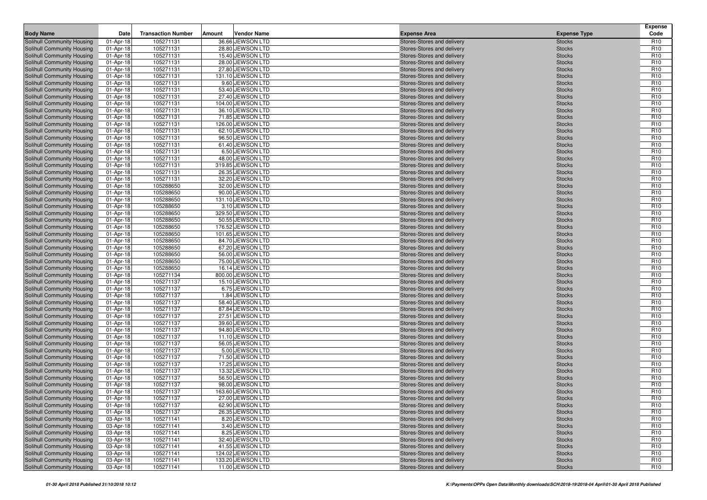| <b>Body Name</b>                                         | Date                   | <b>Transaction Number</b> | Amount | <b>Vendor Name</b>                    | <b>Expense Area</b>                                      | <b>Expense Type</b>            | <b>Expense</b><br>Code             |
|----------------------------------------------------------|------------------------|---------------------------|--------|---------------------------------------|----------------------------------------------------------|--------------------------------|------------------------------------|
| Solihull Community Housing                               | 01-Apr-18              | 105271131                 |        | 36.66 JEWSON LTD                      | Stores-Stores and delivery                               | <b>Stocks</b>                  | R <sub>10</sub>                    |
| Solihull Community Housing                               | 01-Apr-18              | 105271131                 |        | 28.80 JEWSON LTD                      | Stores-Stores and delivery                               | <b>Stocks</b>                  | R <sub>10</sub>                    |
| Solihull Community Housing                               | 01-Apr-18              | 105271131                 |        | 15.40 JEWSON LTD                      | Stores-Stores and delivery                               | <b>Stocks</b>                  | R <sub>10</sub>                    |
| Solihull Community Housing                               | 01-Apr-18              | 105271131                 |        | 28.00 JEWSON LTD                      | Stores-Stores and delivery                               | <b>Stocks</b>                  | R <sub>10</sub>                    |
| Solihull Community Housing                               | 01-Apr-18              | 105271131                 |        | 27.80 JEWSON LTD                      | Stores-Stores and delivery                               | <b>Stocks</b>                  | R <sub>10</sub>                    |
| Solihull Community Housing                               | 01-Apr-18              | 105271131                 |        | 131.10 JEWSON LTD                     | Stores-Stores and delivery                               | <b>Stocks</b>                  | R <sub>10</sub>                    |
| Solihull Community Housing                               | 01-Apr-18              | 105271131                 |        | 9.60 JEWSON LTD                       | Stores-Stores and delivery                               | <b>Stocks</b>                  | R <sub>10</sub>                    |
| Solihull Community Housing                               | 01-Apr-18              | 105271131                 |        | 53.40 JEWSON LTD                      | Stores-Stores and delivery                               | <b>Stocks</b>                  | R <sub>10</sub>                    |
| Solihull Community Housing                               | 01-Apr-18              | 105271131                 |        | 27.40 JEWSON LTD                      | Stores-Stores and delivery                               | <b>Stocks</b>                  | R <sub>10</sub>                    |
| <b>Solihull Community Housing</b>                        | 01-Apr-18              | 105271131                 |        | 104.00 JEWSON LTD                     | Stores-Stores and delivery                               | <b>Stocks</b>                  | R <sub>10</sub>                    |
| Solihull Community Housing                               | 01-Apr-18              | 105271131                 |        | 36.10 JEWSON LTD                      | Stores-Stores and delivery                               | <b>Stocks</b>                  | R <sub>10</sub>                    |
| Solihull Community Housing                               | 01-Apr-18              | 105271131                 |        | 71.85 JEWSON LTD                      | Stores-Stores and delivery                               | <b>Stocks</b>                  | R <sub>10</sub>                    |
| Solihull Community Housing                               | 01-Apr-18              | 105271131                 |        | 126.00 JEWSON LTD                     | Stores-Stores and delivery                               | <b>Stocks</b>                  | R <sub>10</sub>                    |
| Solihull Community Housing                               | 01-Apr-18              | 105271131                 |        | 62.10 JEWSON LTD                      | Stores-Stores and delivery                               | <b>Stocks</b>                  | R <sub>10</sub>                    |
| Solihull Community Housing                               | 01-Apr-18              | 105271131                 |        | 96.50 JEWSON LTD                      | Stores-Stores and delivery                               | <b>Stocks</b>                  | R <sub>10</sub>                    |
| Solihull Community Housing                               | 01-Apr-18              | 105271131                 |        | 61.40 JEWSON LTD                      | Stores-Stores and delivery                               | <b>Stocks</b>                  | R <sub>10</sub>                    |
| Solihull Community Housing                               | 01-Apr-18              | 105271131                 |        | 6.50 JEWSON LTD                       | Stores-Stores and delivery                               | <b>Stocks</b>                  | R <sub>10</sub>                    |
| Solihull Community Housing                               | 01-Apr-18              | 105271131                 |        | 48.00 JEWSON LTD                      | Stores-Stores and delivery                               | <b>Stocks</b>                  | R <sub>10</sub>                    |
| Solihull Community Housing                               | 01-Apr-18              | 105271131                 |        | 319.85 JEWSON LTD                     | Stores-Stores and delivery                               | <b>Stocks</b>                  | R <sub>10</sub>                    |
| Solihull Community Housing                               | 01-Apr-18              | 105271131                 |        | 26.35 JEWSON LTD                      | Stores-Stores and delivery                               | <b>Stocks</b>                  | R <sub>10</sub>                    |
| Solihull Community Housing                               | 01-Apr-18              | 105271131                 |        | 32.20 JEWSON LTD                      | Stores-Stores and delivery                               | <b>Stocks</b>                  | R <sub>10</sub>                    |
| Solihull Community Housing                               | 01-Apr-18              | 105288650                 |        | 32.00 JEWSON LTD                      | Stores-Stores and delivery                               | <b>Stocks</b>                  | R <sub>10</sub>                    |
| Solihull Community Housing                               | 01-Apr-18              | 105288650                 |        | 90.00 JEWSON LTD                      | Stores-Stores and delivery                               | <b>Stocks</b>                  | R <sub>10</sub>                    |
| Solihull Community Housing                               | 01-Apr-18              | 105288650                 |        | 131.10 JEWSON LTD                     | Stores-Stores and delivery                               | <b>Stocks</b>                  | R <sub>10</sub>                    |
| Solihull Community Housing<br>Solihull Community Housing | 01-Apr-18<br>01-Apr-18 | 105288650<br>105288650    |        | 3.10 JEWSON LTD<br>329.50 JEWSON LTD  | Stores-Stores and delivery<br>Stores-Stores and delivery | <b>Stocks</b><br><b>Stocks</b> | R <sub>10</sub><br>R <sub>10</sub> |
| Solihull Community Housing                               | 01-Apr-18              | 105288650                 |        | 50.55 JEWSON LTD                      | Stores-Stores and delivery                               | <b>Stocks</b>                  | R <sub>10</sub>                    |
| Solihull Community Housing                               | 01-Apr-18              | 105288650                 |        | 176.52 JEWSON LTD                     | Stores-Stores and delivery                               | <b>Stocks</b>                  | R <sub>10</sub>                    |
| Solihull Community Housing                               | 01-Apr-18              | 105288650                 |        | 101.65 JEWSON LTD                     | Stores-Stores and delivery                               | <b>Stocks</b>                  | R <sub>10</sub>                    |
| Solihull Community Housing                               | 01-Apr-18              | 105288650                 |        | 84.70 JEWSON LTD                      | Stores-Stores and delivery                               | <b>Stocks</b>                  | R <sub>10</sub>                    |
| Solihull Community Housing                               | 01-Apr-18              | 105288650                 |        | 67.20 JEWSON LTD                      | Stores-Stores and delivery                               | <b>Stocks</b>                  | R <sub>10</sub>                    |
| Solihull Community Housing                               | 01-Apr-18              | 105288650                 |        | 56.00 JEWSON LTD                      | Stores-Stores and delivery                               | <b>Stocks</b>                  | R <sub>10</sub>                    |
| Solihull Community Housing                               | 01-Apr-18              | 105288650                 |        | 75.00 JEWSON LTD                      | Stores-Stores and delivery                               | <b>Stocks</b>                  | R <sub>10</sub>                    |
| Solihull Community Housing                               | 01-Apr-18              | 105288650                 |        | 16.14 JEWSON LTD                      | Stores-Stores and delivery                               | <b>Stocks</b>                  | R <sub>10</sub>                    |
| <b>Solihull Community Housing</b>                        | 01-Apr-18              | 105271134                 |        | 800.00 JEWSON LTD                     | Stores-Stores and delivery                               | <b>Stocks</b>                  | R <sub>10</sub>                    |
| Solihull Community Housing                               | 01-Apr-18              | 105271137                 |        | 15.10 JEWSON LTD                      | Stores-Stores and delivery                               | <b>Stocks</b>                  | R <sub>10</sub>                    |
| Solihull Community Housing                               | 01-Apr-18              | 105271137                 |        | 6.75 JEWSON LTD                       | Stores-Stores and delivery                               | <b>Stocks</b>                  | R <sub>10</sub>                    |
| Solihull Community Housing                               | 01-Apr-18              | 105271137                 |        | 1.84 JEWSON LTD                       | Stores-Stores and delivery                               | <b>Stocks</b>                  | R <sub>10</sub>                    |
| <b>Solihull Community Housing</b>                        | 01-Apr-18              | 105271137                 |        | 58.40 JEWSON LTD                      | Stores-Stores and delivery                               | <b>Stocks</b>                  | R <sub>10</sub>                    |
| Solihull Community Housing                               | 01-Apr-18              | 105271137                 |        | 87.84 JEWSON LTD                      | Stores-Stores and delivery                               | <b>Stocks</b>                  | R <sub>10</sub>                    |
| Solihull Community Housing                               | 01-Apr-18              | 105271137                 |        | 27.51 JEWSON LTD                      | Stores-Stores and delivery                               | <b>Stocks</b>                  | R <sub>10</sub>                    |
| Solihull Community Housing                               | 01-Apr-18              | 105271137                 |        | 39.60 JEWSON LTD                      | Stores-Stores and delivery                               | <b>Stocks</b>                  | R <sub>10</sub>                    |
| Solihull Community Housing                               | 01-Apr-18              | 105271137                 |        | 94.80 JEWSON LTD                      | Stores-Stores and delivery                               | <b>Stocks</b>                  | R <sub>10</sub>                    |
| Solihull Community Housing                               | 01-Apr-18              | 105271137                 |        | 11.10 JEWSON LTD                      | Stores-Stores and delivery                               | <b>Stocks</b>                  | R <sub>10</sub>                    |
| Solihull Community Housing                               | 01-Apr-18              | 105271137                 |        | 56.05 JEWSON LTD                      | Stores-Stores and delivery                               | <b>Stocks</b>                  | R <sub>10</sub>                    |
| Solihull Community Housing                               | 01-Apr-18              | 105271137                 |        | 5.00 JEWSON LTD                       | Stores-Stores and delivery                               | <b>Stocks</b>                  | R <sub>10</sub>                    |
| Solihull Community Housing                               | 01-Apr-18              | 105271137                 |        | 71.50 JEWSON LTD                      | Stores-Stores and delivery                               | <b>Stocks</b>                  | R <sub>10</sub>                    |
| Solihull Community Housing                               | 01-Apr-18              | 105271137                 |        | 17.25 JEWSON LTD                      | Stores-Stores and delivery                               | <b>Stocks</b>                  | R <sub>10</sub>                    |
| Solihull Community Housing                               | 01-Apr-18              | 105271137                 |        | 13.32 JEWSON LTD                      | Stores-Stores and delivery                               | <b>Stocks</b>                  | R <sub>10</sub>                    |
| Solihull Community Housing                               | 01-Apr-18              | 105271137                 |        | 56.50 JEWSON LTD                      | Stores-Stores and delivery                               | <b>Stocks</b>                  | R <sub>10</sub>                    |
| Solihull Community Housing                               | 01-Apr-18              | 105271137                 |        | 98.00 JEWSON LTD<br>163.60 JEWSON LTD | Stores-Stores and delivery                               | <b>Stocks</b>                  | R <sub>10</sub>                    |
| Solihull Community Housing                               | 01-Apr-18              | 105271137                 |        |                                       | Stores-Stores and delivery                               | <b>Stocks</b>                  | R <sub>10</sub>                    |
| Solihull Community Housing                               | 01-Apr-18              | 105271137                 |        | 27.00 JEWSON LTD                      | Stores-Stores and delivery                               | <b>Stocks</b>                  | R <sub>10</sub>                    |
| Solihull Community Housing                               | 01-Apr-18              | 105271137                 |        | 62.90 JEWSON LTD                      | Stores-Stores and delivery                               | <b>Stocks</b>                  | R <sub>10</sub>                    |
| Solihull Community Housing<br>Solihull Community Housing | 01-Apr-18<br>03-Apr-18 | 105271137<br>105271141    |        | 26.35 JEWSON LTD<br>8.20 JEWSON LTD   | Stores-Stores and delivery<br>Stores-Stores and delivery | <b>Stocks</b><br><b>Stocks</b> | R <sub>10</sub><br>R <sub>10</sub> |
| Solihull Community Housing                               | 03-Apr-18              | 105271141                 |        | 3.40 JEWSON LTD                       | Stores-Stores and delivery                               | <b>Stocks</b>                  | R <sub>10</sub>                    |
| Solihull Community Housing                               | 03-Apr-18              | 105271141                 |        | 8.25 JEWSON LTD                       | Stores-Stores and delivery                               | <b>Stocks</b>                  | R <sub>10</sub>                    |
| Solihull Community Housing                               | 03-Apr-18              | 105271141                 |        | 32.40 JEWSON LTD                      | Stores-Stores and delivery                               | <b>Stocks</b>                  | R <sub>10</sub>                    |
| Solihull Community Housing                               | 03-Apr-18              | 105271141                 |        | 41.55 JEWSON LTD                      | Stores-Stores and delivery                               | <b>Stocks</b>                  | R <sub>10</sub>                    |
| Solihull Community Housing                               | 03-Apr-18              | 105271141                 |        | 124.02 JEWSON LTD                     | Stores-Stores and delivery                               | <b>Stocks</b>                  | R <sub>10</sub>                    |
| Solihull Community Housing                               | 03-Apr-18              | 105271141                 |        | 133.20 JEWSON LTD                     | Stores-Stores and delivery                               | <b>Stocks</b>                  | R <sub>10</sub>                    |
| Solihull Community Housing                               | 03-Apr-18              | 105271141                 |        | 11.00 JEWSON LTD                      | Stores-Stores and delivery                               | <b>Stocks</b>                  | R <sub>10</sub>                    |
|                                                          |                        |                           |        |                                       |                                                          |                                |                                    |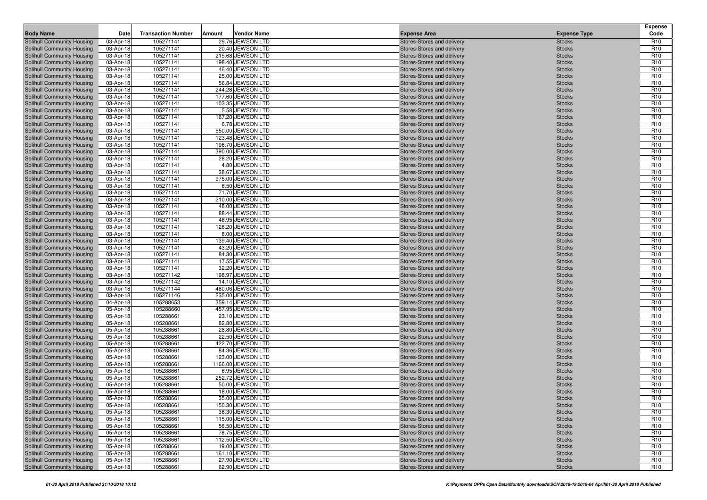| <b>Body Name</b>                                         | Date                   | <b>Transaction Number</b> | Amount | <b>Vendor Name</b>                    | <b>Expense Area</b>                                      | <b>Expense Type</b>            | Expense<br>Code                    |
|----------------------------------------------------------|------------------------|---------------------------|--------|---------------------------------------|----------------------------------------------------------|--------------------------------|------------------------------------|
| Solihull Community Housing                               | 03-Apr-18              | 105271141                 |        | 29.76 JEWSON LTD                      | Stores-Stores and delivery                               | <b>Stocks</b>                  | R <sub>10</sub>                    |
| Solihull Community Housing                               | 03-Apr-18              | 105271141                 |        | 20.40 JEWSON LTD                      | Stores-Stores and delivery                               | <b>Stocks</b>                  | R <sub>10</sub>                    |
| Solihull Community Housing                               | 03-Apr-18              | 105271141                 |        | 215.68 JEWSON LTD                     | Stores-Stores and delivery                               | <b>Stocks</b>                  | R <sub>10</sub>                    |
| Solihull Community Housing                               | 03-Apr-18              | 105271141                 |        | 198.40 JEWSON LTD                     | Stores-Stores and delivery                               | <b>Stocks</b>                  | R <sub>10</sub>                    |
| Solihull Community Housing                               | 03-Apr-18              | 105271141                 |        | 46.40 JEWSON LTD                      | Stores-Stores and delivery                               | <b>Stocks</b>                  | R <sub>10</sub>                    |
| Solihull Community Housing                               | 03-Apr-18              | 105271141                 |        | 25.00 JEWSON LTD                      | Stores-Stores and delivery                               | <b>Stocks</b>                  | R <sub>10</sub>                    |
| Solihull Community Housing                               | 03-Apr-18              | 105271141                 |        | 56.84 JEWSON LTD                      | Stores-Stores and delivery                               | <b>Stocks</b>                  | R <sub>10</sub>                    |
| Solihull Community Housing                               | 03-Apr-18              | 105271141                 |        | 244.28 JEWSON LTD                     | Stores-Stores and delivery                               | <b>Stocks</b>                  | R <sub>10</sub>                    |
| Solihull Community Housing                               | 03-Apr-18              | 105271141                 |        | 177.60 JEWSON LTD                     | Stores-Stores and delivery                               | <b>Stocks</b>                  | R <sub>10</sub>                    |
| Solihull Community Housing                               | 03-Apr-18              | 105271141                 |        | 103.35 JEWSON LTD                     | Stores-Stores and delivery                               | <b>Stocks</b>                  | R <sub>10</sub>                    |
| Solihull Community Housing                               | 03-Apr-18              | 105271141                 |        | 5.58 JEWSON LTD                       | Stores-Stores and delivery                               | <b>Stocks</b>                  | R <sub>10</sub>                    |
| Solihull Community Housing                               | 03-Apr-18              | 105271141                 |        | 167.20 JEWSON LTD                     | Stores-Stores and delivery                               | <b>Stocks</b>                  | R <sub>10</sub>                    |
| Solihull Community Housing                               | 03-Apr-18              | 105271141                 |        | 6.78 JEWSON LTD                       | Stores-Stores and delivery                               | <b>Stocks</b>                  | R <sub>10</sub>                    |
| Solihull Community Housing                               | 03-Apr-18              | 105271141                 |        | 550.00 JEWSON LTD                     | Stores-Stores and delivery                               | <b>Stocks</b>                  | R <sub>10</sub>                    |
| Solihull Community Housing                               | 03-Apr-18              | 105271141                 |        | 123.48 JEWSON LTD                     | Stores-Stores and delivery                               | <b>Stocks</b>                  | R <sub>10</sub>                    |
| Solihull Community Housing                               | 03-Apr-18              | 105271141                 |        | 196.70 JEWSON LTD                     | Stores-Stores and delivery                               | <b>Stocks</b>                  | R <sub>10</sub>                    |
| Solihull Community Housing                               | 03-Apr-18              | 105271141                 |        | 390.00 JEWSON LTD                     | Stores-Stores and delivery                               | <b>Stocks</b>                  | R <sub>10</sub>                    |
| Solihull Community Housing                               | 03-Apr-18              | 105271141                 |        | 28.20 JEWSON LTD                      | Stores-Stores and delivery                               | <b>Stocks</b>                  | R <sub>10</sub>                    |
| Solihull Community Housing                               | 03-Apr-18              | 105271141<br>105271141    |        | 4.80 JEWSON LTD<br>38.67 JEWSON LTD   | Stores-Stores and delivery                               | <b>Stocks</b>                  | R <sub>10</sub><br>R <sub>10</sub> |
| Solihull Community Housing<br>Solihull Community Housing | 03-Apr-18<br>03-Apr-18 | 105271141                 |        | 975.00 JEWSON LTD                     | Stores-Stores and delivery<br>Stores-Stores and delivery | <b>Stocks</b><br><b>Stocks</b> | R <sub>10</sub>                    |
| Solihull Community Housing                               | 03-Apr-18              | 105271141                 |        | 6.50 JEWSON LTD                       | Stores-Stores and delivery                               | <b>Stocks</b>                  | R <sub>10</sub>                    |
| Solihull Community Housing                               | 03-Apr-18              | 105271141                 |        | 71.70 JEWSON LTD                      | Stores-Stores and delivery                               | <b>Stocks</b>                  | R <sub>10</sub>                    |
| Solihull Community Housing                               | 03-Apr-18              | 105271141                 |        | 210.00 JEWSON LTD                     | Stores-Stores and delivery                               | <b>Stocks</b>                  | R <sub>10</sub>                    |
| Solihull Community Housing                               | 03-Apr-18              | 105271141                 |        | 48.00 JEWSON LTD                      | Stores-Stores and delivery                               | <b>Stocks</b>                  | R <sub>10</sub>                    |
| Solihull Community Housing                               | 03-Apr-18              | 105271141                 |        | 88.44 JEWSON LTD                      | Stores-Stores and delivery                               | <b>Stocks</b>                  | R <sub>10</sub>                    |
| Solihull Community Housing                               | 03-Apr-18              | 105271141                 |        | 46.95 JEWSON LTD                      | Stores-Stores and delivery                               | <b>Stocks</b>                  | R <sub>10</sub>                    |
| Solihull Community Housing                               | 03-Apr-18              | 105271141                 |        | 126.20 JEWSON LTD                     | Stores-Stores and delivery                               | <b>Stocks</b>                  | R <sub>10</sub>                    |
| Solihull Community Housing                               | 03-Apr-18              | 105271141                 |        | 8.00 JEWSON LTD                       | Stores-Stores and delivery                               | <b>Stocks</b>                  | R <sub>10</sub>                    |
| Solihull Community Housing                               | 03-Apr-18              | 105271141                 |        | 139.40 JEWSON LTD                     | Stores-Stores and delivery                               | <b>Stocks</b>                  | R <sub>10</sub>                    |
| Solihull Community Housing                               | 03-Apr-18              | 105271141                 |        | 43.20 JEWSON LTD                      | Stores-Stores and delivery                               | <b>Stocks</b>                  | R <sub>10</sub>                    |
| Solihull Community Housing                               | 03-Apr-18              | 105271141                 |        | 84.30 JEWSON LTD                      | Stores-Stores and delivery                               | <b>Stocks</b>                  | R <sub>10</sub>                    |
| Solihull Community Housing                               | 03-Apr-18              | 105271141                 |        | 17.55 JEWSON LTD                      | Stores-Stores and delivery                               | <b>Stocks</b>                  | R <sub>10</sub>                    |
| Solihull Community Housing                               | 03-Apr-18              | 105271141                 |        | 32.20 JEWSON LTD                      | Stores-Stores and delivery                               | <b>Stocks</b>                  | R <sub>10</sub>                    |
| Solihull Community Housing                               | 03-Apr-18              | 105271142                 |        | 198.97 JEWSON LTD                     | Stores-Stores and delivery                               | <b>Stocks</b>                  | R <sub>10</sub>                    |
| Solihull Community Housing                               | 03-Apr-18              | 105271142                 |        | 14.10 JEWSON LTD                      | Stores-Stores and delivery                               | <b>Stocks</b>                  | R <sub>10</sub>                    |
| Solihull Community Housing                               | 03-Apr-18              | 105271144                 |        | 480.06 JEWSON LTD                     | Stores-Stores and delivery                               | <b>Stocks</b>                  | R <sub>10</sub>                    |
| Solihull Community Housing                               | 03-Apr-18              | 105271146                 |        | 235.00 JEWSON LTD                     | Stores-Stores and delivery                               | <b>Stocks</b>                  | R <sub>10</sub>                    |
| Solihull Community Housing                               | 04-Apr-18              | 105288653                 |        | 359.14 JEWSON LTD                     | Stores-Stores and delivery                               | <b>Stocks</b>                  | R <sub>10</sub>                    |
| Solihull Community Housing                               | 05-Apr-18              | 105288660<br>105288661    |        | 457.95 JEWSON LTD<br>23.10 JEWSON LTD | Stores-Stores and delivery                               | <b>Stocks</b>                  | R <sub>10</sub><br>R <sub>10</sub> |
| Solihull Community Housing<br>Solihull Community Housing | 05-Apr-18<br>05-Apr-18 | 105288661                 |        | 82.80 JEWSON LTD                      | Stores-Stores and delivery<br>Stores-Stores and delivery | <b>Stocks</b><br><b>Stocks</b> | R <sub>10</sub>                    |
| Solihull Community Housing                               | 05-Apr-18              | 105288661                 |        | 28.80 JEWSON LTD                      | Stores-Stores and delivery                               | <b>Stocks</b>                  | R <sub>10</sub>                    |
| Solihull Community Housing                               | 05-Apr-18              | 105288661                 |        | 22.50 JEWSON LTD                      | Stores-Stores and delivery                               | <b>Stocks</b>                  | R <sub>10</sub>                    |
| Solihull Community Housing                               | 05-Apr-18              | 105288661                 |        | 422.70 JEWSON LTD                     | Stores-Stores and delivery                               | <b>Stocks</b>                  | R <sub>10</sub>                    |
| Solihull Community Housing                               | 05-Apr-18              | 105288661                 |        | 84.36 JEWSON LTD                      | Stores-Stores and delivery                               | <b>Stocks</b>                  | R <sub>10</sub>                    |
| Solihull Community Housing                               | 05-Apr-18              | 105288661                 |        | 123.00 JEWSON LTD                     | Stores-Stores and delivery                               | <b>Stocks</b>                  | R <sub>10</sub>                    |
| Solihull Community Housing                               | 05-Apr-18              | 105288661                 |        | 1166.00 JEWSON LTD                    | Stores-Stores and delivery                               | <b>Stocks</b>                  | R <sub>10</sub>                    |
| Solihull Community Housing                               | 05-Apr-18              | 105288661                 |        | 6.95 JEWSON LTD                       | Stores-Stores and delivery                               | <b>Stocks</b>                  | R <sub>10</sub>                    |
| Solihull Community Housing                               | 05-Apr-18              | 105288661                 |        | 252.72 JEWSON LTD                     | Stores-Stores and delivery                               | <b>Stocks</b>                  | R <sub>10</sub>                    |
| Solihull Community Housing                               | 05-Apr-18              | 105288661                 |        | 50.00 JEWSON LTD                      | Stores-Stores and delivery                               | <b>Stocks</b>                  | R <sub>10</sub>                    |
| <b>Solihull Community Housing</b>                        | 05-Apr-18              | 105288661                 |        | 18.00 JEWSON LTD                      | Stores-Stores and delivery                               | <b>Stocks</b>                  | R <sub>10</sub>                    |
| Solihull Community Housing                               | 05-Apr-18              | 105288661                 |        | 35.00 JEWSON LTD                      | Stores-Stores and delivery                               | <b>Stocks</b>                  | R <sub>10</sub>                    |
| Solihull Community Housing                               | 05-Apr-18              | 105288661                 |        | 150.30 JEWSON LTD                     | Stores-Stores and delivery                               | <b>Stocks</b>                  | R <sub>10</sub>                    |
| Solihull Community Housing                               | 05-Apr-18              | 105288661                 |        | 36.30 JEWSON LTD                      | Stores-Stores and delivery                               | <b>Stocks</b>                  | R <sub>10</sub>                    |
| Solihull Community Housing                               | 05-Apr-18              | 105288661                 |        | 115.00 JEWSON LTD                     | Stores-Stores and delivery                               | <b>Stocks</b>                  | R <sub>10</sub>                    |
| Solihull Community Housing                               | 05-Apr-18              | 105288661                 |        | 56.50 JEWSON LTD                      | Stores-Stores and delivery                               | <b>Stocks</b>                  | R <sub>10</sub>                    |
| Solihull Community Housing                               | 05-Apr-18              | 105288661                 |        | 78.75 JEWSON LTD                      | Stores-Stores and delivery                               | <b>Stocks</b>                  | R <sub>10</sub>                    |
| Solihull Community Housing                               | 05-Apr-18              | 105288661                 |        | 112.50 JEWSON LTD                     | Stores-Stores and delivery                               | <b>Stocks</b>                  | R <sub>10</sub>                    |
| Solihull Community Housing                               | 05-Apr-18              | 105288661                 |        | 19.00 JEWSON LTD                      | Stores-Stores and delivery                               | <b>Stocks</b>                  | R <sub>10</sub>                    |
| Solihull Community Housing                               | 05-Apr-18              | 105288661                 |        | 161.10 JEWSON LTD                     | Stores-Stores and delivery                               | <b>Stocks</b>                  | R <sub>10</sub>                    |
| <b>Solihull Community Housing</b>                        | 05-Apr-18              | 105288661                 |        | 27.90 JEWSON LTD                      | Stores-Stores and delivery                               | <b>Stocks</b>                  | R <sub>10</sub>                    |
| Solihull Community Housing                               | 05-Apr-18              | 105288661                 |        | 62.90 JEWSON LTD                      | Stores-Stores and delivery                               | <b>Stocks</b>                  | R <sub>10</sub>                    |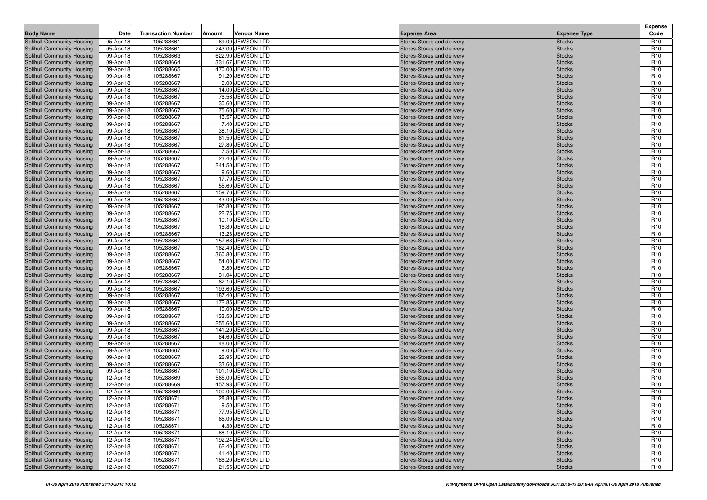| <b>Body Name</b>                                         | Date                   | <b>Transaction Number</b> | Amount | <b>Vendor Name</b>                    | <b>Expense Area</b>                                      | <b>Expense Type</b>            | <b>Expense</b><br>Code             |
|----------------------------------------------------------|------------------------|---------------------------|--------|---------------------------------------|----------------------------------------------------------|--------------------------------|------------------------------------|
| Solihull Community Housing                               | 05-Apr-18              | 105288661                 |        | 69.00 JEWSON LTD                      | Stores-Stores and delivery                               | <b>Stocks</b>                  | R <sub>10</sub>                    |
| Solihull Community Housing                               | 05-Apr-18              | 105288661                 |        | 243.00 JEWSON LTD                     | Stores-Stores and delivery                               | <b>Stocks</b>                  | R <sub>10</sub>                    |
| Solihull Community Housing                               | 09-Apr-18              | 105288663                 |        | 622.90 JEWSON LTD                     | Stores-Stores and delivery                               | <b>Stocks</b>                  | R <sub>10</sub>                    |
| Solihull Community Housing                               | 09-Apr-18              | 105288664                 |        | 331.67 JEWSON LTD                     | Stores-Stores and delivery                               | <b>Stocks</b>                  | R <sub>10</sub>                    |
| Solihull Community Housing                               | 09-Apr-18              | 105288665                 |        | 470.00 JEWSON LTD                     | Stores-Stores and delivery                               | <b>Stocks</b>                  | R <sub>10</sub>                    |
| Solihull Community Housing                               | 09-Apr-18              | 105288667                 |        | 91.20 JEWSON LTD                      | Stores-Stores and delivery                               | <b>Stocks</b>                  | R <sub>10</sub>                    |
| Solihull Community Housing                               | 09-Apr-18              | 105288667                 |        | 9.00 JEWSON LTD                       | Stores-Stores and delivery                               | <b>Stocks</b>                  | R <sub>10</sub>                    |
| Solihull Community Housing                               | 09-Apr-18              | 105288667                 |        | 14.00 JEWSON LTD                      | Stores-Stores and delivery                               | <b>Stocks</b>                  | R <sub>10</sub>                    |
| Solihull Community Housing                               | 09-Apr-18              | 105288667                 |        | 76.56 JEWSON LTD                      | Stores-Stores and delivery                               | <b>Stocks</b>                  | R <sub>10</sub>                    |
| Solihull Community Housing                               | 09-Apr-18              | 105288667                 |        | 30.60 JEWSON LTD                      | Stores-Stores and delivery                               | <b>Stocks</b>                  | R <sub>10</sub>                    |
| Solihull Community Housing                               | 09-Apr-18              | 105288667                 |        | 75.60 JEWSON LTD                      | Stores-Stores and delivery                               | <b>Stocks</b>                  | R <sub>10</sub>                    |
| Solihull Community Housing                               | 09-Apr-18              | 105288667                 |        | 13.57 JEWSON LTD                      | Stores-Stores and delivery                               | <b>Stocks</b>                  | R <sub>10</sub>                    |
| Solihull Community Housing                               | 09-Apr-18              | 105288667                 |        | 7.40 JEWSON LTD                       | Stores-Stores and delivery                               | <b>Stocks</b>                  | R <sub>10</sub>                    |
| Solihull Community Housing                               | 09-Apr-18              | 105288667                 |        | 38.10 JEWSON LTD                      | Stores-Stores and delivery                               | <b>Stocks</b>                  | R <sub>10</sub>                    |
| Solihull Community Housing                               | 09-Apr-18              | 105288667                 |        | 61.50 JEWSON LTD                      | Stores-Stores and delivery                               | <b>Stocks</b>                  | R <sub>10</sub>                    |
| Solihull Community Housing                               | 09-Apr-18              | 105288667                 |        | 27.80 JEWSON LTD                      | Stores-Stores and delivery                               | <b>Stocks</b>                  | R <sub>10</sub>                    |
| Solihull Community Housing                               | 09-Apr-18              | 105288667                 |        | 7.50 JEWSON LTD                       | Stores-Stores and delivery                               | <b>Stocks</b>                  | R <sub>10</sub>                    |
| Solihull Community Housing                               | 09-Apr-18              | 105288667                 |        | 23.40 JEWSON LTD                      | Stores-Stores and delivery                               | <b>Stocks</b>                  | R <sub>10</sub>                    |
| Solihull Community Housing                               | 09-Apr-18              | 105288667                 |        | 244.50 JEWSON LTD                     | Stores-Stores and delivery                               | <b>Stocks</b>                  | R <sub>10</sub>                    |
| Solihull Community Housing                               | 09-Apr-18              | 105288667                 |        | 9.60 JEWSON LTD                       | Stores-Stores and delivery                               | <b>Stocks</b>                  | R <sub>10</sub>                    |
| Solihull Community Housing                               | 09-Apr-18              | 105288667                 |        | 17.70 JEWSON LTD                      | Stores-Stores and delivery                               | <b>Stocks</b>                  | R <sub>10</sub>                    |
| Solihull Community Housing                               | 09-Apr-18              | 105288667                 |        | 55.60 JEWSON LTD                      | Stores-Stores and delivery                               | <b>Stocks</b>                  | R <sub>10</sub>                    |
| Solihull Community Housing                               | 09-Apr-18              | 105288667                 |        | 159.76 JEWSON LTD                     | Stores-Stores and delivery                               | <b>Stocks</b>                  | R <sub>10</sub>                    |
| Solihull Community Housing                               | 09-Apr-18              | 105288667                 |        | 43.00 JEWSON LTD                      | Stores-Stores and delivery                               | <b>Stocks</b>                  | R <sub>10</sub>                    |
| Solihull Community Housing                               | 09-Apr-18              | 105288667                 |        | 197.80 JEWSON LTD                     | Stores-Stores and delivery                               | <b>Stocks</b>                  | R <sub>10</sub>                    |
| Solihull Community Housing                               | 09-Apr-18              | 105288667                 |        | 22.75 JEWSON LTD                      | Stores-Stores and delivery                               | <b>Stocks</b>                  | R <sub>10</sub>                    |
| Solihull Community Housing                               | 09-Apr-18              | 105288667                 |        | 10.10 JEWSON LTD                      | Stores-Stores and delivery                               | <b>Stocks</b>                  | R <sub>10</sub>                    |
| Solihull Community Housing                               | 09-Apr-18              | 105288667                 |        | 16.80 JEWSON LTD                      | Stores-Stores and delivery                               | <b>Stocks</b>                  | R <sub>10</sub>                    |
| Solihull Community Housing                               | 09-Apr-18              | 105288667                 |        | 13.23 JEWSON LTD                      | Stores-Stores and delivery                               | <b>Stocks</b>                  | R <sub>10</sub>                    |
| Solihull Community Housing                               | 09-Apr-18              | 105288667                 |        | 157.68 JEWSON LTD                     | Stores-Stores and delivery                               | <b>Stocks</b>                  | R <sub>10</sub>                    |
| Solihull Community Housing                               | 09-Apr-18              | 105288667                 |        | 162.40 JEWSON LTD                     | Stores-Stores and delivery                               | <b>Stocks</b>                  | R <sub>10</sub>                    |
| Solihull Community Housing                               | 09-Apr-18              | 105288667                 |        | 360.80 JEWSON LTD                     | Stores-Stores and delivery                               | <b>Stocks</b>                  | R <sub>10</sub>                    |
| Solihull Community Housing                               | 09-Apr-18              | 105288667                 |        | 54.00 JEWSON LTD                      | Stores-Stores and delivery                               | <b>Stocks</b>                  | R <sub>10</sub>                    |
| Solihull Community Housing                               | 09-Apr-18              | 105288667                 |        | 3.80 JEWSON LTD                       | Stores-Stores and delivery                               | <b>Stocks</b>                  | R <sub>10</sub>                    |
| Solihull Community Housing                               | 09-Apr-18              | 105288667                 |        | 31.04 JEWSON LTD                      | Stores-Stores and delivery                               | <b>Stocks</b>                  | R <sub>10</sub>                    |
| Solihull Community Housing                               | 09-Apr-18              | 105288667<br>105288667    |        | 62.10 JEWSON LTD<br>193.60 JEWSON LTD | Stores-Stores and delivery                               | <b>Stocks</b>                  | R <sub>10</sub><br>R <sub>10</sub> |
| Solihull Community Housing<br>Solihull Community Housing | 09-Apr-18<br>09-Apr-18 | 105288667                 |        | 187.40 JEWSON LTD                     | Stores-Stores and delivery<br>Stores-Stores and delivery | <b>Stocks</b><br><b>Stocks</b> | R <sub>10</sub>                    |
| Solihull Community Housing                               | 09-Apr-18              | 105288667                 |        | 172.85 JEWSON LTD                     | Stores-Stores and delivery                               | <b>Stocks</b>                  | R <sub>10</sub>                    |
| Solihull Community Housing                               | 09-Apr-18              | 105288667                 |        | 10.00 JEWSON LTD                      | Stores-Stores and delivery                               | <b>Stocks</b>                  | R <sub>10</sub>                    |
| Solihull Community Housing                               | 09-Apr-18              | 105288667                 |        | 133.50 JEWSON LTD                     | Stores-Stores and delivery                               | <b>Stocks</b>                  | R <sub>10</sub>                    |
| Solihull Community Housing                               | 09-Apr-18              | 105288667                 |        | 255.60 JEWSON LTD                     | Stores-Stores and delivery                               | <b>Stocks</b>                  | R <sub>10</sub>                    |
| Solihull Community Housing                               | 09-Apr-18              | 105288667                 |        | 141.20 JEWSON LTD                     | Stores-Stores and delivery                               | <b>Stocks</b>                  | R <sub>10</sub>                    |
| Solihull Community Housing                               | 09-Apr-18              | 105288667                 |        | 84.60 JEWSON LTD                      | Stores-Stores and delivery                               | <b>Stocks</b>                  | R <sub>10</sub>                    |
| Solihull Community Housing                               | 09-Apr-18              | 105288667                 |        | 48.00 JEWSON LTD                      | Stores-Stores and delivery                               | <b>Stocks</b>                  | R <sub>10</sub>                    |
| Solihull Community Housing                               | 09-Apr-18              | 105288667                 |        | 9.00 JEWSON LTD                       | Stores-Stores and delivery                               | <b>Stocks</b>                  | R <sub>10</sub>                    |
| Solihull Community Housing                               | 09-Apr-18              | 105288667                 |        | 26.95 JEWSON LTD                      | Stores-Stores and delivery                               | <b>Stocks</b>                  | R <sub>10</sub>                    |
| Solihull Community Housing                               | 09-Apr-18              | 105288667                 |        | 33.60 JEWSON LTD                      | Stores-Stores and delivery                               | <b>Stocks</b>                  | R <sub>10</sub>                    |
| Solihull Community Housing                               | 09-Apr-18              | 105288667                 |        | 101.10 JEWSON LTD                     | Stores-Stores and delivery                               | <b>Stocks</b>                  | R <sub>10</sub>                    |
| Solihull Community Housing                               | 12-Apr-18              | 105288669                 |        | 565.00 JEWSON LTD                     | Stores-Stores and delivery                               | <b>Stocks</b>                  | R <sub>10</sub>                    |
| Solihull Community Housing                               | 12-Apr-18              | 105288669                 |        | 457.93 JEWSON LTD                     | Stores-Stores and delivery                               | <b>Stocks</b>                  | R <sub>10</sub>                    |
| <b>Solihull Community Housing</b>                        | 12-Apr-18              | 105288669                 |        | 100.00 JEWSON LTD                     | Stores-Stores and delivery                               | <b>Stocks</b>                  | R <sub>10</sub>                    |
| Solihull Community Housing                               | 12-Apr-18              | 105288671                 |        | 28.80 JEWSON LTD                      | Stores-Stores and delivery                               | <b>Stocks</b>                  | R <sub>10</sub>                    |
| Solihull Community Housing                               | 12-Apr-18              | 105288671                 |        | 9.50 JEWSON LTD                       | Stores-Stores and delivery                               | <b>Stocks</b>                  | R <sub>10</sub>                    |
| Solihull Community Housing                               | 12-Apr-18              | 105288671                 |        | 77.95 JEWSON LTD                      | Stores-Stores and delivery                               | <b>Stocks</b>                  | R <sub>10</sub>                    |
| Solihull Community Housing                               | 12-Apr-18              | 105288671                 |        | 65.00 JEWSON LTD                      | Stores-Stores and delivery                               | <b>Stocks</b>                  | R <sub>10</sub>                    |
| Solihull Community Housing                               | 12-Apr-18              | 105288671                 |        | 4.30 JEWSON LTD                       | Stores-Stores and delivery                               | <b>Stocks</b>                  | R <sub>10</sub>                    |
| Solihull Community Housing                               | 12-Apr-18              | 105288671                 |        | 88.10 JEWSON LTD                      | Stores-Stores and delivery                               | <b>Stocks</b>                  | R <sub>10</sub>                    |
| Solihull Community Housing                               | 12-Apr-18              | 105288671                 |        | 192.24 JEWSON LTD                     | Stores-Stores and delivery                               | <b>Stocks</b>                  | R <sub>10</sub>                    |
| Solihull Community Housing                               | 12-Apr-18              | 105288671                 |        | 62.40 JEWSON LTD                      | Stores-Stores and delivery                               | <b>Stocks</b>                  | R <sub>10</sub>                    |
| Solihull Community Housing                               | 12-Apr-18              | 105288671                 |        | 41.40 JEWSON LTD                      | Stores-Stores and delivery                               | <b>Stocks</b>                  | R <sub>10</sub>                    |
| <b>Solihull Community Housing</b>                        | 12-Apr-18              | 105288671                 |        | 186.20 JEWSON LTD                     | Stores-Stores and delivery                               | <b>Stocks</b>                  | R <sub>10</sub>                    |
| Solihull Community Housing                               | 12-Apr-18              | 105288671                 |        | 21.55 JEWSON LTD                      | Stores-Stores and delivery                               | <b>Stocks</b>                  | R <sub>10</sub>                    |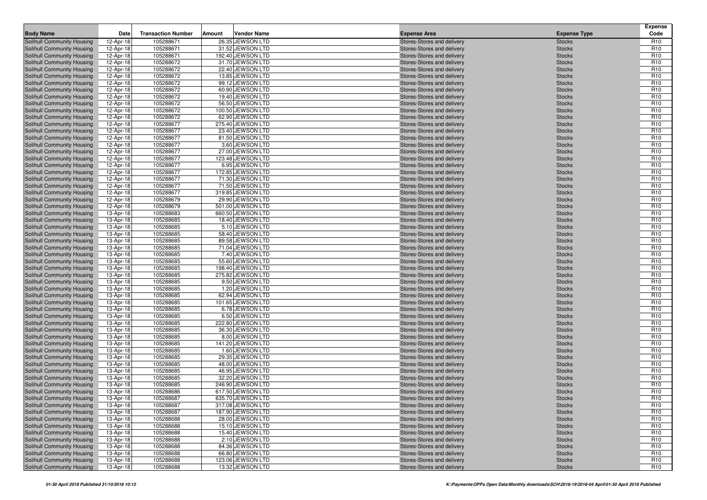| <b>Body Name</b>                                         | Date                   | <b>Transaction Number</b> | Amount | <b>Vendor Name</b>                   | <b>Expense Area</b>                                      | <b>Expense Type</b>            | <b>Expense</b><br>Code             |
|----------------------------------------------------------|------------------------|---------------------------|--------|--------------------------------------|----------------------------------------------------------|--------------------------------|------------------------------------|
| Solihull Community Housing                               | 12-Apr-18              | 105288671                 |        | 26.35 JEWSON LTD                     | Stores-Stores and delivery                               | <b>Stocks</b>                  | R <sub>10</sub>                    |
| Solihull Community Housing                               | 12-Apr-18              | 105288671                 |        | 31.52 JEWSON LTD                     | Stores-Stores and delivery                               | <b>Stocks</b>                  | R <sub>10</sub>                    |
| Solihull Community Housing                               | 12-Apr-18              | 105288671                 |        | 192.40 JEWSON LTD                    | Stores-Stores and delivery                               | <b>Stocks</b>                  | R <sub>10</sub>                    |
| Solihull Community Housing                               | 12-Apr-18              | 105288672                 |        | 31.70 JEWSON LTD                     | Stores-Stores and delivery                               | <b>Stocks</b>                  | R <sub>10</sub>                    |
| Solihull Community Housing                               | 12-Apr-18              | 105288672                 |        | 22.40 JEWSON LTD                     | Stores-Stores and delivery                               | <b>Stocks</b>                  | R <sub>10</sub>                    |
| Solihull Community Housing                               | 12-Apr-18              | 105288672                 |        | 13.85 JEWSON LTD                     | Stores-Stores and delivery                               | <b>Stocks</b>                  | R <sub>10</sub>                    |
| Solihull Community Housing                               | 12-Apr-18              | 105288672                 |        | 99.12 JEWSON LTD                     | Stores-Stores and delivery                               | <b>Stocks</b>                  | R <sub>10</sub>                    |
| Solihull Community Housing                               | 12-Apr-18              | 105288672                 |        | 60.90 JEWSON LTD                     | Stores-Stores and delivery                               | <b>Stocks</b>                  | R <sub>10</sub>                    |
| Solihull Community Housing                               | 12-Apr-18              | 105288672                 |        | 19.40 JEWSON LTD                     | Stores-Stores and delivery                               | <b>Stocks</b>                  | R <sub>10</sub>                    |
| Solihull Community Housing                               | 12-Apr-18              | 105288672                 |        | 56.50 JEWSON LTD                     | Stores-Stores and delivery                               | <b>Stocks</b>                  | R <sub>10</sub>                    |
| Solihull Community Housing                               | 12-Apr-18              | 105288672                 |        | 100.50 JEWSON LTD                    | Stores-Stores and delivery                               | <b>Stocks</b>                  | R <sub>10</sub>                    |
| Solihull Community Housing                               | 12-Apr-18              | 105288672                 |        | 62.90 JEWSON LTD                     | Stores-Stores and delivery                               | <b>Stocks</b>                  | R <sub>10</sub>                    |
| Solihull Community Housing                               | 12-Apr-18              | 105288677                 |        | 275.40 JEWSON LTD                    | Stores-Stores and delivery                               | <b>Stocks</b>                  | R <sub>10</sub>                    |
| Solihull Community Housing                               | 12-Apr-18              | 105288677                 |        | 23.40 JEWSON LTD                     | Stores-Stores and delivery                               | <b>Stocks</b>                  | R <sub>10</sub>                    |
| Solihull Community Housing                               | 12-Apr-18              | 105288677                 |        | 81.50 JEWSON LTD                     | Stores-Stores and delivery                               | <b>Stocks</b>                  | R <sub>10</sub>                    |
| Solihull Community Housing                               | 12-Apr-18              | 105288677                 |        | 3.60 JEWSON LTD                      | Stores-Stores and delivery                               | <b>Stocks</b>                  | R <sub>10</sub>                    |
| Solihull Community Housing                               | 12-Apr-18              | 105288677                 |        | 27.00 JEWSON LTD                     | Stores-Stores and delivery                               | <b>Stocks</b>                  | R <sub>10</sub><br>R <sub>10</sub> |
| Solihull Community Housing<br>Solihull Community Housing | 12-Apr-18<br>12-Apr-18 | 105288677<br>105288677    |        | 123.48 JEWSON LTD<br>6.95 JEWSON LTD | Stores-Stores and delivery<br>Stores-Stores and delivery | <b>Stocks</b><br><b>Stocks</b> | R <sub>10</sub>                    |
| Solihull Community Housing                               | 12-Apr-18              | 105288677                 |        | 172.85 JEWSON LTD                    | Stores-Stores and delivery                               | <b>Stocks</b>                  | R <sub>10</sub>                    |
| Solihull Community Housing                               | 12-Apr-18              | 105288677                 |        | 71.30 JEWSON LTD                     | Stores-Stores and delivery                               | <b>Stocks</b>                  | R <sub>10</sub>                    |
| Solihull Community Housing                               | 12-Apr-18              | 105288677                 |        | 71.50 JEWSON LTD                     | Stores-Stores and delivery                               | <b>Stocks</b>                  | R <sub>10</sub>                    |
| Solihull Community Housing                               | 12-Apr-18              | 105288677                 |        | 319.85 JEWSON LTD                    | Stores-Stores and delivery                               | <b>Stocks</b>                  | R <sub>10</sub>                    |
| Solihull Community Housing                               | 12-Apr-18              | 105288679                 |        | 29.90 JEWSON LTD                     | Stores-Stores and delivery                               | <b>Stocks</b>                  | R <sub>10</sub>                    |
| Solihull Community Housing                               | 12-Apr-18              | 105288679                 |        | 501.00 JEWSON LTD                    | Stores-Stores and delivery                               | <b>Stocks</b>                  | R <sub>10</sub>                    |
| Solihull Community Housing                               | 13-Apr-18              | 105288683                 |        | 660.50 JEWSON LTD                    | Stores-Stores and delivery                               | <b>Stocks</b>                  | R <sub>10</sub>                    |
| Solihull Community Housing                               | 13-Apr-18              | 105288685                 |        | 18.40 JEWSON LTD                     | Stores-Stores and delivery                               | <b>Stocks</b>                  | R <sub>10</sub>                    |
| Solihull Community Housing                               | 13-Apr-18              | 105288685                 |        | 5.10 JEWSON LTD                      | Stores-Stores and delivery                               | <b>Stocks</b>                  | R <sub>10</sub>                    |
| Solihull Community Housing                               | 13-Apr-18              | 105288685                 |        | 58.40 JEWSON LTD                     | Stores-Stores and delivery                               | <b>Stocks</b>                  | R <sub>10</sub>                    |
| Solihull Community Housing                               | 13-Apr-18              | 105288685                 |        | 89.58 JEWSON LTD                     | Stores-Stores and delivery                               | <b>Stocks</b>                  | R <sub>10</sub>                    |
| Solihull Community Housing                               | 13-Apr-18              | 105288685                 |        | 71.04 JEWSON LTD                     | Stores-Stores and delivery                               | <b>Stocks</b>                  | R <sub>10</sub>                    |
| Solihull Community Housing                               | 13-Apr-18              | 105288685                 |        | 7.40 JEWSON LTD                      | Stores-Stores and delivery                               | <b>Stocks</b>                  | R <sub>10</sub>                    |
| Solihull Community Housing                               | 13-Apr-18              | 105288685                 |        | 55.60 JEWSON LTD                     | Stores-Stores and delivery                               | <b>Stocks</b>                  | R <sub>10</sub>                    |
| Solihull Community Housing                               | 13-Apr-18              | 105288685                 |        | 198.40 JEWSON LTD                    | Stores-Stores and delivery                               | <b>Stocks</b>                  | R <sub>10</sub>                    |
| Solihull Community Housing                               | 13-Apr-18              | 105288685                 |        | 275.82 JEWSON LTD                    | Stores-Stores and delivery                               | <b>Stocks</b>                  | R <sub>10</sub>                    |
| Solihull Community Housing                               | 13-Apr-18              | 105288685                 |        | 9.50 JEWSON LTD                      | Stores-Stores and delivery                               | <b>Stocks</b>                  | R <sub>10</sub>                    |
| Solihull Community Housing                               | 13-Apr-18              | 105288685                 |        | 1.20 JEWSON LTD                      | Stores-Stores and delivery                               | <b>Stocks</b>                  | R <sub>10</sub>                    |
| Solihull Community Housing                               | 13-Apr-18              | 105288685                 |        | 62.94 JEWSON LTD                     | Stores-Stores and delivery                               | <b>Stocks</b>                  | R <sub>10</sub>                    |
| Solihull Community Housing                               | 13-Apr-18              | 105288685                 |        | 101.65 JEWSON LTD                    | Stores-Stores and delivery                               | <b>Stocks</b>                  | R <sub>10</sub>                    |
| Solihull Community Housing                               | 13-Apr-18              | 105288685                 |        | 6.78 JEWSON LTD                      | Stores-Stores and delivery                               | <b>Stocks</b>                  | R <sub>10</sub>                    |
| Solihull Community Housing                               | 13-Apr-18              | 105288685                 |        | 6.50 JEWSON LTD                      | Stores-Stores and delivery                               | <b>Stocks</b>                  | R <sub>10</sub>                    |
| Solihull Community Housing                               | 13-Apr-18              | 105288685                 |        | 222.80 JEWSON LTD                    | Stores-Stores and delivery                               | <b>Stocks</b>                  | R <sub>10</sub>                    |
| Solihull Community Housing                               | 13-Apr-18              | 105288685<br>105288685    |        | 36.30 JEWSON LTD<br>8.00 JEWSON LTD  | Stores-Stores and delivery                               | <b>Stocks</b>                  | R <sub>10</sub><br>R <sub>10</sub> |
| Solihull Community Housing<br>Solihull Community Housing | 13-Apr-18<br>13-Apr-18 | 105288685                 |        | 141.20 JEWSON LTD                    | Stores-Stores and delivery<br>Stores-Stores and delivery | <b>Stocks</b><br><b>Stocks</b> | R <sub>10</sub>                    |
| Solihull Community Housing                               | 13-Apr-18              | 105288685                 |        | 1.60 JEWSON LTD                      | Stores-Stores and delivery                               | <b>Stocks</b>                  | R <sub>10</sub>                    |
| Solihull Community Housing                               | 13-Apr-18              | 105288685                 |        | 29.35 JEWSON LTD                     | Stores-Stores and delivery                               | <b>Stocks</b>                  | R <sub>10</sub>                    |
| Solihull Community Housing                               | 13-Apr-18              | 105288685                 |        | 48.00 JEWSON LTD                     | Stores-Stores and delivery                               | <b>Stocks</b>                  | R <sub>10</sub>                    |
| Solihull Community Housing                               | 13-Apr-18              | 105288685                 |        | 46.95 JEWSON LTD                     | Stores-Stores and delivery                               | <b>Stocks</b>                  | R <sub>10</sub>                    |
| Solihull Community Housing                               | 13-Apr-18              | 105288685                 |        | 32.20 JEWSON LTD                     | Stores-Stores and delivery                               | <b>Stocks</b>                  | R <sub>10</sub>                    |
| Solihull Community Housing                               | 13-Apr-18              | 105288685                 |        | 246.90 JEWSON LTD                    | Stores-Stores and delivery                               | <b>Stocks</b>                  | R <sub>10</sub>                    |
| <b>Solihull Community Housing</b>                        | 13-Apr-18              | 105288686                 |        | 617.50 JEWSON LTD                    | Stores-Stores and delivery                               | <b>Stocks</b>                  | R <sub>10</sub>                    |
| Solihull Community Housing                               | 13-Apr-18              | 105288687                 |        | 635.70 JEWSON LTD                    | Stores-Stores and delivery                               | <b>Stocks</b>                  | R <sub>10</sub>                    |
| Solihull Community Housing                               | 13-Apr-18              | 105288687                 |        | 317.08 JEWSON LTD                    | Stores-Stores and delivery                               | <b>Stocks</b>                  | R <sub>10</sub>                    |
| Solihull Community Housing                               | 13-Apr-18              | 105288687                 |        | 187.90 JEWSON LTD                    | Stores-Stores and delivery                               | <b>Stocks</b>                  | R <sub>10</sub>                    |
| Solihull Community Housing                               | 13-Apr-18              | 105288688                 |        | 28.00 JEWSON LTD                     | Stores-Stores and delivery                               | <b>Stocks</b>                  | R <sub>10</sub>                    |
| Solihull Community Housing                               | 13-Apr-18              | 105288688                 |        | 15.10 JEWSON LTD                     | Stores-Stores and delivery                               | <b>Stocks</b>                  | R <sub>10</sub>                    |
| Solihull Community Housing                               | 13-Apr-18              | 105288688                 |        | 15.40 JEWSON LTD                     | Stores-Stores and delivery                               | <b>Stocks</b>                  | R <sub>10</sub>                    |
| Solihull Community Housing                               | 13-Apr-18              | 105288688                 |        | 2.10 JEWSON LTD                      | Stores-Stores and delivery                               | <b>Stocks</b>                  | R <sub>10</sub>                    |
| Solihull Community Housing                               | 13-Apr-18              | 105288688                 |        | 84.36 JEWSON LTD                     | Stores-Stores and delivery                               | <b>Stocks</b>                  | R <sub>10</sub>                    |
| Solihull Community Housing                               | 13-Apr-18              | 105288688                 |        | 66.80 JEWSON LTD                     | Stores-Stores and delivery                               | <b>Stocks</b>                  | R <sub>10</sub>                    |
| Solihull Community Housing                               | 13-Apr-18              | 105288688                 |        | 123.06 JEWSON LTD                    | Stores-Stores and delivery                               | <b>Stocks</b>                  | R <sub>10</sub>                    |
| Solihull Community Housing                               | 13-Apr-18              | 105288688                 |        | 13.32 JEWSON LTD                     | Stores-Stores and delivery                               | <b>Stocks</b>                  | R <sub>10</sub>                    |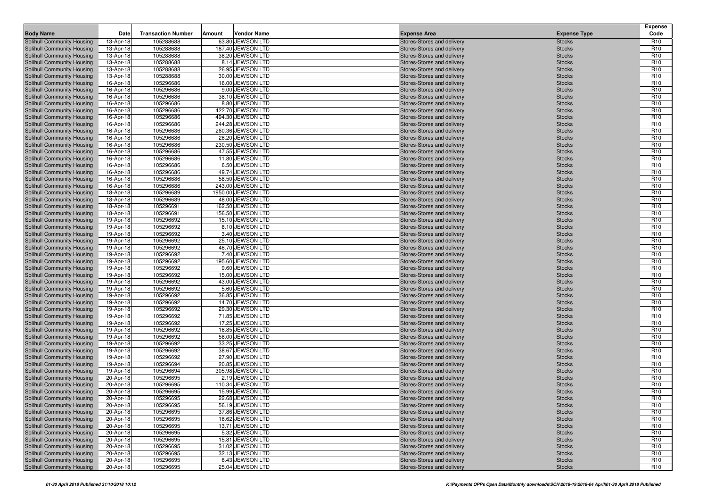| <b>Body Name</b>                                         | Date                   | <b>Transaction Number</b> | Amount | <b>Vendor Name</b>                  | <b>Expense Area</b>                                      | <b>Expense Type</b>            | <b>Expense</b><br>Code             |
|----------------------------------------------------------|------------------------|---------------------------|--------|-------------------------------------|----------------------------------------------------------|--------------------------------|------------------------------------|
| Solihull Community Housing                               | 13-Apr-18              | 105288688                 |        | 63.80 JEWSON LTD                    | Stores-Stores and delivery                               | <b>Stocks</b>                  | R <sub>10</sub>                    |
| Solihull Community Housing                               | 13-Apr-18              | 105288688                 |        | 187.40 JEWSON LTD                   | Stores-Stores and delivery                               | <b>Stocks</b>                  | R <sub>10</sub>                    |
| Solihull Community Housing                               | 13-Apr-18              | 105288688                 |        | 38.20 JEWSON LTD                    | Stores-Stores and delivery                               | <b>Stocks</b>                  | R <sub>10</sub>                    |
| Solihull Community Housing                               | 13-Apr-18              | 105288688                 |        | 8.14 JEWSON LTD                     | Stores-Stores and delivery                               | <b>Stocks</b>                  | R <sub>10</sub>                    |
| Solihull Community Housing                               | 13-Apr-18              | 105288688                 |        | 26.95 JEWSON LTD                    | Stores-Stores and delivery                               | <b>Stocks</b>                  | R <sub>10</sub>                    |
| Solihull Community Housing                               | 13-Apr-18              | 105288688                 |        | 30.00 JEWSON LTD                    | Stores-Stores and delivery                               | <b>Stocks</b>                  | R <sub>10</sub>                    |
| Solihull Community Housing                               | 16-Apr-18              | 105296686                 |        | 16.00 JEWSON LTD                    | Stores-Stores and delivery                               | <b>Stocks</b>                  | R <sub>10</sub>                    |
| Solihull Community Housing                               | 16-Apr-18              | 105296686                 |        | 9.00 JEWSON LTD                     | Stores-Stores and delivery                               | <b>Stocks</b>                  | R <sub>10</sub>                    |
| Solihull Community Housing                               | 16-Apr-18              | 105296686                 |        | 38.10 JEWSON LTD                    | Stores-Stores and delivery                               | <b>Stocks</b>                  | R <sub>10</sub>                    |
| Solihull Community Housing                               | 16-Apr-18              | 105296686                 |        | 8.80 JEWSON LTD                     | Stores-Stores and delivery                               | <b>Stocks</b>                  | R <sub>10</sub>                    |
| Solihull Community Housing                               | 16-Apr-18              | 105296686                 |        | 422.70 JEWSON LTD                   | Stores-Stores and delivery                               | <b>Stocks</b>                  | R <sub>10</sub>                    |
| Solihull Community Housing                               | 16-Apr-18              | 105296686                 |        | 494.30 JEWSON LTD                   | Stores-Stores and delivery                               | <b>Stocks</b>                  | R <sub>10</sub>                    |
| Solihull Community Housing                               | 16-Apr-18              | 105296686                 |        | 244.28 JEWSON LTD                   | Stores-Stores and delivery                               | <b>Stocks</b>                  | R <sub>10</sub>                    |
| Solihull Community Housing                               | 16-Apr-18              | 105296686                 |        | 260.36 JEWSON LTD                   | Stores-Stores and delivery                               | <b>Stocks</b>                  | R <sub>10</sub>                    |
| Solihull Community Housing                               | 16-Apr-18              | 105296686                 |        | 26.20 JEWSON LTD                    | Stores-Stores and delivery                               | <b>Stocks</b>                  | R <sub>10</sub>                    |
| Solihull Community Housing                               | 16-Apr-18              | 105296686                 |        | 230.50 JEWSON LTD                   | Stores-Stores and delivery                               | <b>Stocks</b>                  | R <sub>10</sub>                    |
| Solihull Community Housing                               | 16-Apr-18              | 105296686                 |        | 47.55 JEWSON LTD                    | Stores-Stores and delivery                               | <b>Stocks</b>                  | R <sub>10</sub>                    |
| Solihull Community Housing                               | 16-Apr-18              | 105296686                 |        | 11.80 JEWSON LTD                    | Stores-Stores and delivery                               | <b>Stocks</b>                  | R <sub>10</sub>                    |
| Solihull Community Housing                               | 16-Apr-18              | 105296686                 |        | 6.50 JEWSON LTD                     | Stores-Stores and delivery                               | <b>Stocks</b>                  | R <sub>10</sub>                    |
| Solihull Community Housing                               | 16-Apr-18              | 105296686                 |        | 49.74 JEWSON LTD                    | Stores-Stores and delivery                               | <b>Stocks</b>                  | R <sub>10</sub>                    |
| Solihull Community Housing                               | 16-Apr-18              | 105296686                 |        | 58.50 JEWSON LTD                    | Stores-Stores and delivery                               | <b>Stocks</b>                  | R <sub>10</sub>                    |
| Solihull Community Housing                               | 16-Apr-18              | 105296686                 |        | 243.00 JEWSON LTD                   | Stores-Stores and delivery                               | <b>Stocks</b>                  | R <sub>10</sub>                    |
| Solihull Community Housing                               | 18-Apr-18              | 105296689                 |        | 1950.00 JEWSON LTD                  | Stores-Stores and delivery                               | <b>Stocks</b>                  | R <sub>10</sub>                    |
| Solihull Community Housing                               | 18-Apr-18              | 105296689                 |        | 48.00 JEWSON LTD                    | Stores-Stores and delivery                               | <b>Stocks</b>                  | R <sub>10</sub>                    |
| Solihull Community Housing                               | 18-Apr-18              | 105296691                 |        | 162.50 JEWSON LTD                   | Stores-Stores and delivery                               | <b>Stocks</b>                  | R <sub>10</sub>                    |
| Solihull Community Housing                               | 18-Apr-18              | 105296691                 |        | 156.50 JEWSON LTD                   | Stores-Stores and delivery                               | <b>Stocks</b>                  | R <sub>10</sub>                    |
| Solihull Community Housing<br>Solihull Community Housing | 19-Apr-18              | 105296692                 |        | 15.10 JEWSON LTD                    | Stores-Stores and delivery                               | <b>Stocks</b>                  | R <sub>10</sub><br>R <sub>10</sub> |
|                                                          | 19-Apr-18              | 105296692<br>105296692    |        | 8.10 JEWSON LTD<br>3.40 JEWSON LTD  | Stores-Stores and delivery                               | <b>Stocks</b>                  | R <sub>10</sub>                    |
| Solihull Community Housing<br>Solihull Community Housing | 19-Apr-18<br>19-Apr-18 | 105296692                 |        | 25.10 JEWSON LTD                    | Stores-Stores and delivery<br>Stores-Stores and delivery | <b>Stocks</b><br><b>Stocks</b> | R <sub>10</sub>                    |
| Solihull Community Housing                               | 19-Apr-18              | 105296692                 |        | 46.70 JEWSON LTD                    | Stores-Stores and delivery                               | <b>Stocks</b>                  | R <sub>10</sub>                    |
| Solihull Community Housing                               | 19-Apr-18              | 105296692                 |        | 7.40 JEWSON LTD                     | Stores-Stores and delivery                               | <b>Stocks</b>                  | R <sub>10</sub>                    |
| Solihull Community Housing                               | 19-Apr-18              | 105296692                 |        | 195.60 JEWSON LTD                   | Stores-Stores and delivery                               | <b>Stocks</b>                  | R <sub>10</sub>                    |
| Solihull Community Housing                               | 19-Apr-18              | 105296692                 |        | 9.60 JEWSON LTD                     | Stores-Stores and delivery                               | <b>Stocks</b>                  | R <sub>10</sub>                    |
| Solihull Community Housing                               | 19-Apr-18              | 105296692                 |        | 15.00 JEWSON LTD                    | Stores-Stores and delivery                               | <b>Stocks</b>                  | R <sub>10</sub>                    |
| Solihull Community Housing                               | 19-Apr-18              | 105296692                 |        | 43.00 JEWSON LTD                    | Stores-Stores and delivery                               | <b>Stocks</b>                  | R <sub>10</sub>                    |
| Solihull Community Housing                               | 19-Apr-18              | 105296692                 |        | 5.60 JEWSON LTD                     | Stores-Stores and delivery                               | <b>Stocks</b>                  | R <sub>10</sub>                    |
| Solihull Community Housing                               | 19-Apr-18              | 105296692                 |        | 36.85 JEWSON LTD                    | Stores-Stores and delivery                               | <b>Stocks</b>                  | R <sub>10</sub>                    |
| Solihull Community Housing                               | 19-Apr-18              | 105296692                 |        | 14.70 JEWSON LTD                    | Stores-Stores and delivery                               | <b>Stocks</b>                  | R <sub>10</sub>                    |
| Solihull Community Housing                               | 19-Apr-18              | 105296692                 |        | 29.30 JEWSON LTD                    | Stores-Stores and delivery                               | <b>Stocks</b>                  | R <sub>10</sub>                    |
| Solihull Community Housing                               | 19-Apr-18              | 105296692                 |        | 71.85 JEWSON LTD                    | Stores-Stores and delivery                               | <b>Stocks</b>                  | R <sub>10</sub>                    |
| Solihull Community Housing                               | 19-Apr-18              | 105296692                 |        | 17.25 JEWSON LTD                    | Stores-Stores and delivery                               | <b>Stocks</b>                  | R <sub>10</sub>                    |
| Solihull Community Housing                               | 19-Apr-18              | 105296692                 |        | 16.85 JEWSON LTD                    | Stores-Stores and delivery                               | <b>Stocks</b>                  | R <sub>10</sub>                    |
| Solihull Community Housing                               | 19-Apr-18              | 105296692                 |        | 56.00 JEWSON LTD                    | Stores-Stores and delivery                               | <b>Stocks</b>                  | R <sub>10</sub>                    |
| Solihull Community Housing                               | 19-Apr-18              | 105296692                 |        | 33.25 JEWSON LTD                    | Stores-Stores and delivery                               | <b>Stocks</b>                  | R <sub>10</sub>                    |
| Solihull Community Housing                               | 19-Apr-18              | 105296692                 |        | 38.67 JEWSON LTD                    | Stores-Stores and delivery                               | <b>Stocks</b>                  | R <sub>10</sub>                    |
| Solihull Community Housing                               | 19-Apr-18              | 105296692                 |        | 27.90 JEWSON LTD                    | Stores-Stores and delivery                               | <b>Stocks</b>                  | R <sub>10</sub>                    |
| Solihull Community Housing                               | 19-Apr-18              | 105296694                 |        | 20.85 JEWSON LTD                    | Stores-Stores and delivery                               | <b>Stocks</b>                  | R <sub>10</sub>                    |
| Solihull Community Housing                               | 19-Apr-18              | 105296694                 |        | 305.98 JEWSON LTD                   | Stores-Stores and delivery                               | <b>Stocks</b>                  | R <sub>10</sub>                    |
| Solihull Community Housing                               | 20-Apr-18              | 105296695                 |        | 2.19 JEWSON LTD                     | Stores-Stores and delivery                               | <b>Stocks</b>                  | R <sub>10</sub>                    |
| Solihull Community Housing                               | 20-Apr-18              | 105296695                 |        | 110.34 JEWSON LTD                   | Stores-Stores and delivery                               | <b>Stocks</b>                  | R <sub>10</sub>                    |
| <b>Solihull Community Housing</b>                        | 20-Apr-18              | 105296695                 |        | 15.99 JEWSON LTD                    | Stores-Stores and delivery                               | <b>Stocks</b>                  | R <sub>10</sub>                    |
| Solihull Community Housing                               | 20-Apr-18              | 105296695                 |        | 22.68 JEWSON LTD                    | Stores-Stores and delivery                               | <b>Stocks</b>                  | R <sub>10</sub>                    |
| Solihull Community Housing                               | 20-Apr-18              | 105296695                 |        | 56.19 JEWSON LTD                    | Stores-Stores and delivery                               | <b>Stocks</b>                  | R <sub>10</sub>                    |
| Solihull Community Housing                               | 20-Apr-18              | 105296695                 |        | 37.86 JEWSON LTD                    | Stores-Stores and delivery                               | <b>Stocks</b>                  | R <sub>10</sub>                    |
| Solihull Community Housing                               | 20-Apr-18              | 105296695                 |        | 16.62 JEWSON LTD                    | Stores-Stores and delivery                               | <b>Stocks</b>                  | R <sub>10</sub>                    |
| Solihull Community Housing                               | 20-Apr-18              | 105296695                 |        | 13.71 JEWSON LTD                    | Stores-Stores and delivery                               | <b>Stocks</b>                  | R <sub>10</sub>                    |
| Solihull Community Housing                               | 20-Apr-18              | 105296695                 |        | 5.32 JEWSON LTD                     | Stores-Stores and delivery                               | <b>Stocks</b>                  | R <sub>10</sub>                    |
| Solihull Community Housing                               | 20-Apr-18              | 105296695                 |        | 15.81 JEWSON LTD                    | Stores-Stores and delivery                               | <b>Stocks</b>                  | R <sub>10</sub>                    |
| Solihull Community Housing                               | 20-Apr-18              | 105296695                 |        | 31.02 JEWSON LTD                    | Stores-Stores and delivery                               | <b>Stocks</b>                  | R <sub>10</sub>                    |
| Solihull Community Housing<br>Solihull Community Housing | 20-Apr-18              | 105296695<br>105296695    |        | 32.13 JEWSON LTD<br>6.43 JEWSON LTD | Stores-Stores and delivery<br>Stores-Stores and delivery | <b>Stocks</b>                  | R <sub>10</sub><br>R <sub>10</sub> |
| Solihull Community Housing                               | 20-Apr-18              |                           |        | 25.04 JEWSON LTD                    |                                                          | <b>Stocks</b>                  |                                    |
|                                                          | 20-Apr-18              | 105296695                 |        |                                     | Stores-Stores and delivery                               | <b>Stocks</b>                  | R <sub>10</sub>                    |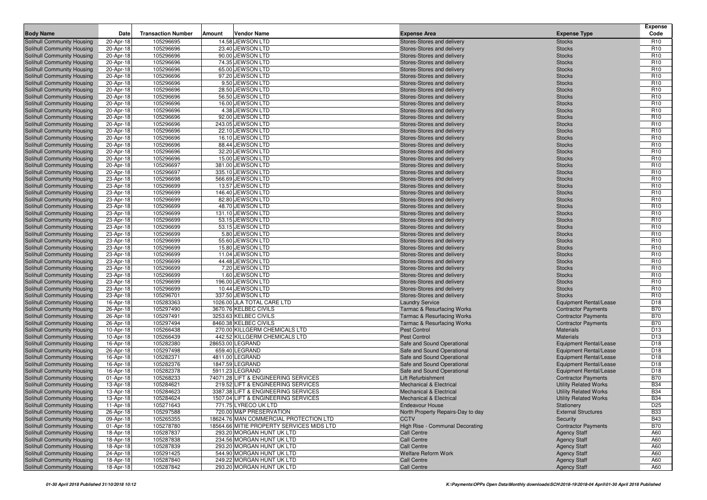|                                                          |                        |                           |        |                                                        |                                                              |                                                | <b>Expense</b>                     |
|----------------------------------------------------------|------------------------|---------------------------|--------|--------------------------------------------------------|--------------------------------------------------------------|------------------------------------------------|------------------------------------|
| <b>Body Name</b>                                         | Date                   | <b>Transaction Number</b> | Amount | <b>Vendor Name</b>                                     | <b>Expense Area</b>                                          | <b>Expense Type</b>                            | Code                               |
| Solihull Community Housing                               | 20-Apr-18              | 105296695                 |        | 14.58 JEWSON LTD                                       | Stores-Stores and delivery                                   | <b>Stocks</b>                                  | R <sub>10</sub>                    |
| Solihull Community Housing                               | 20-Apr-18              | 105296696                 |        | 23.40 JEWSON LTD                                       | Stores-Stores and delivery                                   | <b>Stocks</b>                                  | R <sub>10</sub><br>R <sub>10</sub> |
| Solihull Community Housing<br>Solihull Community Housing | 20-Apr-18<br>20-Apr-18 | 105296696<br>105296696    |        | 90.00 JEWSON LTD<br>74.35 JEWSON LTD                   | Stores-Stores and delivery<br>Stores-Stores and delivery     | <b>Stocks</b><br><b>Stocks</b>                 | R <sub>10</sub>                    |
| Solihull Community Housing                               | 20-Apr-18              | 105296696                 |        | 65.00 JEWSON LTD                                       | Stores-Stores and delivery                                   | <b>Stocks</b>                                  | R <sub>10</sub>                    |
| Solihull Community Housing                               | 20-Apr-18              | 105296696                 |        | 97.20 JEWSON LTD                                       | Stores-Stores and delivery                                   | <b>Stocks</b>                                  | R <sub>10</sub>                    |
| Solihull Community Housing                               | 20-Apr-18              | 105296696                 |        | 9.50 JEWSON LTD                                        | Stores-Stores and delivery                                   | <b>Stocks</b>                                  | R <sub>10</sub>                    |
| Solihull Community Housing                               | 20-Apr-18              | 105296696                 |        | 28.50 JEWSON LTD                                       | Stores-Stores and delivery                                   | <b>Stocks</b>                                  | R <sub>10</sub>                    |
| Solihull Community Housing                               | 20-Apr-18              | 105296696                 |        | 56.50 JEWSON LTD                                       | Stores-Stores and delivery                                   | <b>Stocks</b>                                  | R <sub>10</sub>                    |
| Solihull Community Housing                               | 20-Apr-18              | 105296696                 |        | 16.00 JEWSON LTD                                       | Stores-Stores and delivery                                   | <b>Stocks</b>                                  | R <sub>10</sub>                    |
| Solihull Community Housing                               | 20-Apr-18              | 105296696                 |        | 4.38 JEWSON LTD                                        | Stores-Stores and delivery                                   | <b>Stocks</b>                                  | R <sub>10</sub>                    |
| Solihull Community Housing                               | 20-Apr-18              | 105296696                 |        | 92.00 JEWSON LTD                                       | Stores-Stores and delivery                                   | <b>Stocks</b>                                  | R <sub>10</sub>                    |
| Solihull Community Housing                               | 20-Apr-18              | 105296696                 |        | 243.05 JEWSON LTD                                      | Stores-Stores and delivery                                   | <b>Stocks</b>                                  | R <sub>10</sub>                    |
| Solihull Community Housing                               | 20-Apr-18              | 105296696                 |        | 22.10 JEWSON LTD                                       | Stores-Stores and delivery                                   | <b>Stocks</b>                                  | R <sub>10</sub>                    |
| Solihull Community Housing                               | 20-Apr-18              | 105296696                 |        | 16.10 JEWSON LTD                                       | Stores-Stores and delivery                                   | <b>Stocks</b>                                  | R <sub>10</sub>                    |
| Solihull Community Housing                               | 20-Apr-18              | 105296696                 |        | 88.44 JEWSON LTD                                       | Stores-Stores and delivery                                   | <b>Stocks</b>                                  | R <sub>10</sub>                    |
| Solihull Community Housing                               | 20-Apr-18              | 105296696                 |        | 32.20 JEWSON LTD                                       | Stores-Stores and delivery                                   | <b>Stocks</b>                                  | R <sub>10</sub>                    |
| Solihull Community Housing                               | 20-Apr-18              | 105296696                 |        | 15.00 JEWSON LTD                                       | Stores-Stores and delivery                                   | <b>Stocks</b>                                  | R <sub>10</sub>                    |
| Solihull Community Housing                               | 20-Apr-18              | 105296697                 |        | 381.00 JEWSON LTD                                      | Stores-Stores and delivery                                   | <b>Stocks</b>                                  | R <sub>10</sub>                    |
| Solihull Community Housing                               | 20-Apr-18              | 105296697                 |        | 335.10 JEWSON LTD                                      | Stores-Stores and delivery                                   | <b>Stocks</b>                                  | R <sub>10</sub>                    |
| Solihull Community Housing                               | 23-Apr-18              | 105296698                 |        | 566.69 JEWSON LTD                                      | Stores-Stores and delivery                                   | <b>Stocks</b>                                  | R <sub>10</sub>                    |
| Solihull Community Housing                               | 23-Apr-18              | 105296699                 |        | 13.57 JEWSON LTD                                       | Stores-Stores and delivery                                   | <b>Stocks</b>                                  | R <sub>10</sub>                    |
| Solihull Community Housing                               | 23-Apr-18              | 105296699                 |        | 146.40 JEWSON LTD                                      | Stores-Stores and delivery                                   | <b>Stocks</b>                                  | R <sub>10</sub><br>R <sub>10</sub> |
| Solihull Community Housing<br>Solihull Community Housing | 23-Apr-18<br>23-Apr-18 | 105296699<br>105296699    |        | 82.80 JEWSON LTD<br>48.70 JEWSON LTD                   | Stores-Stores and delivery<br>Stores-Stores and delivery     | <b>Stocks</b><br><b>Stocks</b>                 | R <sub>10</sub>                    |
| <b>Solihull Community Housing</b>                        | 23-Apr-18              | 105296699                 |        | 131.10 JEWSON LTD                                      | Stores-Stores and delivery                                   | <b>Stocks</b>                                  | R <sub>10</sub>                    |
| Solihull Community Housing                               | 23-Apr-18              | 105296699                 |        | 53.15 JEWSON LTD                                       | Stores-Stores and delivery                                   | <b>Stocks</b>                                  | R <sub>10</sub>                    |
| Solihull Community Housing                               | 23-Apr-18              | 105296699                 |        | 53.15 JEWSON LTD                                       | Stores-Stores and delivery                                   | <b>Stocks</b>                                  | R <sub>10</sub>                    |
| Solihull Community Housing                               | 23-Apr-18              | 105296699                 |        | 5.80 JEWSON LTD                                        | Stores-Stores and delivery                                   | <b>Stocks</b>                                  | R <sub>10</sub>                    |
| Solihull Community Housing                               | 23-Apr-18              | 105296699                 |        | 55.60 JEWSON LTD                                       | Stores-Stores and delivery                                   | <b>Stocks</b>                                  | R <sub>10</sub>                    |
| Solihull Community Housing                               | 23-Apr-18              | 105296699                 |        | 15.80 JEWSON LTD                                       | Stores-Stores and delivery                                   | <b>Stocks</b>                                  | R <sub>10</sub>                    |
| Solihull Community Housing                               | 23-Apr-18              | 105296699                 |        | 11.04 JEWSON LTD                                       | Stores-Stores and delivery                                   | <b>Stocks</b>                                  | R <sub>10</sub>                    |
| Solihull Community Housing                               | 23-Apr-18              | 105296699                 |        | 44.48 JEWSON LTD                                       | Stores-Stores and delivery                                   | <b>Stocks</b>                                  | R <sub>10</sub>                    |
| Solihull Community Housing                               | 23-Apr-18              | 105296699                 |        | 7.20 JEWSON LTD                                        | Stores-Stores and delivery                                   | <b>Stocks</b>                                  | R <sub>10</sub>                    |
| Solihull Community Housing                               | 23-Apr-18              | 105296699                 |        | 1.60 JEWSON LTD                                        | Stores-Stores and delivery                                   | <b>Stocks</b>                                  | R <sub>10</sub>                    |
| Solihull Community Housing                               | 23-Apr-18              | 105296699                 |        | 196.00 JEWSON LTD                                      | Stores-Stores and delivery                                   | <b>Stocks</b>                                  | R <sub>10</sub>                    |
| Solihull Community Housing                               | 23-Apr-18              | 105296699                 |        | 10.44 JEWSON LTD                                       | Stores-Stores and delivery                                   | <b>Stocks</b>                                  | R <sub>10</sub>                    |
| Solihull Community Housing                               | 23-Apr-18              | 105296701                 |        | 337.50 JEWSON LTD                                      | Stores-Stores and delivery                                   | <b>Stocks</b>                                  | R <sub>10</sub>                    |
| Solihull Community Housing                               | 16-Apr-18              | 105283363                 |        | 1026.00 JLA TOTAL CARE LTD                             | <b>Laundry Service</b>                                       | Equipment Rental/Lease                         | D <sub>18</sub>                    |
| Solihull Community Housing                               | 26-Apr-18              | 105297490                 |        | 3670.76 KELBEC CIVILS                                  | <b>Tarmac &amp; Resurfacing Works</b>                        | <b>Contractor Payments</b>                     | <b>B70</b>                         |
| Solihull Community Housing                               | 26-Apr-18              | 105297491                 |        | 3253.63 KELBEC CIVILS<br>8460.38 KELBEC CIVILS         | <b>Tarmac &amp; Resurfacing Works</b>                        | <b>Contractor Payments</b>                     | <b>B70</b>                         |
| Solihull Community Housing<br>Solihull Community Housing | 26-Apr-18<br>10-Apr-18 | 105297494<br>105266438    |        | 270.00 KILLGERM CHEMICALS LTD                          | <b>Tarmac &amp; Resurfacing Works</b><br><b>Pest Control</b> | <b>Contractor Payments</b><br><b>Materials</b> | <b>B70</b><br>D <sub>13</sub>      |
| Solihull Community Housing                               | 10-Apr-18              | 105266439                 |        | 442.52 KILLGERM CHEMICALS LTD                          | <b>Pest Control</b>                                          | <b>Materials</b>                               | D <sub>13</sub>                    |
| Solihull Community Housing                               | 16-Apr-18              | 105282380                 |        | 28653.00 LEGRAND                                       | Safe and Sound Operational                                   | Equipment Rental/Lease                         | D <sub>18</sub>                    |
| Solihull Community Housing                               | 26-Apr-18              | 105297498                 |        | 659.40 LEGRAND                                         | Safe and Sound Operational                                   | <b>Equipment Rental/Lease</b>                  | D <sub>18</sub>                    |
| Solihull Community Housing                               | 16-Apr-18              | 105282371                 |        | 4811.00 LEGRAND                                        | Safe and Sound Operational                                   | Equipment Rental/Lease                         | D <sub>18</sub>                    |
| Solihull Community Housing                               | 16-Apr-18              | 105282376                 |        | 1847.59 LEGRAND                                        | Safe and Sound Operational                                   | <b>Equipment Rental/Lease</b>                  | D <sub>18</sub>                    |
| Solihull Community Housing                               | 16-Apr-18              | 105282378                 |        | 5911.23 LEGRAND                                        | Safe and Sound Operational                                   | <b>Equipment Rental/Lease</b>                  | D <sub>18</sub>                    |
| Solihull Community Housing                               | 01-Apr-18              | 105268233                 |        | 74071.28 LIFT & ENGINEERING SERVICES                   | <b>Lift Refurbishment</b>                                    | <b>Contractor Payments</b>                     | <b>B70</b>                         |
| Solihull Community Housing                               | 13-Apr-18              | 105284621                 |        | 219.52 LIFT & ENGINEERING SERVICES                     | <b>Mechanical &amp; Electrical</b>                           | <b>Utility Related Works</b>                   | <b>B34</b>                         |
| Solihull Community Housing                               | 13-Apr-18              | 105284623                 |        | 3387.38 LIFT & ENGINEERING SERVICES                    | <b>Mechanical &amp; Electrical</b>                           | <b>Utility Related Works</b>                   | <b>B34</b>                         |
| Solihull Community Housing                               | 13-Apr-18              | 105284624                 |        | 1507.04 LIFT & ENGINEERING SERVICES                    | <b>Mechanical &amp; Electrical</b>                           | <b>Utility Related Works</b>                   | <b>B34</b>                         |
| Solihull Community Housing                               | 11-Apr-18              | 105271643                 |        | 771.75 LYRECO UK LTD                                   | <b>Endeavour House</b>                                       | Stationery                                     | D <sub>25</sub>                    |
| Solihull Community Housing                               | 26-Apr-18              | 105297588                 |        | 720.00 M&P PRESERVATION                                | North Property Repairs-Day to day                            | <b>External Structures</b>                     | <b>B33</b>                         |
| Solihull Community Housing                               | 09-Apr-18              | 105265355                 |        | 18624.76 MAN COMMERCIAL PROTECTION LTD                 | <b>CCTV</b>                                                  | Security                                       | <b>B43</b>                         |
| Solihull Community Housing                               | 01-Apr-18              | 105278780                 |        | 18564.66 MITIE PROPERTY SERVICES MIDS LTD              | High Rise - Communal Decorating                              | <b>Contractor Payments</b>                     | <b>B70</b>                         |
| Solihull Community Housing                               | 18-Apr-18              | 105287837                 |        | 293.20 MORGAN HUNT UK LTD                              | <b>Call Centre</b>                                           | <b>Agency Staff</b>                            | A60                                |
| Solihull Community Housing                               | 18-Apr-18              | 105287838                 |        | 234.56 MORGAN HUNT UK LTD                              | <b>Call Centre</b>                                           | <b>Agency Staff</b>                            | A60                                |
| Solihull Community Housing                               | 18-Apr-18              | 105287839                 |        | 293.20 MORGAN HUNT UK LTD                              | Call Centre                                                  | <b>Agency Staff</b>                            | A60                                |
| Solihull Community Housing<br>Solihull Community Housing | 24-Apr-18              | 105291425<br>105287840    |        | 544.90 MORGAN HUNT UK LTD<br>249.22 MORGAN HUNT UK LTD | <b>Welfare Reform Work</b><br><b>Call Centre</b>             | <b>Agency Staff</b>                            | A60<br>A60                         |
| Solihull Community Housing                               | 18-Apr-18<br>18-Apr-18 | 105287842                 |        | 293.20 MORGAN HUNT UK LTD                              | Call Centre                                                  | <b>Agency Staff</b><br><b>Agency Staff</b>     | A60                                |
|                                                          |                        |                           |        |                                                        |                                                              |                                                |                                    |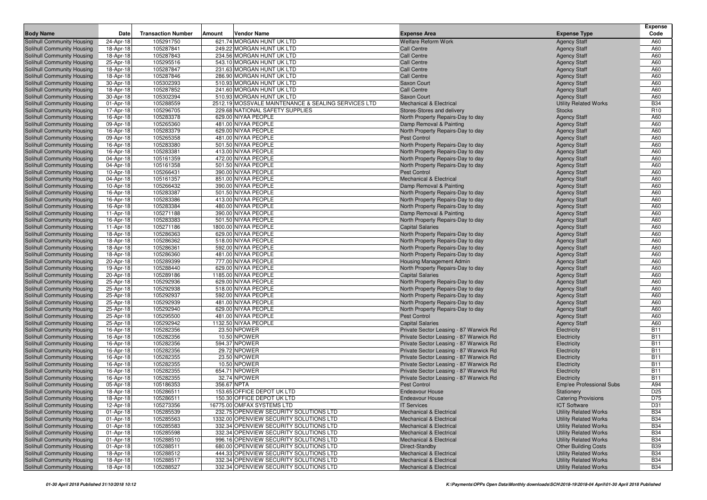|                                                          |                        |                           |                                                                                  |                                                              |                                                             | <b>Expense</b>           |
|----------------------------------------------------------|------------------------|---------------------------|----------------------------------------------------------------------------------|--------------------------------------------------------------|-------------------------------------------------------------|--------------------------|
| <b>Body Name</b>                                         | Date                   | <b>Transaction Number</b> | Amount<br>Vendor Name                                                            | <b>Expense Area</b>                                          | <b>Expense Type</b>                                         | Code                     |
| Solihull Community Housing                               | 24-Apr-18              | 105291750                 | 621.74 MORGAN HUNT UK LTD                                                        | <b>Welfare Reform Work</b>                                   | <b>Agency Staff</b>                                         | A60                      |
| Solihull Community Housing                               | 18-Apr-18              | 105287841                 | 249.22 MORGAN HUNT UK LTD                                                        | Call Centre                                                  | <b>Agency Staff</b>                                         | A60                      |
| Solihull Community Housing                               | 18-Apr-18              | 105287843                 | 234.56 MORGAN HUNT UK LTD                                                        | <b>Call Centre</b>                                           | <b>Agency Staff</b>                                         | A60                      |
| Solihull Community Housing                               | 25-Apr-18              | 105295516                 | 543.10 MORGAN HUNT UK LTD                                                        | <b>Call Centre</b>                                           | <b>Agency Staff</b>                                         | A60                      |
| Solihull Community Housing                               | 18-Apr-18              | 105287847                 | 231.63 MORGAN HUNT UK LTD                                                        | <b>Call Centre</b>                                           | <b>Agency Staff</b>                                         | A60                      |
| Solihull Community Housing                               | 18-Apr-18              | 105287846                 | 286.90 MORGAN HUNT UK LTD                                                        | <b>Call Centre</b>                                           | <b>Agency Staff</b>                                         | A60                      |
| Solihull Community Housing                               | 30-Apr-18              | 105302393                 | 510.93 MORGAN HUNT UK LTD                                                        | Saxon Court                                                  | <b>Agency Staff</b>                                         | A60                      |
| Solihull Community Housing                               | 18-Apr-18              | 105287852                 | 241.60 MORGAN HUNT UK LTD                                                        | Call Centre                                                  | <b>Agency Staff</b>                                         | A60                      |
| Solihull Community Housing                               | 30-Apr-18              | 105302394                 | 510.93 MORGAN HUNT UK LTD                                                        | Saxon Court                                                  | <b>Agency Staff</b>                                         | A60                      |
| Solihull Community Housing                               | 01-Apr-18              | 105288559                 | 2512.19 MOSSVALE MAINTENANCE & SEALING SERVICES LTD                              | <b>Mechanical &amp; Electrical</b>                           | <b>Utility Related Works</b>                                | <b>B34</b>               |
| Solihull Community Housing                               | 17-Apr-18              | 105296705                 | 229.68 NATIONAL SAFETY SUPPLIES                                                  | Stores-Stores and delivery                                   | <b>Stocks</b>                                               | R <sub>10</sub>          |
| Solihull Community Housing                               | 16-Apr-18              | 105283378                 | 629.00 NIYAA PEOPLE                                                              | North Property Repairs-Day to day                            | <b>Agency Staff</b>                                         | A60                      |
| Solihull Community Housing                               | 09-Apr-18              | 105265360                 | 481.00 NIYAA PEOPLE                                                              | Damp Removal & Painting                                      | <b>Agency Staff</b>                                         | A60                      |
| Solihull Community Housing                               | 16-Apr-18              | 105283379                 | 629.00 NIYAA PEOPLE                                                              | North Property Repairs-Day to day                            | <b>Agency Staff</b>                                         | A60                      |
| Solihull Community Housing                               | 09-Apr-18              | 105265358                 | 481.00 NIYAA PEOPLE                                                              | Pest Control                                                 | <b>Agency Staff</b>                                         | A60                      |
| Solihull Community Housing                               | 16-Apr-18              | 105283380                 | 501.50 NIYAA PEOPLE                                                              | North Property Repairs-Day to day                            | <b>Agency Staff</b>                                         | A60                      |
| Solihull Community Housing                               | 16-Apr-18              | 105283381                 | 413.00 NIYAA PEOPLE                                                              | North Property Repairs-Day to day                            | <b>Agency Staff</b>                                         | A60                      |
| Solihull Community Housing                               | 04-Apr-18              | 105161359                 | 472.00 NIYAA PEOPLE                                                              | North Property Repairs-Day to day                            | <b>Agency Staff</b>                                         | A60                      |
| Solihull Community Housing                               | 04-Apr-18              | 105161358                 | 501.50 NIYAA PEOPLE                                                              | North Property Repairs-Day to day                            | <b>Agency Staff</b>                                         | A60                      |
| Solihull Community Housing                               | 10-Apr-18              | 105266431                 | 390.00 NIYAA PEOPLE                                                              | Pest Control                                                 | <b>Agency Staff</b>                                         | A60                      |
| Solihull Community Housing                               | 04-Apr-18              | 105161357                 | 851.00 NIYAA PEOPLE                                                              | <b>Mechanical &amp; Electrical</b>                           | <b>Agency Staff</b>                                         | A60                      |
| Solihull Community Housing                               | 10-Apr-18              | 105266432                 | 390.00 NIYAA PEOPLE                                                              | Damp Removal & Painting                                      | <b>Agency Staff</b>                                         | A60                      |
| Solihull Community Housing                               | 16-Apr-18              | 105283387                 | 501.50 NIYAA PEOPLE                                                              | North Property Repairs-Day to day                            | <b>Agency Staff</b>                                         | A60                      |
| Solihull Community Housing                               | 16-Apr-18              | 105283386                 | 413.00 NIYAA PEOPLE                                                              | North Property Repairs-Day to day                            | <b>Agency Staff</b>                                         | A60                      |
| <b>Solihull Community Housing</b>                        | 16-Apr-18              | 105283384                 | 480.00 NIYAA PEOPLE                                                              | North Property Repairs-Day to day                            | <b>Agency Staff</b>                                         | A60                      |
| Solihull Community Housing                               | 11-Apr-18              | 105271188                 | 390.00 NIYAA PEOPLE                                                              | Damp Removal & Painting                                      | <b>Agency Staff</b>                                         | A60                      |
| Solihull Community Housing                               | 16-Apr-18              | 105283383                 | 501.50 NIYAA PEOPLE<br>1800.00 NIYAA PEOPLE                                      | North Property Repairs-Day to day                            | <b>Agency Staff</b>                                         | A60                      |
| Solihull Community Housing                               | 11-Apr-18              | 105271186                 | 629.00 NIYAA PEOPLE                                                              | <b>Capital Salaries</b><br>North Property Repairs-Day to day | <b>Agency Staff</b>                                         | A60<br>A60               |
| Solihull Community Housing<br>Solihull Community Housing | 18-Apr-18<br>18-Apr-18 | 105286363<br>105286362    | 518.00 NIYAA PEOPLE                                                              | North Property Repairs-Day to day                            | <b>Agency Staff</b><br><b>Agency Staff</b>                  | A60                      |
| Solihull Community Housing                               | 18-Apr-18              | 105286361                 | 592.00 NIYAA PEOPLE                                                              | North Property Repairs-Day to day                            | <b>Agency Staff</b>                                         | A60                      |
| Solihull Community Housing                               | 18-Apr-18              | 105286360                 | 481.00 NIYAA PEOPLE                                                              | North Property Repairs-Day to day                            | <b>Agency Staff</b>                                         | A60                      |
| Solihull Community Housing                               | 20-Apr-18              | 105289399                 | 777.00 NIYAA PEOPLE                                                              | Housing Management Admin                                     | <b>Agency Staff</b>                                         | A60                      |
| Solihull Community Housing                               | 19-Apr-18              | 105288440                 | 629.00 NIYAA PEOPLE                                                              | North Property Repairs-Day to day                            | <b>Agency Staff</b>                                         | A60                      |
| Solihull Community Housing                               | 20-Apr-18              | 105289186                 | 1185.00 NIYAA PEOPLE                                                             | <b>Capital Salaries</b>                                      | <b>Agency Staff</b>                                         | A60                      |
| Solihull Community Housing                               | 25-Apr-18              | 105292936                 | 629.00 NIYAA PEOPLE                                                              | North Property Repairs-Day to day                            | <b>Agency Staff</b>                                         | A60                      |
| Solihull Community Housing                               | 25-Apr-18              | 105292938                 | 518.00 NIYAA PEOPLE                                                              | North Property Repairs-Day to day                            | <b>Agency Staff</b>                                         | A60                      |
| Solihull Community Housing                               | 25-Apr-18              | 105292937                 | 592.00 NIYAA PEOPLE                                                              | North Property Repairs-Day to day                            | <b>Agency Staff</b>                                         | A60                      |
| Solihull Community Housing                               | 25-Apr-18              | 105292939                 | 481.00 NIYAA PEOPLE                                                              | North Property Repairs-Day to day                            | <b>Agency Staff</b>                                         | A60                      |
| Solihull Community Housing                               | 25-Apr-18              | 105292940                 | 629.00 NIYAA PEOPLE                                                              | North Property Repairs-Day to day                            | <b>Agency Staff</b>                                         | A60                      |
| Solihull Community Housing                               | 25-Apr-18              | 105295500                 | 481.00 NIYAA PEOPLE                                                              | <b>Pest Control</b>                                          | <b>Agency Staff</b>                                         | A60                      |
| Solihull Community Housing                               | 25-Apr-18              | 105292942                 | 1132.50 NIYAA PEOPLE                                                             | <b>Capital Salaries</b>                                      | <b>Agency Staff</b>                                         | A60                      |
| Solihull Community Housing                               | 16-Apr-18              | 105282356                 | 23.50 NPOWER                                                                     | Private Sector Leasing - 87 Warwick Rd                       | Electricity                                                 | <b>B11</b>               |
| Solihull Community Housing                               | 16-Apr-18              | 105282356                 | 10.50 NPOWER                                                                     | Private Sector Leasing - 87 Warwick Rd                       | Electricity                                                 | <b>B11</b>               |
| Solihull Community Housing                               | 16-Apr-18              | 105282356                 | 594.37 NPOWER                                                                    | Private Sector Leasing - 87 Warwick Rd                       | Electricity                                                 | <b>B11</b>               |
| Solihull Community Housing                               | 16-Apr-18              | 105282356                 | 29.72 NPOWER                                                                     | Private Sector Leasing - 87 Warwick Rd                       | Electricity                                                 | <b>B11</b>               |
| Solihull Community Housing                               | 16-Apr-18              | 105282355                 | 23.50 NPOWER                                                                     | Private Sector Leasing - 87 Warwick Rd                       | Electricity                                                 | <b>B11</b>               |
| Solihull Community Housing                               | 16-Apr-18              | 105282355                 | 10.50 NPOWER                                                                     | Private Sector Leasing - 87 Warwick Rd                       | Electricity                                                 | <b>B11</b>               |
| Solihull Community Housing                               | 16-Apr-18              | 105282355                 | 654.71 NPOWER                                                                    | Private Sector Leasing - 87 Warwick Rd                       | Electricity                                                 | <b>B11</b>               |
| <b>Solihull Community Housing</b>                        | 16-Apr-18              | 105282355                 | 32.74 NPOWER                                                                     | Private Sector Leasing - 87 Warwick Rd                       | Electricity                                                 | <b>B11</b>               |
| Solihull Community Housing                               | 05-Apr-18              | 105186353                 | 356.67 NPTA                                                                      | <b>Pest Control</b>                                          | <b>Emp'ee Professional Subs</b>                             | A94                      |
| Solihull Community Housing                               | 18-Apr-18              | 105286511                 | 153.65 OFFICE DEPOT UK LTD                                                       | <b>Endeavour House</b>                                       | Stationery                                                  | D <sub>25</sub>          |
| Solihull Community Housing                               | 18-Apr-18              | 105286511                 | 150.30 OFFICE DEPOT UK LTD                                                       | <b>Endeavour House</b>                                       | <b>Catering Provisions</b>                                  | D75                      |
| Solihull Community Housing                               | 12-Apr-18              | 105273356                 | 16775.00 OMFAX SYSTEMS LTD                                                       | <b>IT Services</b>                                           | <b>ICT Software</b>                                         | D31                      |
| Solihull Community Housing                               | 01-Apr-18              | 105285539                 | 232.75 OPENVIEW SECURITY SOLUTIONS LTD                                           | Mechanical & Electrical                                      | <b>Utility Related Works</b>                                | <b>B34</b>               |
| Solihull Community Housing                               | 01-Apr-18              | 105285563                 | 1332.00 OPENVIEW SECURITY SOLUTIONS LTD                                          | <b>Mechanical &amp; Electrical</b>                           | <b>Utility Related Works</b>                                | <b>B34</b>               |
| Solihull Community Housing                               | 01-Apr-18              | 105285583                 | 332.34 OPENVIEW SECURITY SOLUTIONS LTD<br>332.34 OPENVIEW SECURITY SOLUTIONS LTD | Mechanical & Electrical                                      | <b>Utility Related Works</b>                                | <b>B34</b>               |
| Solihull Community Housing                               | 01-Apr-18              | 105285598                 |                                                                                  | Mechanical & Electrical                                      | <b>Utility Related Works</b>                                | <b>B34</b>               |
| Solihull Community Housing<br>Solihull Community Housing | 01-Apr-18<br>01-Apr-18 | 105288510<br>105288511    | 996.16 OPENVIEW SECURITY SOLUTIONS LTD<br>680.00 OPENVIEW SECURITY SOLUTIONS LTD | Mechanical & Electrical<br>Direct-Standby                    | <b>Utility Related Works</b><br><b>Other Building Costs</b> | <b>B34</b><br><b>B39</b> |
| Solihull Community Housing                               | 18-Apr-18              | 105288512                 | 444.33 OPENVIEW SECURITY SOLUTIONS LTD                                           | Mechanical & Electrical                                      | <b>Utility Related Works</b>                                | <b>B34</b>               |
| Solihull Community Housing                               | 18-Apr-18              | 105288517                 | 332.34 OPENVIEW SECURITY SOLUTIONS LTD                                           | Mechanical & Electrical                                      | <b>Utility Related Works</b>                                | <b>B34</b>               |
| Solihull Community Housing                               | 18-Apr-18              | 105288527                 | 332.34 OPENVIEW SECURITY SOLUTIONS LTD                                           | <b>Mechanical &amp; Electrical</b>                           | <b>Utility Related Works</b>                                | <b>B34</b>               |
|                                                          |                        |                           |                                                                                  |                                                              |                                                             |                          |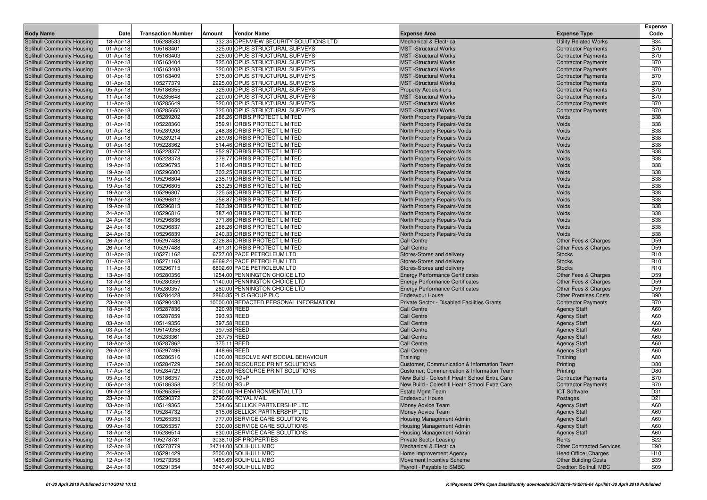| <b>Body Name</b>           | Date      | <b>Transaction Number</b> | Amount       | Vendor Name                            | <b>Expense Area</b>                           | <b>Expense Type</b>              | Expense<br>Code |
|----------------------------|-----------|---------------------------|--------------|----------------------------------------|-----------------------------------------------|----------------------------------|-----------------|
| Solihull Community Housing | 18-Apr-18 | 105288533                 |              | 332.34 OPENVIEW SECURITY SOLUTIONS LTD | <b>Mechanical &amp; Electrical</b>            | <b>Utility Related Works</b>     | <b>B34</b>      |
| Solihull Community Housing | 01-Apr-18 | 105163401                 |              | 325.00 OPUS STRUCTURAL SURVEYS         | <b>MST</b> -Structural Works                  | <b>Contractor Payments</b>       | <b>B70</b>      |
| Solihull Community Housing | 01-Apr-18 | 105163403                 |              | 325.00 OPUS STRUCTURAL SURVEYS         | <b>MST</b> -Structural Works                  | <b>Contractor Payments</b>       | <b>B70</b>      |
| Solihull Community Housing | 01-Apr-18 | 105163404                 |              | 325.00 OPUS STRUCTURAL SURVEYS         | <b>MST</b> -Structural Works                  | <b>Contractor Payments</b>       | <b>B70</b>      |
| Solihull Community Housing | 01-Apr-18 | 105163408                 |              | 220.00 OPUS STRUCTURAL SURVEYS         | <b>MST</b> -Structural Works                  | <b>Contractor Payments</b>       | <b>B70</b>      |
| Solihull Community Housing | 01-Apr-18 | 105163409                 |              | 575.00 OPUS STRUCTURAL SURVEYS         | <b>MST</b> -Structural Works                  | <b>Contractor Payments</b>       | <b>B70</b>      |
| Solihull Community Housing | 01-Apr-18 | 105277379                 |              | 2225.00 OPUS STRUCTURAL SURVEYS        | <b>MST</b> -Structural Works                  | <b>Contractor Payments</b>       | <b>B70</b>      |
| Solihull Community Housing | 05-Apr-18 | 105186355                 |              | 325.00 OPUS STRUCTURAL SURVEYS         | <b>Property Acquisitions</b>                  | <b>Contractor Payments</b>       | <b>B70</b>      |
| Solihull Community Housing | 11-Apr-18 | 105285648                 |              | 220.00 OPUS STRUCTURAL SURVEYS         | <b>MST</b> -Structural Works                  | <b>Contractor Payments</b>       | <b>B70</b>      |
| Solihull Community Housing | 11-Apr-18 | 105285649                 |              | 220.00 OPUS STRUCTURAL SURVEYS         | <b>MST</b> -Structural Works                  | <b>Contractor Payments</b>       | <b>B70</b>      |
| Solihull Community Housing | 11-Apr-18 | 105285650                 |              | 325.00 OPUS STRUCTURAL SURVEYS         | <b>MST</b> -Structural Works                  | <b>Contractor Payments</b>       | <b>B70</b>      |
| Solihull Community Housing | 01-Apr-18 | 105289202                 |              | 286.26 ORBIS PROTECT LIMITED           | North Property Repairs-Voids                  | Voids                            | <b>B38</b>      |
| Solihull Community Housing | 01-Apr-18 | 105228360                 |              | 359.91 ORBIS PROTECT LIMITED           | North Property Repairs-Voids                  | Voids                            | <b>B38</b>      |
| Solihull Community Housing | 01-Apr-18 | 105289208                 |              | 248.38 ORBIS PROTECT LIMITED           | North Property Repairs-Voids                  | Voids                            | <b>B38</b>      |
| Solihull Community Housing | 01-Apr-18 | 105289214                 |              | 269.98 ORBIS PROTECT LIMITED           | <b>North Property Repairs-Voids</b>           | Voids                            | <b>B38</b>      |
| Solihull Community Housing | 01-Apr-18 | 105228362                 |              | 514.46 ORBIS PROTECT LIMITED           | North Property Repairs-Voids                  | Voids                            | <b>B38</b>      |
| Solihull Community Housing | 01-Apr-18 | 105228377                 |              | 652.97 ORBIS PROTECT LIMITED           | North Property Repairs-Voids                  | Voids                            | <b>B38</b>      |
| Solihull Community Housing | 01-Apr-18 | 105228378                 |              | 279.77 ORBIS PROTECT LIMITED           | North Property Repairs-Voids                  | Voids                            | <b>B38</b>      |
| Solihull Community Housing | 19-Apr-18 | 105296795                 |              | 316.40 ORBIS PROTECT LIMITED           | North Property Repairs-Voids                  | Voids                            | <b>B38</b>      |
| Solihull Community Housing | 19-Apr-18 | 105296800                 |              | 303.25 ORBIS PROTECT LIMITED           | North Property Repairs-Voids                  | Voids                            | <b>B38</b>      |
| Solihull Community Housing | 19-Apr-18 | 105296804                 |              | 235.19 ORBIS PROTECT LIMITED           | <b>North Property Repairs-Voids</b>           | Voids                            | <b>B38</b>      |
| Solihull Community Housing | 19-Apr-18 | 105296805                 |              | 253.25 ORBIS PROTECT LIMITED           | <b>North Property Repairs-Voids</b>           | Voids                            | <b>B38</b>      |
| Solihull Community Housing | 19-Apr-18 | 105296807                 |              | 225.58 ORBIS PROTECT LIMITED           | North Property Repairs-Voids                  | Voids                            | <b>B38</b>      |
| Solihull Community Housing | 19-Apr-18 | 105296812                 |              | 256.87 ORBIS PROTECT LIMITED           | <b>North Property Repairs-Voids</b>           | Voids                            | <b>B38</b>      |
| Solihull Community Housing | 19-Apr-18 | 105296813                 |              | 263.39 ORBIS PROTECT LIMITED           | <b>North Property Repairs-Voids</b>           | Voids                            | <b>B38</b>      |
| Solihull Community Housing | 24-Apr-18 | 105296816                 |              | 387.40 ORBIS PROTECT LIMITED           | North Property Repairs-Voids                  | Voids                            | <b>B38</b>      |
| Solihull Community Housing | 24-Apr-18 | 105296836                 |              | 371.86 ORBIS PROTECT LIMITED           | North Property Repairs-Voids                  | Voids                            | <b>B38</b>      |
| Solihull Community Housing | 24-Apr-18 | 105296837                 |              | 286.26 ORBIS PROTECT LIMITED           | North Property Repairs-Voids                  | Voids                            | <b>B38</b>      |
| Solihull Community Housing | 24-Apr-18 | 105296839                 |              | 240.33 ORBIS PROTECT LIMITED           | North Property Repairs-Voids                  | Voids                            | <b>B38</b>      |
| Solihull Community Housing | 26-Apr-18 | 105297488                 |              | 2726.84 ORBIS PROTECT LIMITED          | <b>Call Centre</b>                            | Other Fees & Charges             | D <sub>59</sub> |
| Solihull Community Housing | 26-Apr-18 | 105297488                 |              | 491.31 ORBIS PROTECT LIMITED           | <b>Call Centre</b>                            | Other Fees & Charges             | D <sub>59</sub> |
| Solihull Community Housing | 01-Apr-18 | 105271162                 |              | 6727.00 PACE PETROLEUM LTD             | Stores-Stores and delivery                    | <b>Stocks</b>                    | R <sub>10</sub> |
| Solihull Community Housing | 01-Apr-18 | 105271163                 |              | 6669.24 PACE PETROLEUM LTD             | Stores-Stores and delivery                    | <b>Stocks</b>                    | R <sub>10</sub> |
| Solihull Community Housing | 11-Apr-18 | 105296715                 |              | 6802.60 PACE PETROLEUM LTD             | Stores-Stores and delivery                    | <b>Stocks</b>                    | R <sub>10</sub> |
| Solihull Community Housing | 13-Apr-18 | 105280356                 |              | 1254.00 PENNINGTON CHOICE LTD          | <b>Energy Performance Certificates</b>        | Other Fees & Charges             | D <sub>59</sub> |
| Solihull Community Housing | 13-Apr-18 | 105280359                 |              | 1140.00 PENNINGTON CHOICE LTD          | <b>Energy Performance Certificates</b>        | Other Fees & Charges             | D <sub>59</sub> |
| Solihull Community Housing | 13-Apr-18 | 105280357                 |              | 280.00 PENNINGTON CHOICE LTD           | <b>Energy Performance Certificates</b>        | Other Fees & Charges             | D <sub>59</sub> |
| Solihull Community Housing | 16-Apr-18 | 105284428                 |              | 2860.85 PHS GROUP PLC                  | <b>Endeavour House</b>                        | <b>Other Premises Costs</b>      | <b>B90</b>      |
| Solihull Community Housing | 23-Apr-18 | 105290430                 |              | 10000.00 REDACTED PERSONAL INFORMATION | Private Sector - Disabled Facilities Grants   | <b>Contractor Payments</b>       | <b>B70</b>      |
| Solihull Community Housing | 18-Apr-18 | 105287836                 | 320.98 REED  |                                        | <b>Call Centre</b>                            | <b>Agency Staff</b>              | A60             |
| Solihull Community Housing | 18-Apr-18 | 105287859                 | 393.93 REED  |                                        | <b>Call Centre</b>                            | <b>Agency Staff</b>              | A60             |
| Solihull Community Housing | 03-Apr-18 | 105149356                 | 397.58 REED  |                                        | <b>Call Centre</b>                            | <b>Agency Staff</b>              | A60             |
| Solihull Community Housing | 03-Apr-18 | 105149358                 | 397.58 REED  |                                        | <b>Call Centre</b>                            | <b>Agency Staff</b>              | A60             |
| Solihull Community Housing | 16-Apr-18 | 105283361                 | 367.75 REED  |                                        | <b>Call Centre</b>                            | <b>Agency Staff</b>              | A60             |
| Solihull Community Housing | 18-Apr-18 | 105287862                 | 375.11 REED  |                                        | <b>Call Centre</b>                            | <b>Agency Staff</b>              | A60             |
| Solihull Community Housing | 26-Apr-18 | 105297496                 | 448.66 REED  |                                        | <b>Call Centre</b>                            | <b>Agency Staff</b>              | A60             |
| Solihull Community Housing | 18-Apr-18 | 105286516                 |              | 1000.00 RESOLVE ANTISOCIAL BEHAVIOUR   | Training                                      | Training                         | A80             |
| Solihull Community Housing | 17-Apr-18 | 105284729                 |              | 596.00 RESOURCE PRINT SOLUTIONS        | Customer, Communication & Information Team    | Printing                         | D80             |
| Solihull Community Housing | 17-Apr-18 | 105284729                 |              | -298.00 RESOURCE PRINT SOLUTIONS       | Customer, Communication & Information Team    | Printing                         | D80             |
| Solihull Community Housing | 05-Apr-18 | 105186357                 | 7550.00 RG+P |                                        | New Build - Coleshill Heath School Extra Care | <b>Contractor Payments</b>       | <b>B70</b>      |
| Solihull Community Housing | 05-Apr-18 | 105186358                 | 2050.00 RG+P |                                        | New Build - Coleshill Heath School Extra Care | <b>Contractor Payments</b>       | <b>B70</b>      |
| Solihull Community Housing | 09-Apr-18 | 105265356                 |              | 2040.00 RH ENVIRONMENTAL LTD           | <b>Estate Mgmt Team</b>                       | <b>ICT Software</b>              | D31             |
| Solihull Community Housing | 23-Apr-18 | 105290372                 |              | 2790.66 ROYAL MAIL                     | <b>Endeavour House</b>                        | Postages                         | D <sub>21</sub> |
| Solihull Community Housing | 03-Apr-18 | 105149365                 |              | 534.06 SELLICK PARTNERSHIP LTD         | <b>Money Advice Team</b>                      | <b>Agency Staff</b>              | A60             |
| Solihull Community Housing | 17-Apr-18 | 105284732                 |              | 615.06 SELLICK PARTNERSHIP LTD         | Money Advice Team                             | <b>Agency Staff</b>              | A60             |
| Solihull Community Housing | 09-Apr-18 | 105265353                 |              | 777.00 SERVICE CARE SOLUTIONS          | <b>Housing Management Admin</b>               | <b>Agency Staff</b>              | A60             |
| Solihull Community Housing | 09-Apr-18 | 105265357                 |              | 630.00 SERVICE CARE SOLUTIONS          | <b>Housing Management Admin</b>               | <b>Agency Staff</b>              | A60             |
| Solihull Community Housing | 18-Apr-18 | 105286514                 |              | 630.00 SERVICE CARE SOLUTIONS          | <b>Housing Management Admin</b>               | <b>Agency Staff</b>              | A60             |
| Solihull Community Housing | 12-Apr-18 | 105278781                 |              | 3038.10 SF PROPERTIES                  | <b>Private Sector Leasing</b>                 | Rents                            | <b>B22</b>      |
| Solihull Community Housing | 12-Apr-18 | 105278779                 |              | 24714.00 SOLIHULL MBC                  | <b>Mechanical &amp; Electrical</b>            | <b>Other Contracted Services</b> | E90             |
| Solihull Community Housing | 24-Apr-18 | 105291429                 |              | 2500.00 SOLIHULL MBC                   | Home Improvement Agency                       | Head Office: Charges             | H <sub>10</sub> |
| Solihull Community Housing | 12-Apr-18 | 105273358                 |              | 1485.69 SOLIHULL MBC                   | Movement Incentive Scheme                     | <b>Other Building Costs</b>      | <b>B39</b>      |
| Solihull Community Housing | 24-Apr-18 | 105291354                 |              | 3647.40 SOLIHULL MBC                   | Payroll - Payable to SMBC                     | Creditor: Solihull MBC           | S09             |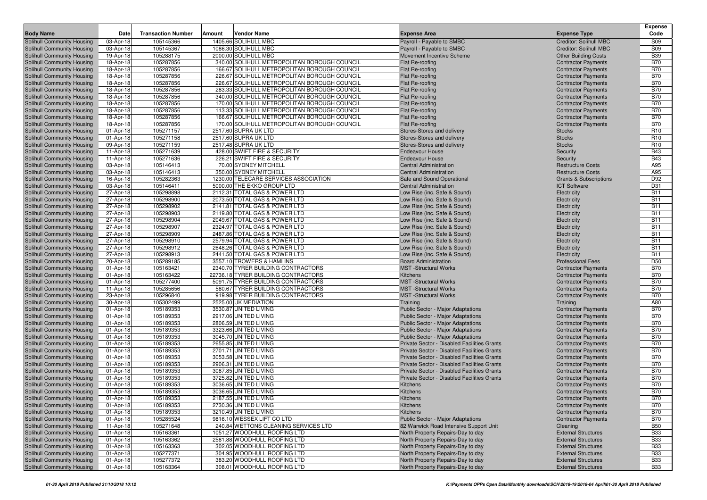| <b>Body Name</b>                                         | Date                   | <b>Transaction Number</b> | Amount | <b>Vendor Name</b>                                             | <b>Expense Area</b>                                                    | <b>Expense Type</b>                                      | <b>Expense</b><br>Code   |
|----------------------------------------------------------|------------------------|---------------------------|--------|----------------------------------------------------------------|------------------------------------------------------------------------|----------------------------------------------------------|--------------------------|
|                                                          | 03-Apr-18              | 105145366                 |        | 1405.66 SOLIHULL MBC                                           |                                                                        | Creditor: Solihull MBC                                   | <b>S09</b>               |
| Solihull Community Housing<br>Solihull Community Housing |                        | 105145367                 |        | 1086.30 SOLIHULL MBC                                           | Payroll - Payable to SMBC<br>Payroll - Payable to SMBC                 |                                                          | <b>S09</b>               |
| <b>Solihull Community Housing</b>                        | 03-Apr-18<br>19-Apr-18 | 105288175                 |        | 2000.00 SOLIHULL MBC                                           | Movement Incentive Scheme                                              | Creditor: Solihull MBC<br><b>Other Building Costs</b>    | <b>B39</b>               |
| Solihull Community Housing                               | 18-Apr-18              | 105287856                 |        | 340.00 SOLIHULL METROPOLITAN BOROUGH COUNCIL                   | Flat Re-roofing                                                        | <b>Contractor Payments</b>                               | <b>B70</b>               |
| Solihull Community Housing                               | 18-Apr-18              | 105287856                 |        | 166.67 SOLIHULL METROPOLITAN BOROUGH COUNCIL                   | Flat Re-roofing                                                        | <b>Contractor Payments</b>                               | <b>B70</b>               |
| Solihull Community Housing                               | 18-Apr-18              | 105287856                 |        | 226.67 SOLIHULL METROPOLITAN BOROUGH COUNCIL                   | Flat Re-roofing                                                        | <b>Contractor Payments</b>                               | <b>B70</b>               |
| Solihull Community Housing                               | 18-Apr-18              | 105287856                 |        | 226.67 SOLIHULL METROPOLITAN BOROUGH COUNCIL                   | Flat Re-roofing                                                        | <b>Contractor Payments</b>                               | <b>B70</b>               |
| Solihull Community Housing                               | 18-Apr-18              | 105287856                 |        | 283.33 SOLIHULL METROPOLITAN BOROUGH COUNCIL                   | Flat Re-roofing                                                        | <b>Contractor Payments</b>                               | <b>B70</b>               |
| Solihull Community Housing                               | 18-Apr-18              | 105287856                 |        | 340.00 SOLIHULL METROPOLITAN BOROUGH COUNCIL                   | Flat Re-roofing                                                        | <b>Contractor Payments</b>                               | <b>B70</b>               |
| Solihull Community Housing                               | 18-Apr-18              | 105287856                 |        | 170.00 SOLIHULL METROPOLITAN BOROUGH COUNCIL                   | Flat Re-roofing                                                        | <b>Contractor Payments</b>                               | <b>B70</b>               |
| Solihull Community Housing                               | 18-Apr-18              | 105287856                 |        | 113.33 SOLIHULL METROPOLITAN BOROUGH COUNCIL                   | Flat Re-roofing                                                        | <b>Contractor Payments</b>                               | <b>B70</b>               |
| Solihull Community Housing                               | 18-Apr-18              | 105287856                 |        | 166.67 SOLIHULL METROPOLITAN BOROUGH COUNCIL                   | Flat Re-roofing                                                        | <b>Contractor Payments</b>                               | <b>B70</b>               |
| Solihull Community Housing                               | 18-Apr-18              | 105287856                 |        | 170.00 SOLIHULL METROPOLITAN BOROUGH COUNCIL                   | Flat Re-roofing                                                        | <b>Contractor Payments</b>                               | <b>B70</b>               |
| Solihull Community Housing                               | 01-Apr-18              | 105271157                 |        | 2517.60 SUPRA UK LTD                                           | Stores-Stores and delivery                                             | <b>Stocks</b>                                            | R <sub>10</sub>          |
| Solihull Community Housing                               | 01-Apr-18              | 105271158                 |        | 2517.60 SUPRA UK LTD                                           | Stores-Stores and delivery                                             | <b>Stocks</b>                                            | R <sub>10</sub>          |
| Solihull Community Housing                               | 09-Apr-18              | 105271159                 |        | 2517.48 SUPRA UK LTD                                           | Stores-Stores and delivery                                             | <b>Stocks</b>                                            | R <sub>10</sub>          |
| Solihull Community Housing                               | 11-Apr-18              | 105271639                 |        | 428.00 SWIFT FIRE & SECURITY                                   | <b>Endeavour House</b>                                                 | Security                                                 | <b>B43</b>               |
| Solihull Community Housing                               | 11-Apr-18              | 105271636                 |        | 226.21 SWIFT FIRE & SECURITY                                   | <b>Endeavour House</b>                                                 | Security                                                 | <b>B43</b>               |
| Solihull Community Housing                               | 03-Apr-18              | 105146413                 |        | 70.00 SYDNEY MITCHELL                                          | <b>Central Administration</b>                                          | <b>Restructure Costs</b>                                 | A95                      |
| Solihull Community Housing                               | 03-Apr-18              | 105146413                 |        | 350.00 SYDNEY MITCHELL                                         | <b>Central Administration</b>                                          | <b>Restructure Costs</b>                                 | A95                      |
| <b>Solihull Community Housing</b>                        | 16-Apr-18              | 105282363                 |        | 1230.00 TELECARE SERVICES ASSOCIATION                          | Safe and Sound Operational                                             | <b>Grants &amp; Subscriptions</b>                        | D92                      |
| Solihull Community Housing                               | 03-Apr-18              | 105146411                 |        | 5000.00 THE EKKO GROUP LTD                                     | <b>Central Administration</b>                                          | <b>ICT Software</b>                                      | D31                      |
| Solihull Community Housing                               | 27-Apr-18              | 105298898                 |        | 2112.31 TOTAL GAS & POWER LTD                                  | Low Rise (inc. Safe & Sound)                                           | Electricity                                              | <b>B11</b>               |
| Solihull Community Housing                               | 27-Apr-18              | 105298900                 |        | 2073.50 TOTAL GAS & POWER LTD                                  | Low Rise (inc. Safe & Sound)                                           | Electricity                                              | <b>B11</b>               |
| Solihull Community Housing                               | 27-Apr-18              | 105298902                 |        | 2141.81 TOTAL GAS & POWER LTD                                  | Low Rise (inc. Safe & Sound)                                           | Electricity                                              | <b>B11</b>               |
| Solihull Community Housing                               | 27-Apr-18              | 105298903                 |        | 2119.80 TOTAL GAS & POWER LTD                                  | Low Rise (inc. Safe & Sound)                                           | Electricity                                              | <b>B11</b>               |
| Solihull Community Housing                               | 27-Apr-18              | 105298904                 |        | 2049.67 TOTAL GAS & POWER LTD                                  | Low Rise (inc. Safe & Sound)                                           | Electricity                                              | <b>B11</b>               |
| Solihull Community Housing                               | 27-Apr-18              | 105298907                 |        | 2324.97 TOTAL GAS & POWER LTD                                  | Low Rise (inc. Safe & Sound)                                           | Electricity                                              | <b>B11</b>               |
| Solihull Community Housing                               | 27-Apr-18<br>27-Apr-18 | 105298909<br>105298910    |        | 2487.86 TOTAL GAS & POWER LTD<br>2579.94 TOTAL GAS & POWER LTD | Low Rise (inc. Safe & Sound)                                           | Electricity                                              | <b>B11</b><br><b>B11</b> |
| Solihull Community Housing<br>Solihull Community Housing | 27-Apr-18              | 105298912                 |        | 2648.26 TOTAL GAS & POWER LTD                                  | Low Rise (inc. Safe & Sound)<br>Low Rise (inc. Safe & Sound)           | Electricity<br>Electricity                               | <b>B11</b>               |
| Solihull Community Housing                               | 27-Apr-18              | 105298913                 |        | 2441.50 TOTAL GAS & POWER LTD                                  | Low Rise (inc. Safe & Sound)                                           | Electricity                                              | <b>B11</b>               |
| Solihull Community Housing                               | 20-Apr-18              | 105289185                 |        | 3557.10 TROWERS & HAMLINS                                      | <b>Board Administration</b>                                            | <b>Professional Fees</b>                                 | D <sub>50</sub>          |
| Solihull Community Housing                               | 01-Apr-18              | 105163421                 |        | 2340.70 TYRER BUILDING CONTRACTORS                             | <b>MST</b> -Structural Works                                           | <b>Contractor Payments</b>                               | <b>B70</b>               |
| Solihull Community Housing                               | 01-Apr-18              | 105163422                 |        | 22736.18 TYRER BUILDING CONTRACTORS                            | Kitchens                                                               | <b>Contractor Payments</b>                               | <b>B70</b>               |
| <b>Solihull Community Housing</b>                        | 01-Apr-18              | 105277400                 |        | 5091.75 TYRER BUILDING CONTRACTORS                             | <b>MST</b> -Structural Works                                           | <b>Contractor Payments</b>                               | <b>B70</b>               |
| Solihull Community Housing                               | 11-Apr-18              | 105285656                 |        | 580.67 TYRER BUILDING CONTRACTORS                              | <b>MST</b> -Structural Works                                           | <b>Contractor Payments</b>                               | <b>B70</b>               |
| Solihull Community Housing                               | 23-Apr-18              | 105296840                 |        | 919.98 TYRER BUILDING CONTRACTORS                              | <b>MST</b> -Structural Works                                           | <b>Contractor Payments</b>                               | <b>B70</b>               |
| Solihull Community Housing                               | 30-Apr-18              | 105302499                 |        | 2525.00 UK MEDIATION                                           | Training                                                               | Training                                                 | A80                      |
| Solihull Community Housing                               | 01-Apr-18              | 105189353                 |        | 3530.87 UNITED LIVING                                          | <b>Public Sector - Major Adaptations</b>                               | <b>Contractor Payments</b>                               | <b>B70</b>               |
| Solihull Community Housing                               | 01-Apr-18              | 105189353                 |        | 2917.06 UNITED LIVING                                          | <b>Public Sector - Major Adaptations</b>                               | <b>Contractor Payments</b>                               | <b>B70</b>               |
| Solihull Community Housing                               | 01-Apr-18              | 105189353                 |        | 2806.59 UNITED LIVING                                          | <b>Public Sector - Major Adaptations</b>                               | <b>Contractor Payments</b>                               | <b>B70</b>               |
| Solihull Community Housing                               | 01-Apr-18              | 105189353                 |        | 3323.66 UNITED LIVING                                          | Public Sector - Major Adaptations                                      | <b>Contractor Payments</b>                               | <b>B70</b>               |
| Solihull Community Housing                               | 01-Apr-18              | 105189353                 |        | 3045.70 UNITED LIVING                                          | <b>Public Sector - Major Adaptations</b>                               | <b>Contractor Payments</b>                               | <b>B70</b>               |
| Solihull Community Housing                               | 01-Apr-18              | 105189353                 |        | 2655.85 UNITED LIVING                                          | Private Sector - Disabled Facilities Grants                            | <b>Contractor Payments</b>                               | <b>B70</b>               |
| Solihull Community Housing                               | 01-Apr-18              | 105189353                 |        | 2701.71 UNITED LIVING                                          | Private Sector - Disabled Facilities Grants                            | <b>Contractor Payments</b>                               | <b>B70</b>               |
| Solihull Community Housing                               | 01-Apr-18              | 105189353                 |        | 3053.58 UNITED LIVING                                          | Private Sector - Disabled Facilities Grants                            | <b>Contractor Payments</b>                               | <b>B70</b>               |
| Solihull Community Housing                               | 01-Apr-18              | 105189353                 |        | 2906.31 UNITED LIVING                                          | Private Sector - Disabled Facilities Grants                            | <b>Contractor Payments</b>                               | <b>B70</b>               |
| Solihull Community Housing                               | 01-Apr-18              | 105189353                 |        | 3087.85 UNITED LIVING                                          | Private Sector - Disabled Facilities Grants                            | <b>Contractor Payments</b>                               | <b>B70</b>               |
| Solihull Community Housing                               | 01-Apr-18              | 105189353                 |        | 3725.82 UNITED LIVING                                          | Private Sector - Disabled Facilities Grants                            | <b>Contractor Payments</b>                               | <b>B70</b>               |
| Solihull Community Housing                               | 01-Apr-18              | 105189353                 |        | 3036.65 UNITED LIVING                                          | Kitchens                                                               | <b>Contractor Payments</b>                               | <b>B70</b>               |
| <b>Solihull Community Housing</b>                        | 01-Apr-18              | 105189353                 |        | 3036.65 UNITED LIVING                                          | Kitchens                                                               | <b>Contractor Payments</b>                               | <b>B70</b>               |
| Solihull Community Housing                               | 01-Apr-18              | 105189353                 |        | 2187.55 UNITED LIVING                                          | Kitchens                                                               | <b>Contractor Payments</b>                               | <b>B70</b>               |
| Solihull Community Housing                               | 01-Apr-18              | 105189353                 |        | 2730.36 UNITED LIVING                                          | Kitchens                                                               | <b>Contractor Payments</b>                               | <b>B70</b>               |
| <b>Solihull Community Housing</b>                        | 01-Apr-18              | 105189353                 |        | 3210.49 UNITED LIVING                                          | Kitchens                                                               | <b>Contractor Payments</b>                               | <b>B70</b>               |
| Solihull Community Housing                               | 01-Apr-18              | 105285524                 |        | 9816.10 WESSEX LIFT CO LTD                                     | Public Sector - Major Adaptations                                      | <b>Contractor Payments</b>                               | <b>B70</b>               |
| Solihull Community Housing                               | 11-Apr-18              | 105271648                 |        | 240.84 WETTONS CLEANING SERVICES LTD                           | 82 Warwick Road Intensive Support Unit                                 | Cleaning                                                 | <b>B50</b>               |
| Solihull Community Housing                               | 01-Apr-18              | 105163361                 |        | 1051.27 WOODHULL ROOFING LTD                                   | North Property Repairs-Day to day                                      | <b>External Structures</b>                               | <b>B33</b>               |
| <b>Solihull Community Housing</b>                        | 01-Apr-18<br>01-Apr-18 | 105163362                 |        | 2581.88 WOODHULL ROOFING LTD<br>302.05 WOODHULL ROOFING LTD    | North Property Repairs-Day to day                                      | <b>External Structures</b>                               | <b>B33</b>               |
| Solihull Community Housing                               |                        | 105163363<br>105277371    |        | 304.95 WOODHULL ROOFING LTD                                    | North Property Repairs-Day to day                                      | <b>External Structures</b>                               | <b>B33</b><br><b>B33</b> |
| Solihull Community Housing<br>Solihull Community Housing | 01-Apr-18<br>01-Apr-18 | 105277372                 |        | 383.20 WOODHULL ROOFING LTD                                    | North Property Repairs-Day to day<br>North Property Repairs-Day to day | <b>External Structures</b><br><b>External Structures</b> | <b>B33</b>               |
| Solihull Community Housing                               |                        |                           |        | 308.01 WOODHULL ROOFING LTD                                    |                                                                        | <b>External Structures</b>                               | <b>B33</b>               |
|                                                          | 01-Apr-18              | 105163364                 |        |                                                                | North Property Repairs-Day to day                                      |                                                          |                          |